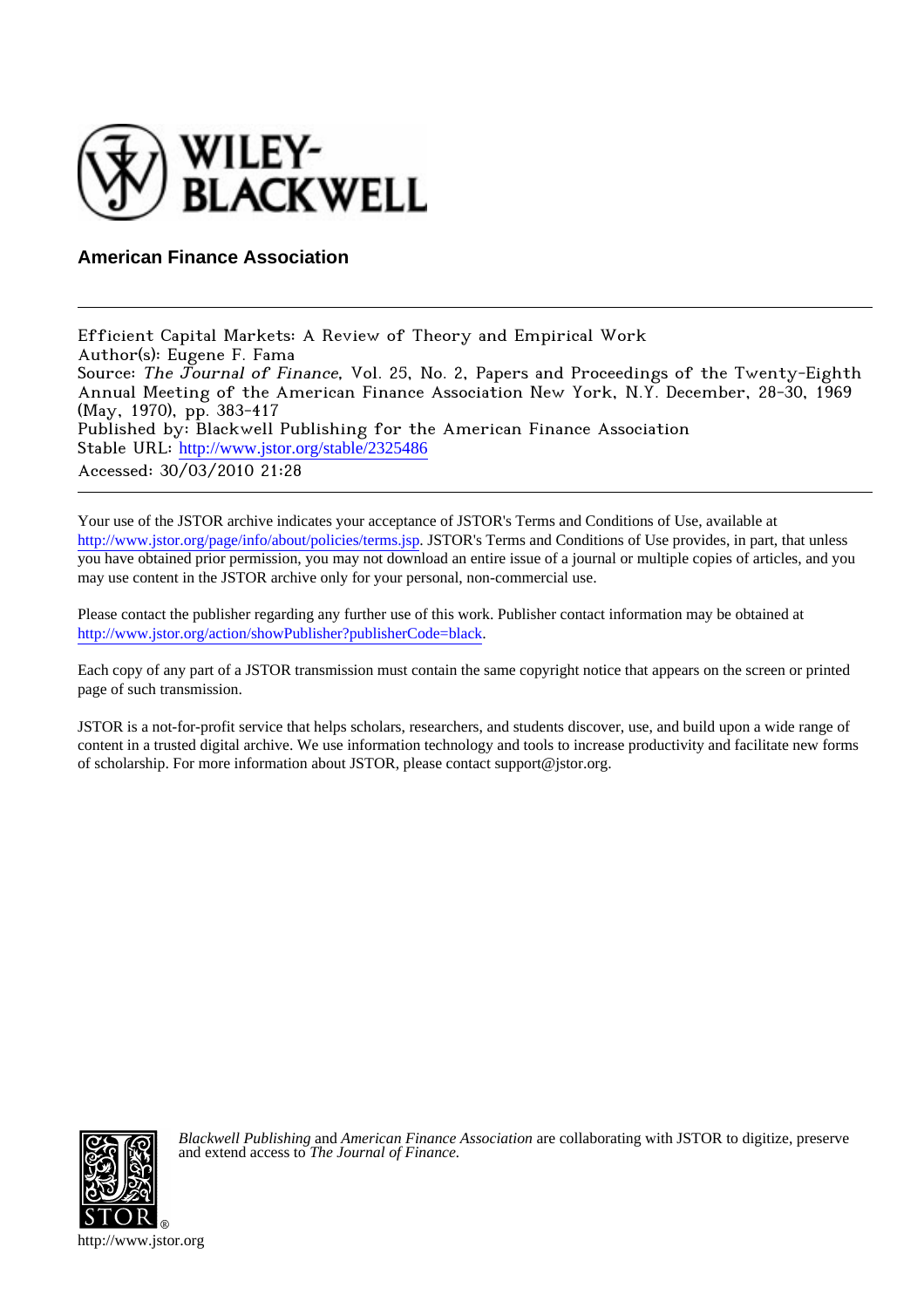

# **American Finance Association**

Efficient Capital Markets: A Review of Theory and Empirical Work Author(s): Eugene F. Fama Source: The Journal of Finance, Vol. 25, No. 2, Papers and Proceedings of the Twenty-Eighth Annual Meeting of the American Finance Association New York, N.Y. December, 28-30, 1969 (May, 1970), pp. 383-417 Published by: Blackwell Publishing for the American Finance Association Stable URL: [http://www.jstor.org/stable/2325486](http://www.jstor.org/stable/2325486?origin=JSTOR-pdf) Accessed: 30/03/2010 21:28

Your use of the JSTOR archive indicates your acceptance of JSTOR's Terms and Conditions of Use, available at <http://www.jstor.org/page/info/about/policies/terms.jsp>. JSTOR's Terms and Conditions of Use provides, in part, that unless you have obtained prior permission, you may not download an entire issue of a journal or multiple copies of articles, and you may use content in the JSTOR archive only for your personal, non-commercial use.

Please contact the publisher regarding any further use of this work. Publisher contact information may be obtained at [http://www.jstor.org/action/showPublisher?publisherCode=black.](http://www.jstor.org/action/showPublisher?publisherCode=black)

Each copy of any part of a JSTOR transmission must contain the same copyright notice that appears on the screen or printed page of such transmission.

JSTOR is a not-for-profit service that helps scholars, researchers, and students discover, use, and build upon a wide range of content in a trusted digital archive. We use information technology and tools to increase productivity and facilitate new forms of scholarship. For more information about JSTOR, please contact support@jstor.org.



*Blackwell Publishing* and *American Finance Association* are collaborating with JSTOR to digitize, preserve and extend access to *The Journal of Finance.*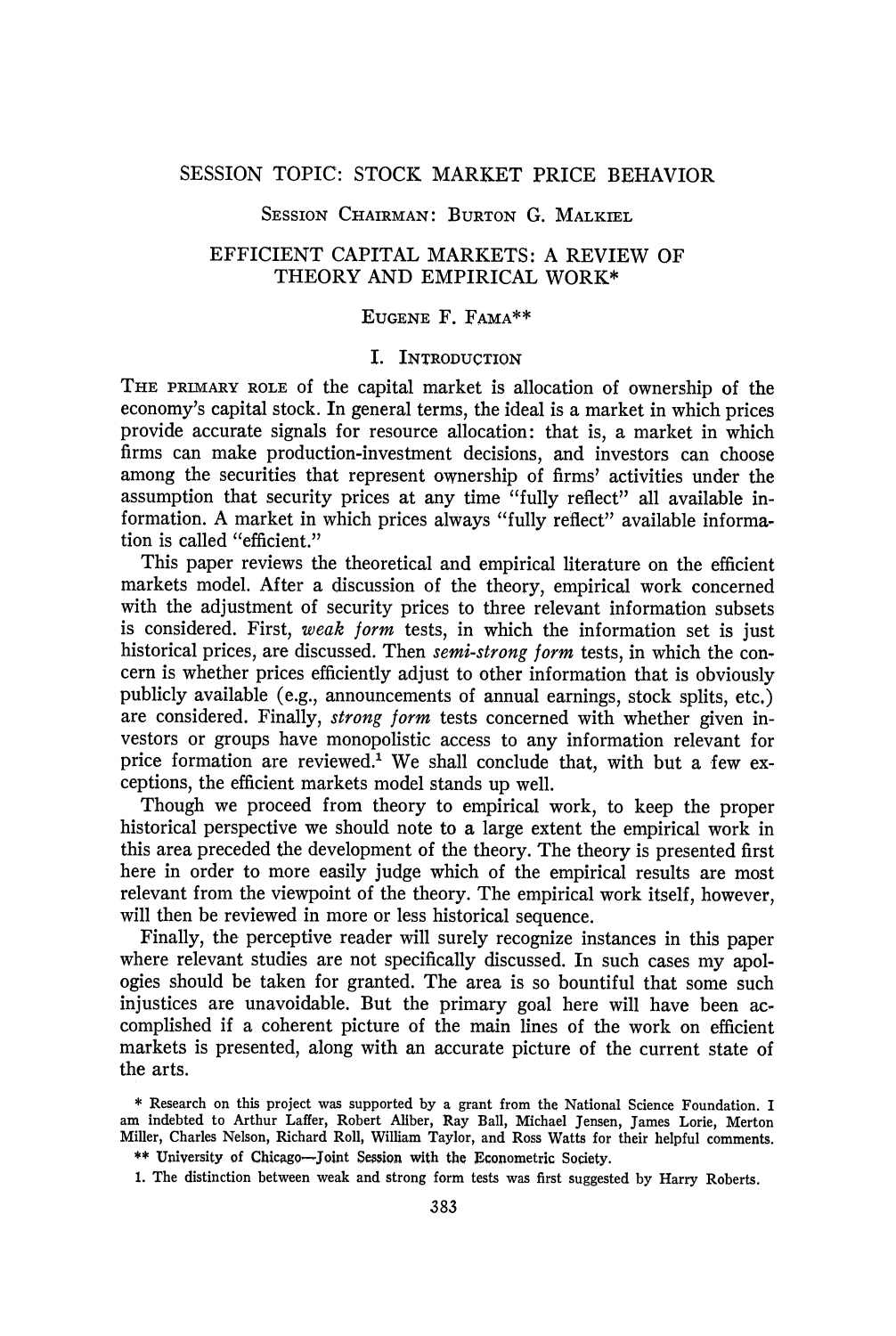# SESSION TOPIC: STOCK MARKET PRICE BEHAVIOR

#### SESSION CHAIRMAN: BURTON G. MALKIEL

# EFFICIENT CAPITAL MARKETS: A REVIEW OF THEORY AND EMPIRICAL WORK\*

### EUGENE F. FAMA\*\*

#### I. INTRODUCTION

THE PRIMARY ROLE of the capital market is allocation of ownership of the economy's capital stock. In general terms, the ideal is a market in which prices provide accurate signals for resource allocation: that is, a market in which firms can make production-investment decisions, and investors can choose among the securities that represent ownership of firms' activities under the assumption that security prices at any time "fully reflect" all available information. A market in which prices always "fully reflect" available information is called "efficient."

This paper reviews the theoretical and empirical literature on the efficient markets model. After a discussion of the theory, empirical work concerned with the adjustment of security prices to three relevant information subsets is considered. First, weak form tests, in which the information set is just historical prices, are discussed. Then semi-strong form tests, in which the concern is whether prices efficiently adjust to other information that is obviously publicly available (e.g., announcements of annual earnings, stock splits, etc.) are considered. Finally, *strong form* tests concerned with whether given investors or groups have monopolistic access to any information relevant for price formation are reviewed.<sup>1</sup> We shall conclude that, with but a few exceptions, the efficient markets model stands up well.

Though we proceed from theory to empirical work, to keep the proper historical perspective we should note to a large extent the empirical work in this area preceded the development of the theory. The theory is presented first here in order to more easily judge which of the empirical results are most relevant from the viewpoint of the theory. The empirical work itself, however, will then be reviewed in more or less historical sequence.

Finally, the perceptive reader will surely recognize instances in this paper where relevant studies are not specifically discussed. In such cases my apologies should be taken for granted. The area is so bountiful that some such iniustices are unavoidable. But the primary goal here will have been accomplished if a coherent picture of the main lines of the work on efficient markets is presented, along with an accurate picture of the current state of the arts.

<sup>\*</sup> Research on this project was supported by a grant from the National Science Foundation. I am indebted to Arthur Laffer, Robert Aliber, Ray Ball, Michael Jensen, James Lorie, Merton Miller, Charles Nelson, Richard Roll, William Taylor, and Ross Watts for their helpful comments.

<sup>\*\*</sup> University of Chicago-Joint Session with the Econometric Society.

<sup>1.</sup> The distinction between weak and strong form tests was first suggested by Harry Roberts.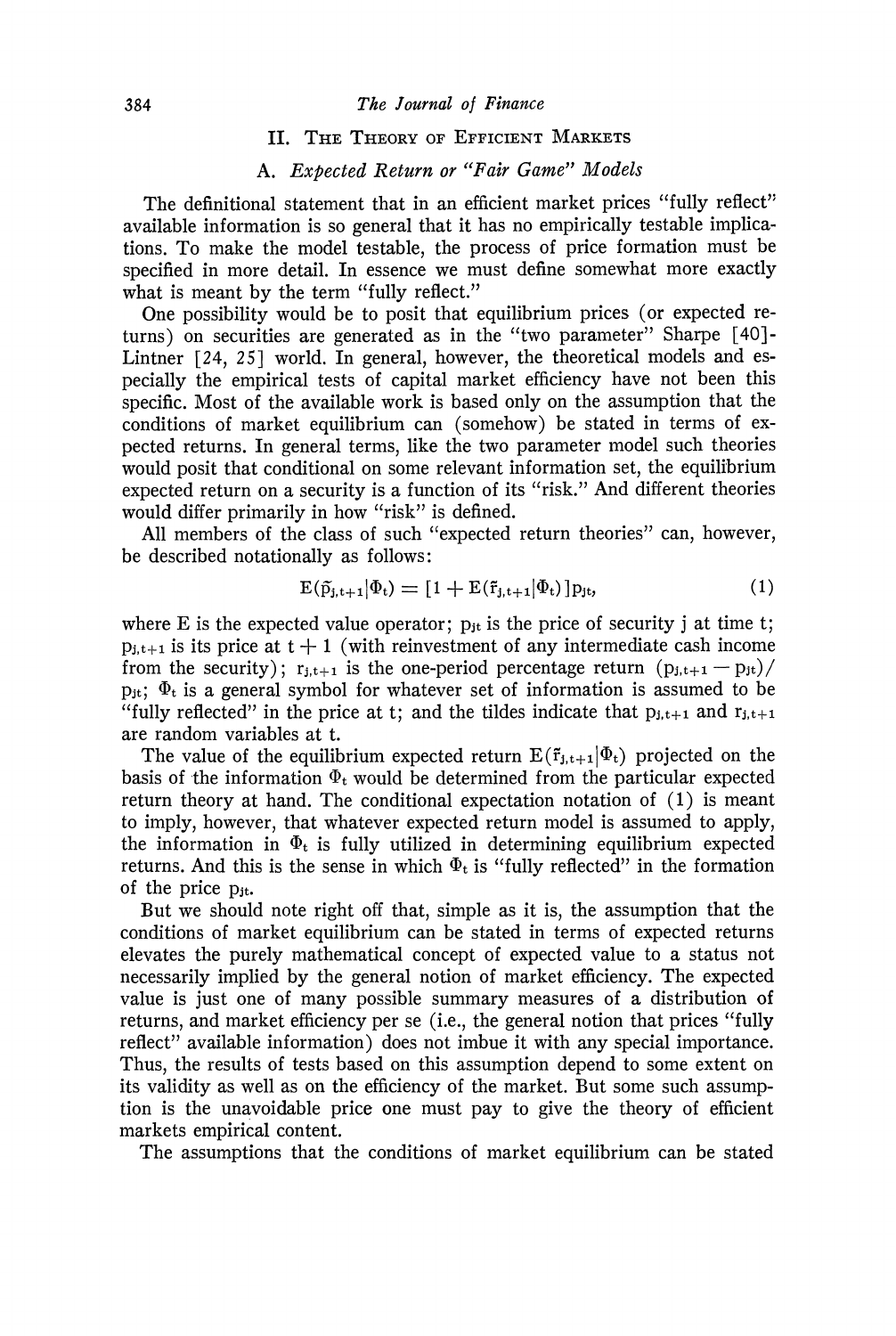#### The Journal of Finance

# II. THE THEORY OF EFFICIENT MARKETS

# A. Expected Return or "Fair Game" Models

The definitional statement that in an efficient market prices "fully reflect" available information is so general that it has no empirically testable implications. To make the model testable, the process of price formation must be specified in more detail. In essence we must define somewhat more exactly what is meant by the term "fully reflect."

One possibility would be to posit that equilibrium prices (or expected returns) on securities are generated as in the "two parameter" Sharpe [40]-Lintner [24, 25] world. In general, however, the theoretical models and especially the empirical tests of capital market efficiency have not been this specific. Most of the available work is based only on the assumption that the conditions of market equilibrium can (somehow) be stated in terms of expected returns. In general terms, like the two parameter model such theories would posit that conditional on some relevant information set, the equilibrium expected return on a security is a function of its "risk." And different theories would differ primarily in how "risk" is defined.

All members of the class of such "expected return theories" can, however, be described notationally as follows:

$$
E(\tilde{p}_{j,t+1}|\Phi_t) = [1 + E(\tilde{r}_{j,t+1}|\Phi_t)]p_{jt},
$$
\n(1)

where E is the expected value operator;  $p_{it}$  is the price of security j at time t;  $p_{i,t+1}$  is its price at  $t+1$  (with reinvestment of any intermediate cash income from the security);  $r_{i,t+1}$  is the one-period percentage return  $(p_{i,t+1} - p_{it})/$  $p_{it}$ ;  $\Phi_t$  is a general symbol for whatever set of information is assumed to be "fully reflected" in the price at t; and the tildes indicate that  $p_{i,t+1}$  and  $r_{i,t+1}$ are random variables at t.

The value of the equilibrium expected return  $E(\tilde{r}_{j,t+1}|\Phi_t)$  projected on the basis of the information  $\Phi_t$  would be determined from the particular expected return theory at hand. The conditional expectation notation of (1) is meant to imply, however, that whatever expected return model is assumed to apply, the information in  $\Phi_t$  is fully utilized in determining equilibrium expected returns. And this is the sense in which  $\Phi_t$  is "fully reflected" in the formation of the price p<sub>it</sub>.

But we should note right off that, simple as it is, the assumption that the conditions of market equilibrium can be stated in terms of expected returns elevates the purely mathematical concept of expected value to a status not necessarily implied by the general notion of market efficiency. The expected value is just one of many possible summary measures of a distribution of returns, and market efficiency per se (i.e., the general notion that prices "fully reflect" available information) does not imbue it with any special importance. Thus, the results of tests based on this assumption depend to some extent on its validity as well as on the efficiency of the market. But some such assumption is the unavoidable price one must pay to give the theory of efficient markets empirical content.

The assumptions that the conditions of market equilibrium can be stated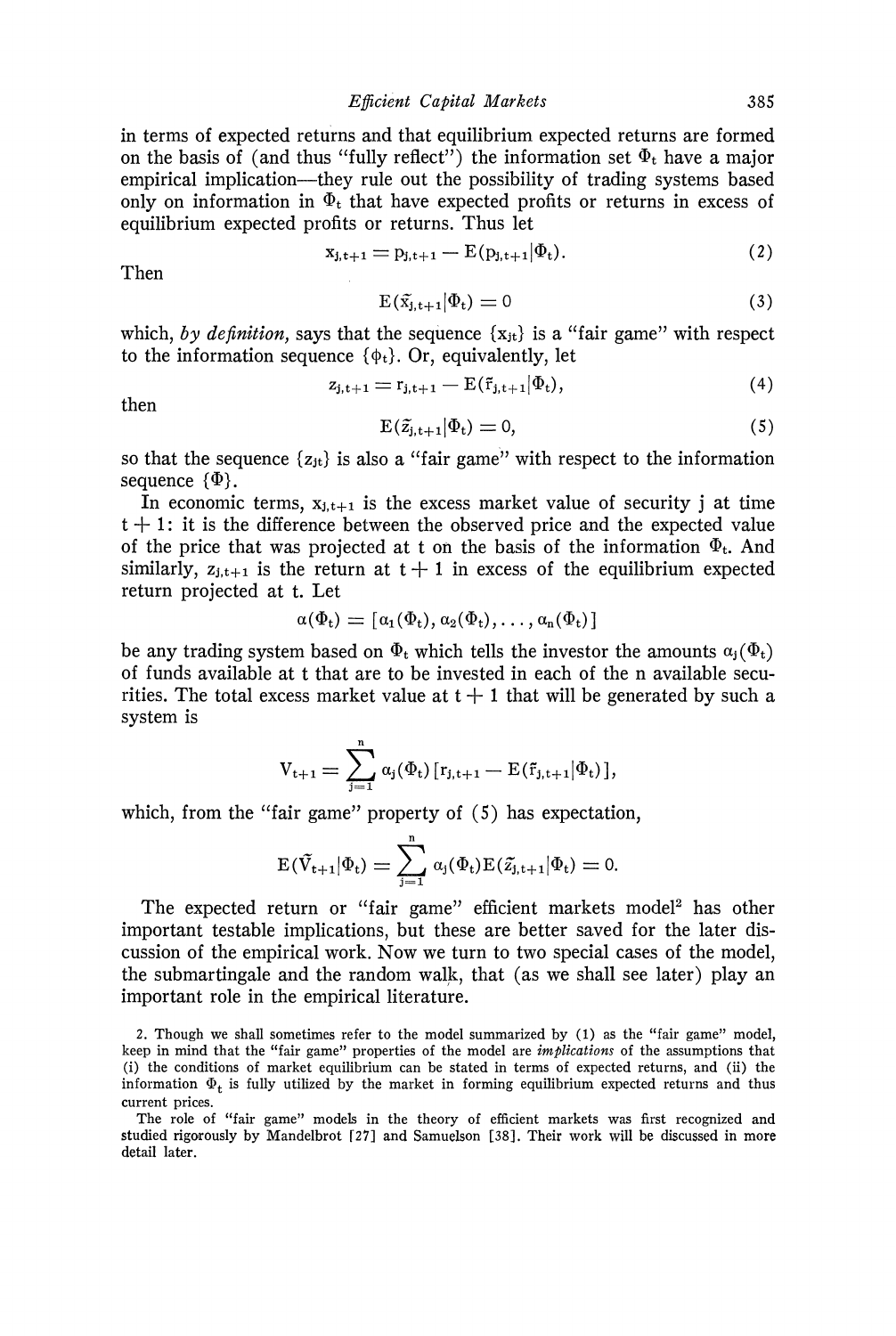in terms of expected returns and that equilibrium expected returns are formed on the basis of (and thus "fully reflect") the information set  $\Phi_t$  have a major empirical implication—they rule out the possibility of trading systems based only on information in  $\Phi_t$  that have expected profits or returns in excess of equilibrium expected profits or returns. Thus let

$$
x_{j,t+1} = p_{j,t+1} - E(p_{j,t+1}|\Phi_t).
$$
 (2)

Then

$$
E(\tilde{x}_{j,t+1}|\Phi_t) = 0\tag{3}
$$

which, by definition, says that the sequence  $\{x_{jt}\}\$ is a "fair game" with respect to the information sequence  $\{\phi_t\}$ . Or, equivalently, let

$$
z_{j,t+1} = r_{j,t+1} - E(\tilde{r}_{j,t+1}|\Phi_t), \qquad (4)
$$

then

$$
E(\tilde{z}_{j,t+1}|\Phi_t) = 0,\t\t(5)
$$

so that the sequence  $\{z_{it}\}\$ is also a "fair game" with respect to the information sequence  $\{\Phi\}$ .

In economic terms,  $x_{j,t+1}$  is the excess market value of security j at time  $t + 1$ : it is the difference between the observed price and the expected value of the price that was projected at t on the basis of the information  $\Phi_t$ . And similarly,  $z_{i,t+1}$  is the return at  $t+1$  in excess of the equilibrium expected return projected at t. Let

$$
\alpha(\Phi_t) = [\alpha_1(\Phi_t), \alpha_2(\Phi_t), \ldots, \alpha_n(\Phi_t)]
$$

be any trading system based on  $\Phi_t$  which tells the investor the amounts  $\alpha_i(\Phi_t)$ of funds available at t that are to be invested in each of the n available securities. The total excess market value at  $t + 1$  that will be generated by such a system is

$$
V_{t+1} = \sum_{j=1}^n \alpha_j(\Phi_t) [r_{j,t+1} - E(\tilde{r}_{j,t+1}|\Phi_t)],
$$

which, from the "fair game" property of  $(5)$  has expectation,

$$
E(\tilde{V}_{t+1}|\Phi_t) = \sum_{j=1}^n \alpha_j(\Phi_t) E(\tilde{z}_{j,t+1}|\Phi_t) = 0.
$$

The expected return or "fair game" efficient markets model<sup>2</sup> has other important testable implications, but these are better saved for the later discussion of the empirical work. Now we turn to two special cases of the model, the submartingale and the random walk, that (as we shall see later) play an important role in the empirical literature.

2. Though we shall sometimes refer to the model summarized by (1) as the "fair game" model, keep in mind that the "fair game" properties of the model are *implications* of the assumptions that (i) the conditions of market equilibrium can be stated in terms of expected returns, and (ii) the information  $\Phi_t$  is fully utilized by the market in forming equilibrium expected returns and thus current prices.

The role of "fair game" models in the theory of efficient markets was first recognized and studied rigorously by Mandelbrot [27] and Samuelson [38]. Their work will be discussed in more detail later.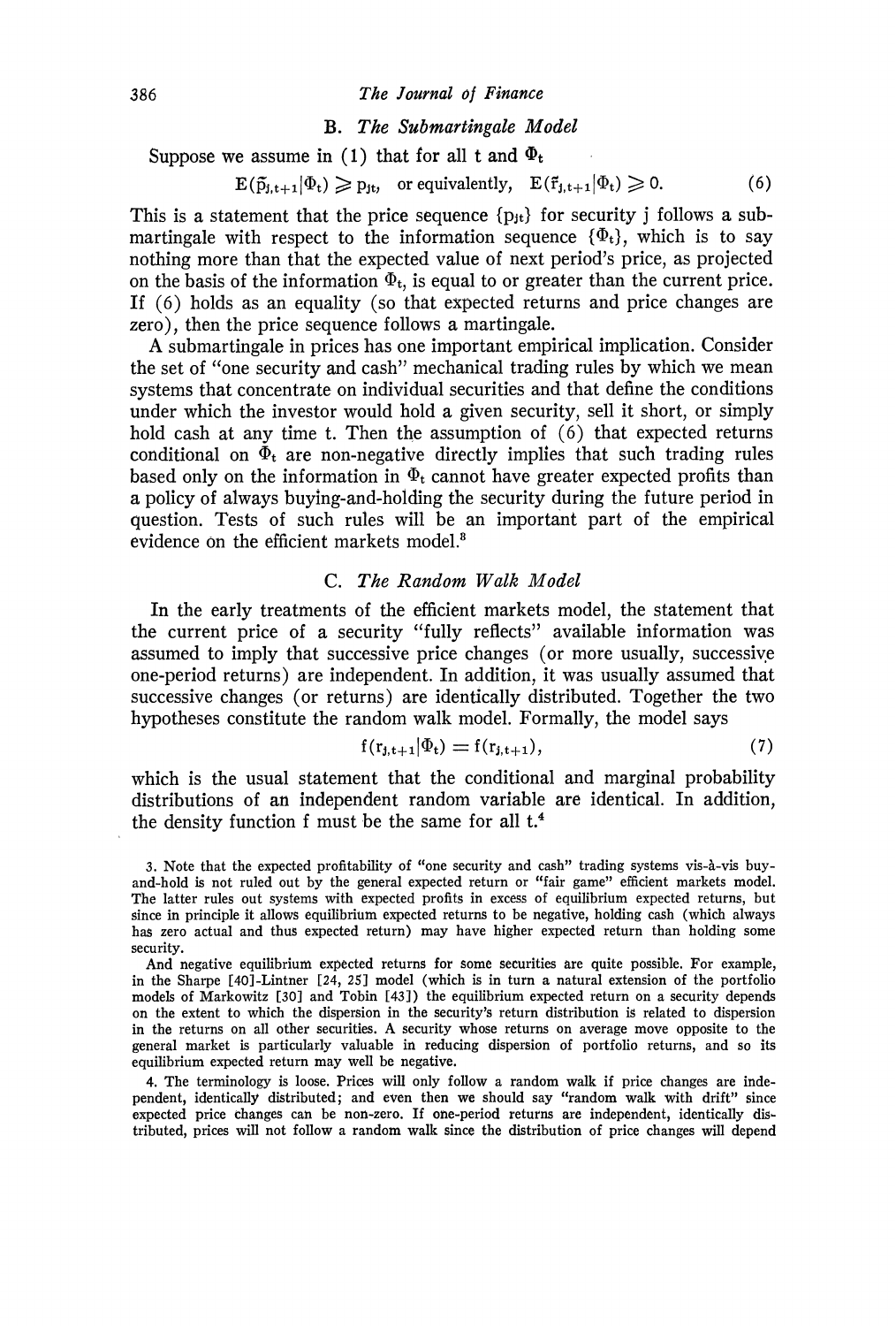# **B.** The Submartingale Model

Suppose we assume in (1) that for all t and  $\Phi_t$ 

$$
E(\tilde{p}_{j,t+1}|\Phi_t) \geq p_{jt}, \quad \text{or equivalently,} \quad E(\tilde{r}_{j,t+1}|\Phi_t) \geq 0. \tag{6}
$$

This is a statement that the price sequence  $\{p_{it}\}\$ for security i follows a submartingale with respect to the information sequence  $\{\Phi_t\}$ , which is to say nothing more than that the expected value of next period's price, as projected on the basis of the information  $\Phi_t$ , is equal to or greater than the current price. If (6) holds as an equality (so that expected returns and price changes are zero), then the price sequence follows a martingale.

A submartingale in prices has one important empirical implication. Consider the set of "one security and cash" mechanical trading rules by which we mean systems that concentrate on individual securities and that define the conditions under which the investor would hold a given security, sell it short, or simply hold cash at any time t. Then the assumption of  $(6)$  that expected returns conditional on  $\Phi_t$  are non-negative directly implies that such trading rules based only on the information in  $\Phi_t$  cannot have greater expected profits than a policy of always buying-and-holding the security during the future period in question. Tests of such rules will be an important part of the empirical evidence on the efficient markets model.<sup>8</sup>

# C. The Random Walk Model

In the early treatments of the efficient markets model, the statement that the current price of a security "fully reflects" available information was assumed to imply that successive price changes (or more usually, successive one-period returns) are independent. In addition, it was usually assumed that successive changes (or returns) are identically distributed. Together the two hypotheses constitute the random walk model. Formally, the model says

$$
f(r_{j,t+1}|\Phi_t) = f(r_{j,t+1}),
$$
\n(7)

which is the usual statement that the conditional and marginal probability distributions of an independent random variable are identical. In addition, the density function f must be the same for all t.<sup>4</sup>

4. The terminology is loose. Prices will only follow a random walk if price changes are independent, identically distributed; and even then we should say "random walk with drift" since expected price changes can be non-zero. If one-period returns are independent, identically distributed, prices will not follow a random walk since the distribution of price changes will depend

<sup>3.</sup> Note that the expected profitability of "one security and cash" trading systems vis-à-vis buyand-hold is not ruled out by the general expected return or "fair game" efficient markets model. The latter rules out systems with expected profits in excess of equilibrium expected returns, but since in principle it allows equilibrium expected returns to be negative, holding cash (which always has zero actual and thus expected return) may have higher expected return than holding some security.

And negative equilibrium expected returns for some securities are quite possible. For example, in the Sharpe [40]-Lintner [24, 25] model (which is in turn a natural extension of the portfolio models of Markowitz [30] and Tobin [43]) the equilibrium expected return on a security depends on the extent to which the dispersion in the security's return distribution is related to dispersion in the returns on all other securities. A security whose returns on average move opposite to the general market is particularly valuable in reducing dispersion of portfolio returns, and so its equilibrium expected return may well be negative.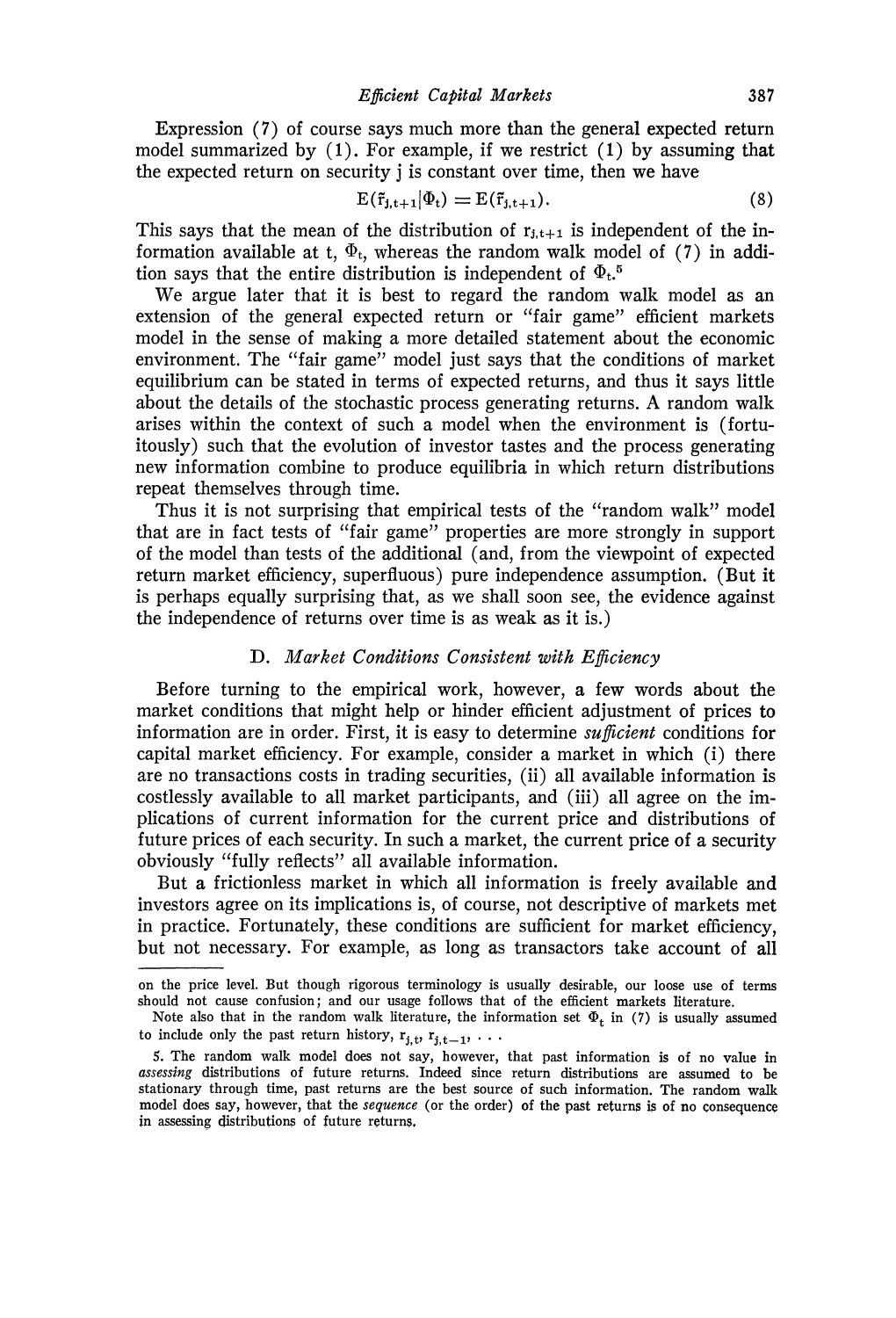Expression (7) of course says much more than the general expected return model summarized by  $(1)$ . For example, if we restrict  $(1)$  by assuming that the expected return on security j is constant over time, then we have

$$
E(\tilde{r}_{j,t+1}|\Phi_t) = E(\tilde{r}_{j,t+1}).
$$
\n(8)

This says that the mean of the distribution of  $r_{j,t+1}$  is independent of the information available at t,  $\Phi_t$ , whereas the random walk model of (7) in addition says that the entire distribution is independent of  $\Phi_{t}$ .<sup>5</sup>

We argue later that it is best to regard the random walk model as an extension of the general expected return or "fair game" efficient markets model in the sense of making a more detailed statement about the economic environment. The "fair game" model just says that the conditions of market equilibrium can be stated in terms of expected returns, and thus it says little about the details of the stochastic process generating returns. A random walk arises within the context of such a model when the environment is (fortuitously) such that the evolution of investor tastes and the process generating new information combine to produce equilibria in which return distributions repeat themselves through time.

Thus it is not surprising that empirical tests of the "random walk" model that are in fact tests of "fair game" properties are more strongly in support of the model than tests of the additional (and, from the viewpoint of expected return market efficiency, superfluous) pure independence assumption. (But it is perhaps equally surprising that, as we shall soon see, the evidence against the independence of returns over time is as weak as it is.)

### D. Market Conditions Consistent with Efficiency

Before turning to the empirical work, however, a few words about the market conditions that might help or hinder efficient adjustment of prices to information are in order. First, it is easy to determine *sufficient* conditions for capital market efficiency. For example, consider a market in which (i) there are no transactions costs in trading securities, (ii) all available information is costlessly available to all market participants, and (iii) all agree on the implications of current information for the current price and distributions of future prices of each security. In such a market, the current price of a security obviously "fully reflects" all available information.

But a frictionless market in which all information is freely available and investors agree on its implications is, of course, not descriptive of markets met in practice. Fortunately, these conditions are sufficient for market efficiency, but not necessary. For example, as long as transactors take account of all

on the price level. But though rigorous terminology is usually desirable, our loose use of terms should not cause confusion; and our usage follows that of the efficient markets literature.

Note also that in the random walk literature, the information set  $\Phi_t$  in (7) is usually assumed to include only the past return history,  $r_{j,t}$ ,  $r_{j,t-1}$ , ...

<sup>5.</sup> The random walk model does not say, however, that past information is of no value in assessing distributions of future returns. Indeed since return distributions are assumed to be stationary through time, past returns are the best source of such information. The random walk model does say, however, that the sequence (or the order) of the past returns is of no consequence in assessing distributions of future returns.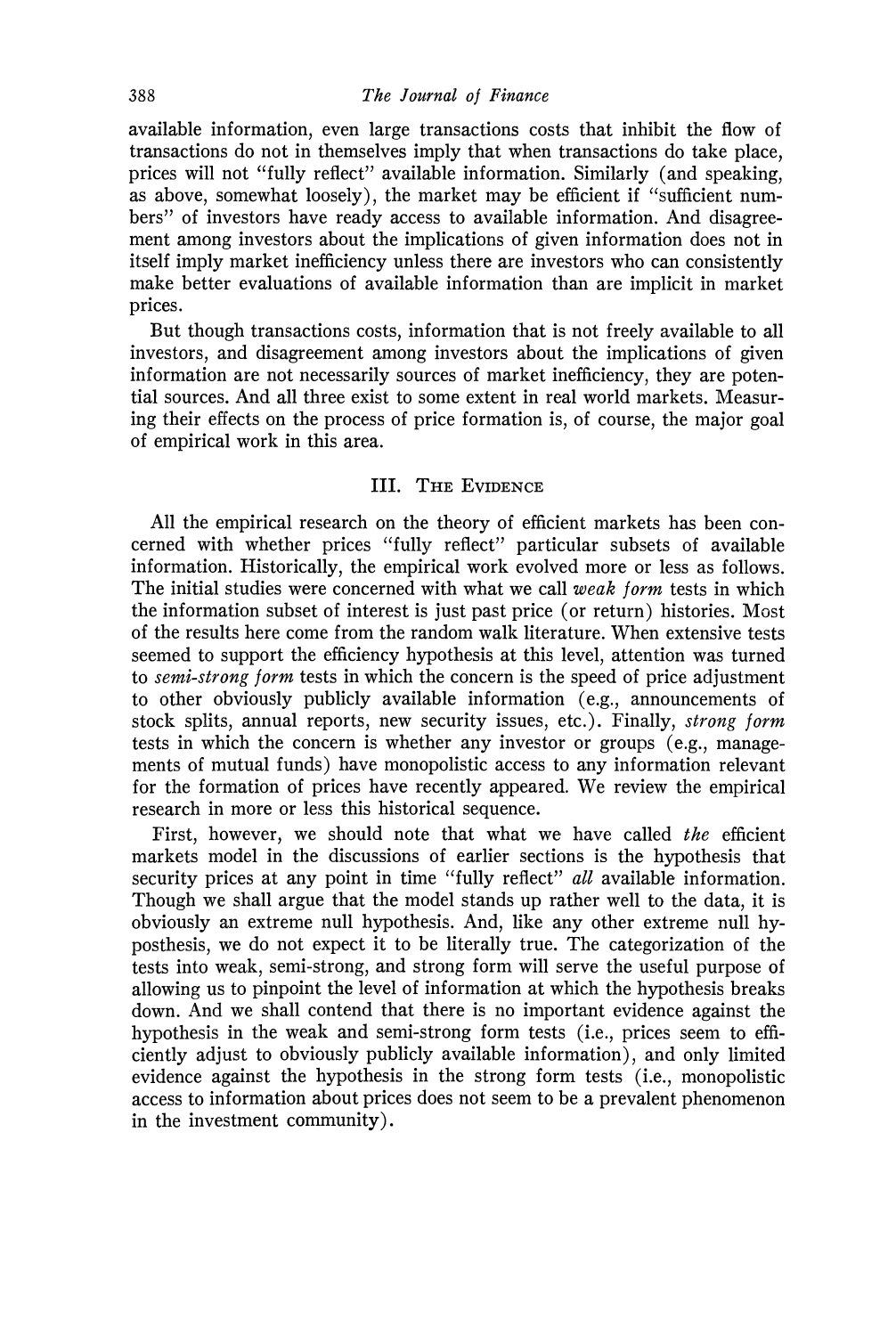available information, even large transactions costs that inhibit the flow of transactions do not in themselves imply that when transactions do take place. prices will not "fully reflect" available information. Similarly (and speaking, as above, somewhat loosely), the market may be efficient if "sufficient numbers" of investors have ready access to available information. And disagreement among investors about the implications of given information does not in itself imply market inefficiency unless there are investors who can consistently make better evaluations of available information than are implicit in market prices.

But though transactions costs, information that is not freely available to all investors, and disagreement among investors about the implications of given information are not necessarily sources of market inefficiency, they are potential sources. And all three exist to some extent in real world markets. Measuring their effects on the process of price formation is, of course, the major goal of empirical work in this area.

# **III. THE EVIDENCE**

All the empirical research on the theory of efficient markets has been concerned with whether prices "fully reflect" particular subsets of available information. Historically, the empirical work evolved more or less as follows. The initial studies were concerned with what we call weak form tests in which the information subset of interest is just past price (or return) histories. Most of the results here come from the random walk literature. When extensive tests seemed to support the efficiency hypothesis at this level. attention was turned to semi-strong form tests in which the concern is the speed of price adjustment to other obviously publicly available information (e.g., announcements of stock splits, annual reports, new security issues, etc.). Finally, *strong form* tests in which the concern is whether any investor or groups (e.g., managements of mutual funds) have monopolistic access to any information relevant for the formation of prices have recently appeared. We review the empirical research in more or less this historical sequence.

First, however, we should note that what we have called the efficient markets model in the discussions of earlier sections is the hypothesis that security prices at any point in time "fully reflect" all available information. Though we shall argue that the model stands up rather well to the data, it is obviously an extreme null hypothesis. And, like any other extreme null hyposthesis, we do not expect it to be literally true. The categorization of the tests into weak, semi-strong, and strong form will serve the useful purpose of allowing us to pinpoint the level of information at which the hypothesis breaks down. And we shall contend that there is no important evidence against the hypothesis in the weak and semi-strong form tests (i.e., prices seem to efficiently adjust to obviously publicly available information), and only limited evidence against the hypothesis in the strong form tests (*i.e.*, monopolistic access to information about prices does not seem to be a prevalent phenomenon in the investment community).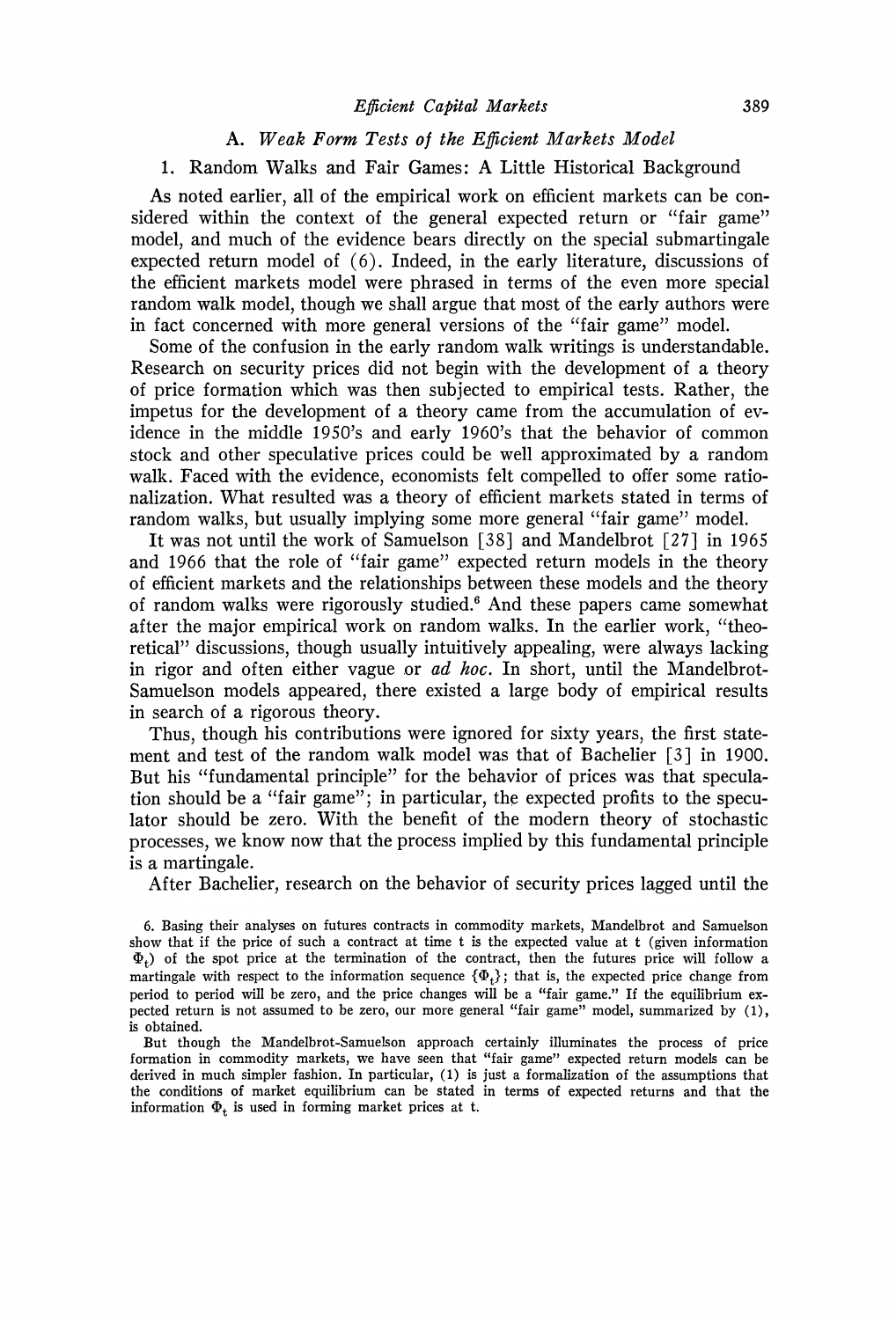# A. Weak Form Tests of the Efficient Markets Model

### 1. Random Walks and Fair Games: A Little Historical Background

As noted earlier, all of the empirical work on efficient markets can be considered within the context of the general expected return or "fair game" model, and much of the evidence bears directly on the special submartingale expected return model of (6). Indeed, in the early literature, discussions of the efficient markets model were phrased in terms of the even more special random walk model, though we shall argue that most of the early authors were in fact concerned with more general versions of the "fair game" model.

Some of the confusion in the early random walk writings is understandable. Research on security prices did not begin with the development of a theory of price formation which was then subjected to empirical tests. Rather, the impetus for the development of a theory came from the accumulation of evidence in the middle 1950's and early 1960's that the behavior of common stock and other speculative prices could be well approximated by a random walk. Faced with the evidence, economists felt compelled to offer some rationalization. What resulted was a theory of efficient markets stated in terms of random walks, but usually implying some more general "fair game" model.

It was not until the work of Samuelson [38] and Mandelbrot [27] in 1965 and 1966 that the role of "fair game" expected return models in the theory of efficient markets and the relationships between these models and the theory of random walks were rigorously studied.<sup>6</sup> And these papers came somewhat after the major empirical work on random walks. In the earlier work, "theoretical" discussions, though usually intuitively appealing, were always lacking in rigor and often either vague or ad hoc. In short, until the Mandelbrot-Samuelson models appeared, there existed a large body of empirical results in search of a rigorous theory.

Thus, though his contributions were ignored for sixty years, the first statement and test of the random walk model was that of Bachelier [3] in 1900. But his "fundamental principle" for the behavior of prices was that speculation should be a "fair game"; in particular, the expected profits to the speculator should be zero. With the benefit of the modern theory of stochastic processes, we know now that the process implied by this fundamental principle is a martingale.

After Bachelier, research on the behavior of security prices lagged until the

6. Basing their analyses on futures contracts in commodity markets, Mandelbrot and Samuelson show that if the price of such a contract at time t is the expected value at t (given information  $\Phi_t$ ) of the spot price at the termination of the contract, then the futures price will follow a martingale with respect to the information sequence  $\{\Phi_t\}$ ; that is, the expected price change from period to period will be zero, and the price changes will be a "fair game." If the equilibrium expected return is not assumed to be zero, our more general "fair game" model, summarized by (1), is obtained.

But though the Mandelbrot-Samuelson approach certainly illuminates the process of price formation in commodity markets, we have seen that "fair game" expected return models can be derived in much simpler fashion. In particular, (1) is just a formalization of the assumptions that<br>the conditions of market equilibrium can be stated in terms of expected returns and that the information  $\Phi_t$  is used in forming market prices at t.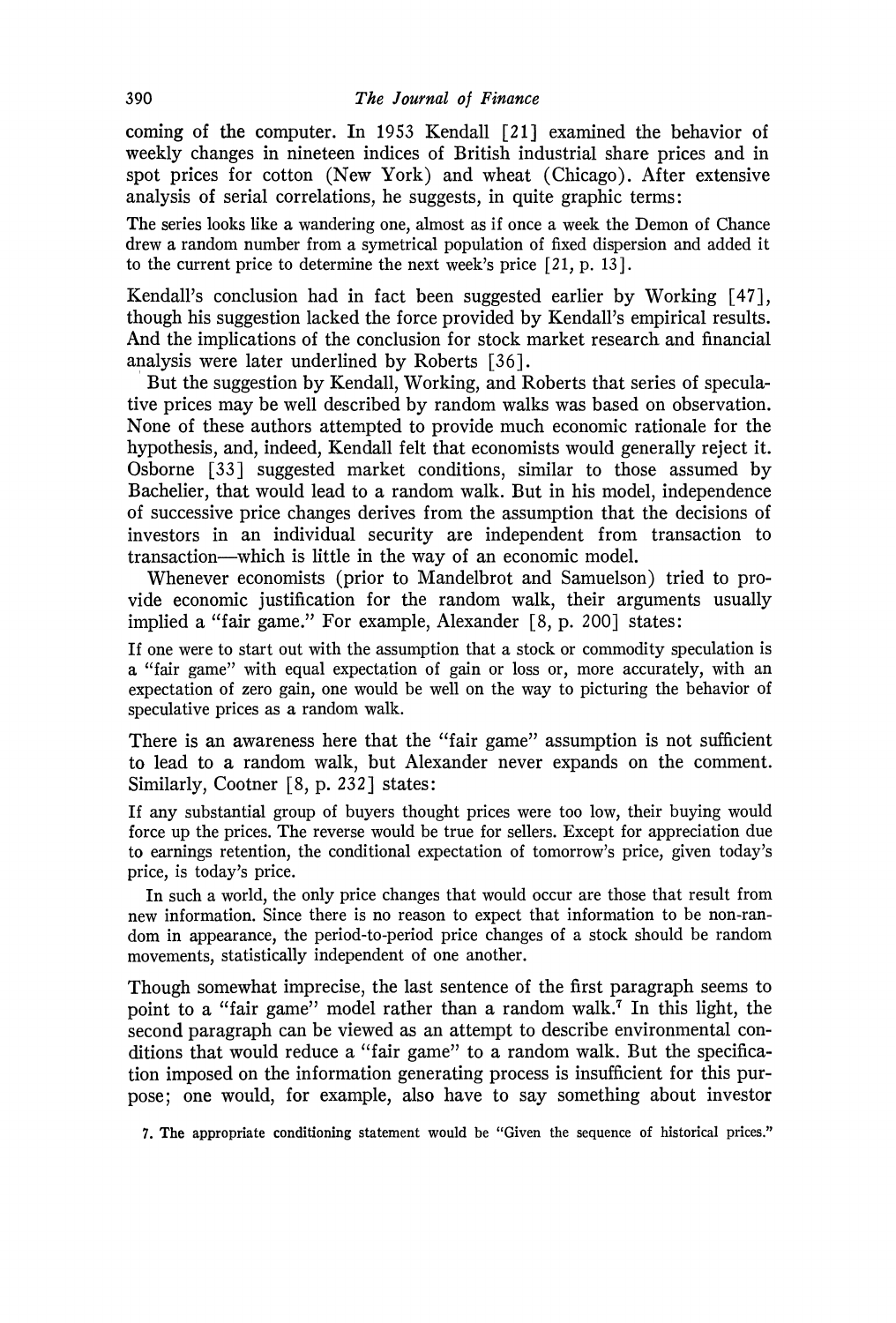coming of the computer. In 1953 Kendall [21] examined the behavior of weekly changes in nineteen indices of British industrial share prices and in spot prices for cotton (New York) and wheat (Chicago). After extensive analysis of serial correlations, he suggests, in quite graphic terms:

The series looks like a wandering one, almost as if once a week the Demon of Chance drew a random number from a symetrical population of fixed dispersion and added it to the current price to determine the next week's price  $[21, p. 13]$ .

Kendall's conclusion had in fact been suggested earlier by Working [47], though his suggestion lacked the force provided by Kendall's empirical results. And the implications of the conclusion for stock market research and financial analysis were later underlined by Roberts [36].

But the suggestion by Kendall, Working, and Roberts that series of speculative prices may be well described by random walks was based on observation. None of these authors attempted to provide much economic rationale for the hypothesis, and, indeed, Kendall felt that economists would generally reject it. Osborne [33] suggested market conditions, similar to those assumed by Bachelier, that would lead to a random walk. But in his model, independence of successive price changes derives from the assumption that the decisions of investors in an individual security are independent from transaction to transaction—which is little in the way of an economic model.

Whenever economists (prior to Mandelbrot and Samuelson) tried to provide economic justification for the random walk, their arguments usually implied a "fair game." For example, Alexander [8, p. 200] states:

If one were to start out with the assumption that a stock or commodity speculation is a "fair game" with equal expectation of gain or loss or, more accurately, with an expectation of zero gain, one would be well on the way to picturing the behavior of speculative prices as a random walk.

There is an awareness here that the "fair game" assumption is not sufficient to lead to a random walk, but Alexander never expands on the comment. Similarly, Cootner [8, p. 232] states:

If any substantial group of buyers thought prices were too low, their buying would force up the prices. The reverse would be true for sellers. Except for appreciation due to earnings retention, the conditional expectation of tomorrow's price, given today's price, is today's price.

In such a world, the only price changes that would occur are those that result from new information. Since there is no reason to expect that information to be non-random in appearance, the period-to-period price changes of a stock should be random movements, statistically independent of one another.

Though somewhat imprecise, the last sentence of the first paragraph seems to point to a "fair game" model rather than a random walk.<sup>7</sup> In this light, the second paragraph can be viewed as an attempt to describe environmental conditions that would reduce a "fair game" to a random walk. But the specification imposed on the information generating process is insufficient for this purpose; one would, for example, also have to say something about investor

7. The appropriate conditioning statement would be "Given the sequence of historical prices."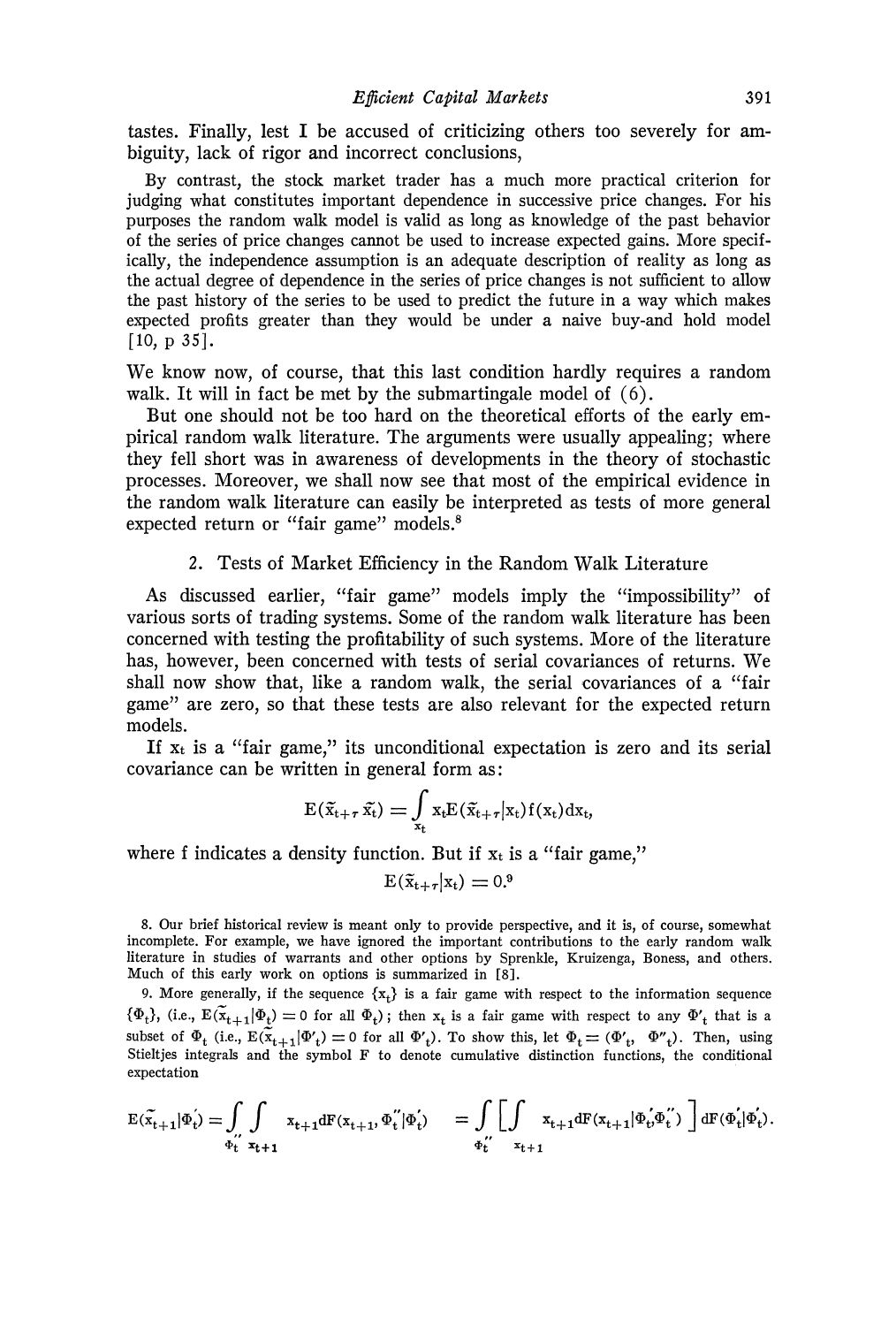tastes. Finally, lest I be accused of criticizing others too severely for ambiguity, lack of rigor and incorrect conclusions,

By contrast, the stock market trader has a much more practical criterion for judging what constitutes important dependence in successive price changes. For his purposes the random walk model is valid as long as knowledge of the past behavior of the series of price changes cannot be used to increase expected gains. More specifically, the independence assumption is an adequate description of reality as long as the actual degree of dependence in the series of price changes is not sufficient to allow the past history of the series to be used to predict the future in a way which makes expected profits greater than they would be under a naive buy-and hold model  $[10, p 35].$ 

We know now, of course, that this last condition hardly requires a random walk. It will in fact be met by the submartingale model of (6).

But one should not be too hard on the theoretical efforts of the early empirical random walk literature. The arguments were usually appealing; where they fell short was in awareness of developments in the theory of stochastic processes. Moreover, we shall now see that most of the empirical evidence in the random walk literature can easily be interpreted as tests of more general expected return or "fair game" models.<sup>8</sup>

# 2. Tests of Market Efficiency in the Random Walk Literature

As discussed earlier, "fair game" models imply the "impossibility" of various sorts of trading systems. Some of the random walk literature has been concerned with testing the profitability of such systems. More of the literature has, however, been concerned with tests of serial covariances of returns. We shall now show that, like a random walk, the serial covariances of a "fair game" are zero, so that these tests are also relevant for the expected return models.

If  $x_t$  is a "fair game," its unconditional expectation is zero and its serial covariance can be written in general form as:

$$
E(\tilde{x}_{t+\tau}\tilde{x_t}) = \int_{x_t} x_t E(\tilde{x}_{t+\tau}|x_t) f(x_t) dx_t,
$$

where f indicates a density function. But if  $x_t$  is a "fair game,"

 $E(\tilde{x}_{t+\tau}|x_t)=0.9$ 

8. Our brief historical review is meant only to provide perspective, and it is, of course, somewhat incomplete. For example, we have ignored the important contributions to the early random walk literature in studies of warrants and other options by Sprenkle, Kruizenga, Boness, and others. Much of this early work on options is summarized in [8].

9. More generally, if the sequence  $\{x_t\}$  is a fair game with respect to the information sequence  $\{\Phi_t\}$ , (i.e.,  $E(\mathbf{x}_{t+1}|\Phi_t) = 0$  for all  $\Phi_t$ ); then  $\mathbf{x}_t$  is a fair game with respect to any  $\Phi'_t$  that is a subset of  $\Phi_t$  (i.e.,  $E(\tilde{x}_{t+1}|\Phi'_t) = 0$  for all  $\Phi'_t$ ). To show this, let  $\Phi_t = (\Phi'_t, \Phi''_t)$ . Then, using Stieltjes integrals and the symbol F to denote cumulative distinction functions, the conditional expectation

$$
E(\tilde{x}_{t+1}|\Phi_t) = \int\limits_{\Phi_t^{\prime\prime}}\int\limits_{x_{t+1}}x_{t+1}dF(x_{t+1},\Phi_t^{\prime\prime}|\Phi_t^{\prime}) = \int\limits_{\Phi_t^{\prime\prime}}\bigg[\int\limits_{x_{t+1}}x_{t+1}dF(x_{t+1}|\Phi_t^{\prime}\Phi_t^{\prime\prime})\bigg]\,dF(\Phi_t^{'}|\Phi_t^{\prime}).
$$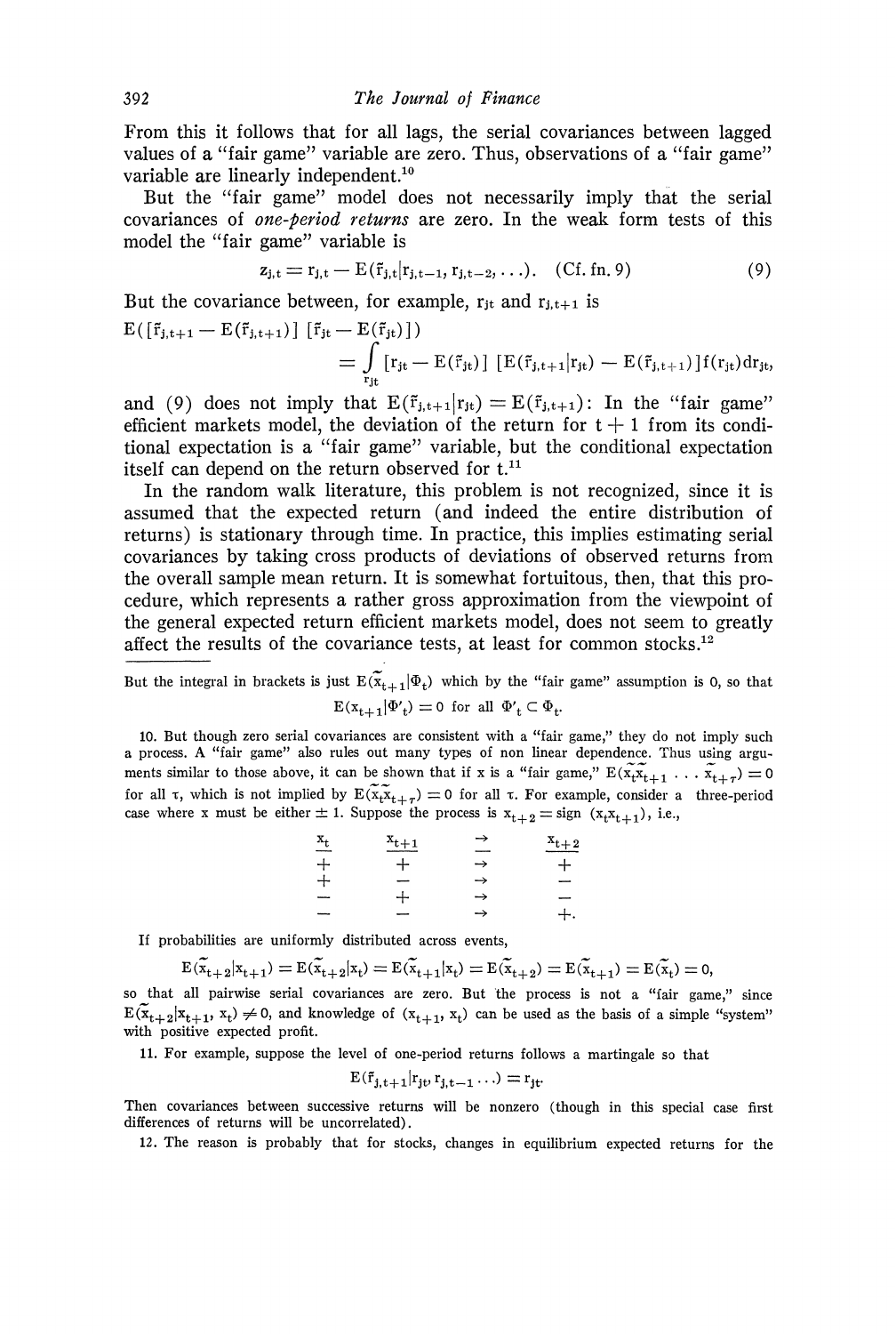From this it follows that for all lags, the serial covariances between lagged values of a "fair game" variable are zero. Thus, observations of a "fair game" variable are linearly independent.<sup>10</sup>

But the "fair game" model does not necessarily imply that the serial covariances of *one-period returns* are zero. In the weak form tests of this model the "fair game" variable is

$$
z_{j,t} = r_{j,t} - E(\tilde{r}_{j,t}|r_{j,t-1}, r_{j,t-2}, \ldots). \quad (Cf, fn, 9)
$$
 (9)

But the covariance between, for example,  $r_{jt}$  and  $r_{j,t+1}$  is

$$
E([\tilde{r}_{j,t+1} - E(\tilde{r}_{j,t+1})] [\tilde{r}_{jt} - E(\tilde{r}_{jt})])
$$
  
=  $\int_{r_{jt}} [r_{jt} - E(\tilde{r}_{jt})] [E(\tilde{r}_{j,t+1}|r_{jt}) - E(\tilde{r}_{j,t+1})] f(r_{jt}) dr_{jt},$ 

and (9) does not imply that  $E(\tilde{r}_{j,t+1}|r_{jt}) = E(\tilde{r}_{j,t+1})$ : In the "fair game" efficient markets model, the deviation of the return for  $t + 1$  from its conditional expectation is a "fair game" variable, but the conditional expectation itself can depend on the return observed for t.<sup>11</sup>

In the random walk literature, this problem is not recognized, since it is assumed that the expected return (and indeed the entire distribution of returns) is stationary through time. In practice, this implies estimating serial covariances by taking cross products of deviations of observed returns from the overall sample mean return. It is somewhat fortuitous, then, that this procedure, which represents a rather gross approximation from the viewpoint of the general expected return efficient markets model, does not seem to greatly affect the results of the covariance tests, at least for common stocks.<sup>12</sup>

But the integral in brackets is just  $E(\tilde{x}_{t+1}|\Phi_t)$  which by the "fair game" assumption is 0, so that  $E(x_{t+1}|\Phi'_t) = 0$  for all  $\Phi'_t \subset \Phi_t$ .

10. But though zero serial covariances are consistent with a "fair game," they do not imply such a process. A "fair game" also rules out many types of non linear dependence. Thus using arguments similar to those above, it can be shown that if x is a "fair game,"  $E(\tilde{x}_{t}\tilde{x}_{t+1} \ldots \tilde{x}_{t+\tau}) = 0$ for all  $\tau$ , which is not implied by  $E(\tilde{x}_t \tilde{x}_{t+\tau}) = 0$  for all  $\tau$ . For example, consider a three-period case where x must be either  $\pm$  1. Suppose the process is  $x_{t+2} =$  sign  $(x_t x_{t+1})$ , i.e.,

| $\frac{x_t}{x}$          | $\frac{x_{t+1}}{x_{t+1}}$ | $\rightarrow$ | $\frac{x_{t+2}}{x_{t+2}}$     |
|--------------------------|---------------------------|---------------|-------------------------------|
|                          |                           |               |                               |
| $^{+}$                   | $+$                       | $\rightarrow$ | $+$                           |
| $+$                      |                           | $\rightarrow$ | $\overline{\phantom{m}}$      |
| $\overline{\phantom{a}}$ | $+$                       | $\rightarrow$ | $\overbrace{\phantom{aaaaa}}$ |
| $\overline{\phantom{a}}$ | $\overline{\phantom{0}}$  | $\rightarrow$ | ⊹.                            |

If probabilities are uniformly distributed across events,

$$
E(\widetilde{x}_{t+2}|x_{t+1})=E(\widetilde{x}_{t+2}|x_t)=E(\widetilde{x}_{t+1}|x_t)=E(\widetilde{x}_{t+2})=E(\widetilde{x}_{t+1})=E(\widetilde{x}_t)=0,
$$

so that all pairwise serial covariances are zero. But the process is not a "fair game," since  $E(\tilde{x}_{t+2}|x_{t+1}, x_t) \neq 0$ , and knowledge of  $(x_{t+1}, x_t)$  can be used as the basis of a simple "system" with positive expected profit.

11. For example, suppose the level of one-period returns follows a martingale so that

$$
E(\tilde{r}_{j,t+1}|r_{jt},r_{j,t-1}\ldots)=r_{jt}.
$$

Then covariances between successive returns will be nonzero (though in this special case first differences of returns will be uncorrelated).

12. The reason is probably that for stocks, changes in equilibrium expected returns for the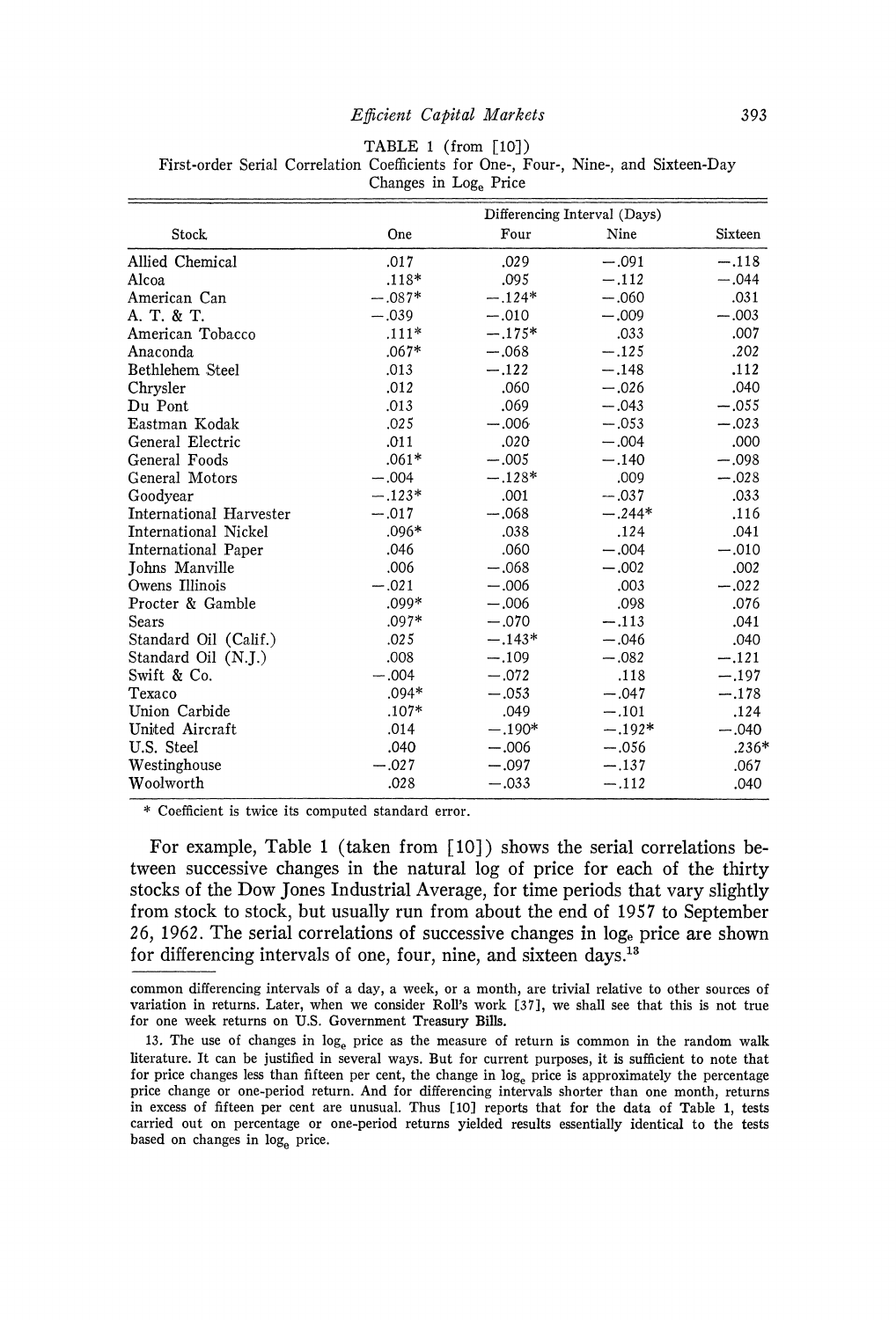| $\epsilon$ <i>changes</i> in $\mu$ <sub>068</sub> x nee |          |                              |          |         |  |  |  |
|---------------------------------------------------------|----------|------------------------------|----------|---------|--|--|--|
|                                                         |          | Differencing Interval (Days) |          |         |  |  |  |
| <b>Stock</b>                                            | One      | Four                         | Nine     | Sixteen |  |  |  |
| Allied Chemical                                         | .017     | .029                         | $-.091$  | $-.118$ |  |  |  |
| Alcoa                                                   | $.118*$  | .095                         | $-.112$  | $-.044$ |  |  |  |
| American Can                                            | $-.087*$ | $-.124*$                     | $-.060$  | .031    |  |  |  |
| A. T. & T.                                              | $-.039$  | $-.010$                      | $-.009$  | $-.003$ |  |  |  |
| American Tobacco                                        | $.111*$  | $-.175*$                     | .033     | .007    |  |  |  |
| Anaconda                                                | $.067*$  | $-.068$                      | $-.125$  | .202    |  |  |  |
| Bethlehem Steel                                         | .013     | $-.122$                      | $-.148$  | .112    |  |  |  |
| Chrysler                                                | .012     | .060                         | $-.026$  | .040    |  |  |  |
| Du Pont                                                 | .013     | .069                         | $-.043$  | $-.055$ |  |  |  |
| Eastman Kodak                                           | .025     | $-.006$                      | $-.053$  | $-.023$ |  |  |  |
| General Electric                                        | .011     | .020                         | $-.004$  | .000    |  |  |  |
| General Foods                                           | $.061*$  | $-.005$                      | $-.140$  | $-.098$ |  |  |  |
| General Motors                                          | $-.004$  | $-.128*$                     | .009     | $-.028$ |  |  |  |
| Goodyear                                                | $-.123*$ | .001                         | $-.037$  | .033    |  |  |  |
| International Harvester                                 | $-.017$  | $-.068$                      | $-.244*$ | .116    |  |  |  |
| International Nickel                                    | $.096*$  | .038                         | .124     | .041    |  |  |  |
| International Paper                                     | .046     | .060                         | $-.004$  | $-.010$ |  |  |  |
| Johns Manville                                          | ,006     | $-.068$                      | $-.002$  | .002    |  |  |  |
| Owens Illinois                                          | $-.021$  | $-.006$                      | .003     | $-.022$ |  |  |  |
| Procter & Gamble                                        | .099*    | $-.006$                      | .098     | .076    |  |  |  |
| Sears                                                   | $.097*$  | $-.070$                      | $-.113$  | .041    |  |  |  |
| Standard Oil (Calif.)                                   | .025     | $-.143*$                     | $-.046$  | .040    |  |  |  |
| Standard Oil (N.J.)                                     | .008     | $-.109$                      | $-.082$  | $-.121$ |  |  |  |
| Swift & Co.                                             | $-.004$  | $-.072$                      | .118     | $-.197$ |  |  |  |
| Texaco                                                  | .094*    | $-.053$                      | $-.047$  | $-.178$ |  |  |  |
| Union Carbide                                           | $.107*$  | .049                         | $-.101$  | .124    |  |  |  |
| United Aircraft                                         | .014     | $-.190*$                     | $-.192*$ | $-.040$ |  |  |  |
| U.S. Steel                                              | .040     | $-.006$                      | $-.056$  | $.236*$ |  |  |  |
| Westinghouse                                            | $-.027$  | $-.097$                      | $-.137$  | .067    |  |  |  |
| Woolworth                                               | .028     | $-.033$                      | $-.112$  | .040    |  |  |  |

TABLE 1 (from [10]) First-order Serial Correlation Coefficients for One-, Four-, Nine-, and Sixteen-Day Changes in Log. Price

\* Coefficient is twice its computed standard error.

For example, Table 1 (taken from [10]) shows the serial correlations between successive changes in the natural log of price for each of the thirty stocks of the Dow Jones Industrial Average, for time periods that vary slightly from stock to stock, but usually run from about the end of 1957 to September 26, 1962. The serial correlations of successive changes in log<sub>e</sub> price are shown for differencing intervals of one, four, nine, and sixteen days.<sup>13</sup>

common differencing intervals of a day, a week, or a month, are trivial relative to other sources of variation in returns. Later, when we consider Roll's work [37], we shall see that this is not true for one week returns on U.S. Government Treasury Bills.

<sup>13.</sup> The use of changes in  $log_e$  price as the measure of return is common in the random walk literature. It can be justified in several ways. But for current purposes, it is sufficient to note that for price changes less than fifteen per cent, the change in  $log<sub>e</sub>$  price is approximately the percentage price change or one-period return. And for differencing intervals shorter than one month, returns in excess of fifteen per cent are unusual. Thus [10] reports that for the data of Table 1, tests carried out on percentage or one-period returns yielded results essentially identical to the tests based on changes in log, price.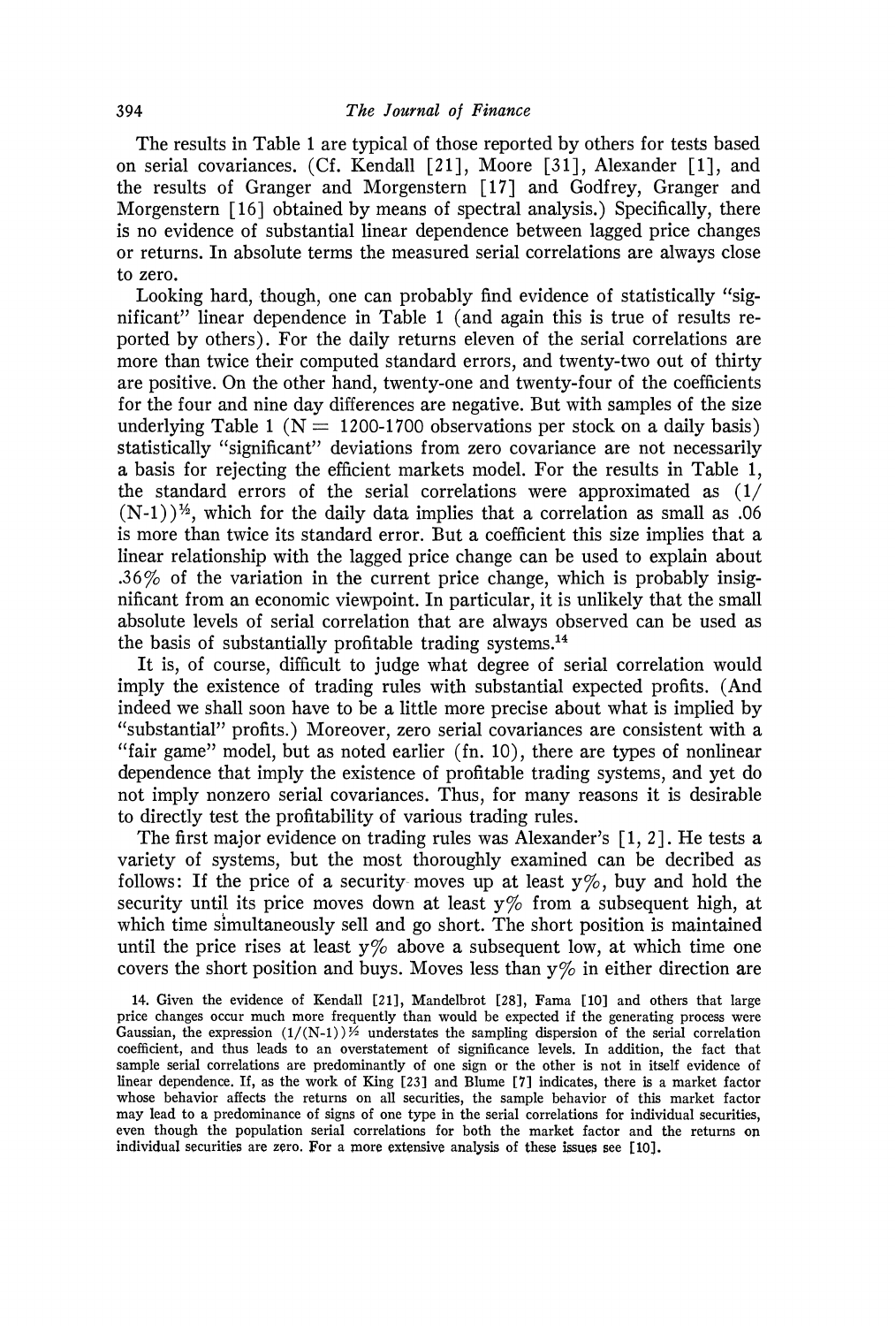The results in Table 1 are typical of those reported by others for tests based on serial covariances. (Cf. Kendall [21], Moore [31], Alexander [1], and the results of Granger and Morgenstern [17] and Godfrey, Granger and Morgenstern [16] obtained by means of spectral analysis.) Specifically, there is no evidence of substantial linear dependence between lagged price changes or returns. In absolute terms the measured serial correlations are always close to zero.

Looking hard, though, one can probably find evidence of statistically "significant" linear dependence in Table 1 (and again this is true of results reported by others). For the daily returns eleven of the serial correlations are more than twice their computed standard errors, and twenty-two out of thirty are positive. On the other hand, twenty-one and twenty-four of the coefficients for the four and nine day differences are negative. But with samples of the size underlying Table 1 ( $N = 1200-1700$  observations per stock on a daily basis) statistically "significant" deviations from zero covariance are not necessarily a basis for rejecting the efficient markets model. For the results in Table 1, the standard errors of the serial correlations were approximated as  $(1)$  $(N-1)$ <sup>1/2</sup>, which for the daily data implies that a correlation as small as 0.06 is more than twice its standard error. But a coefficient this size implies that a linear relationship with the lagged price change can be used to explain about .36% of the variation in the current price change, which is probably insignificant from an economic viewpoint. In particular, it is unlikely that the small absolute levels of serial correlation that are always observed can be used as the basis of substantially profitable trading systems.<sup>14</sup>

It is, of course, difficult to judge what degree of serial correlation would imply the existence of trading rules with substantial expected profits. (And indeed we shall soon have to be a little more precise about what is implied by "substantial" profits.) Moreover, zero serial covariances are consistent with a "fair game" model, but as noted earlier (fn. 10), there are types of nonlinear dependence that imply the existence of profitable trading systems, and yet do not imply nonzero serial covariances. Thus, for many reasons it is desirable to directly test the profitability of various trading rules.

The first major evidence on trading rules was Alexander's [1, 2]. He tests a variety of systems, but the most thoroughly examined can be decribed as follows: If the price of a security moves up at least  $y\%$ , buy and hold the security until its price moves down at least  $y\%$  from a subsequent high, at which time simultaneously sell and go short. The short position is maintained until the price rises at least  $y\%$  above a subsequent low, at which time one covers the short position and buys. Moves less than  $y\%$  in either direction are

<sup>14.</sup> Given the evidence of Kendall [21], Mandelbrot [28], Fama [10] and others that large price changes occur much more frequently than would be expected if the generating process were Gaussian, the expression  $(1/(N-1))$ <sup>1/2</sup> understates the sampling dispersion of the serial correlation coefficient, and thus leads to an overstatement of significance levels. In addition, the fact that sample serial correlations are predominantly of one sign or the other is not in itself evidence of linear dependence. If, as the work of King [23] and Blume [7] indicates, there is a market factor whose behavior affects the returns on all securities, the sample behavior of this market factor may lead to a predominance of signs of one type in the serial correlations for individual securities, even though the population serial correlations for both the market factor and the returns on individual securities are zero. For a more extensive analysis of these issues see [10].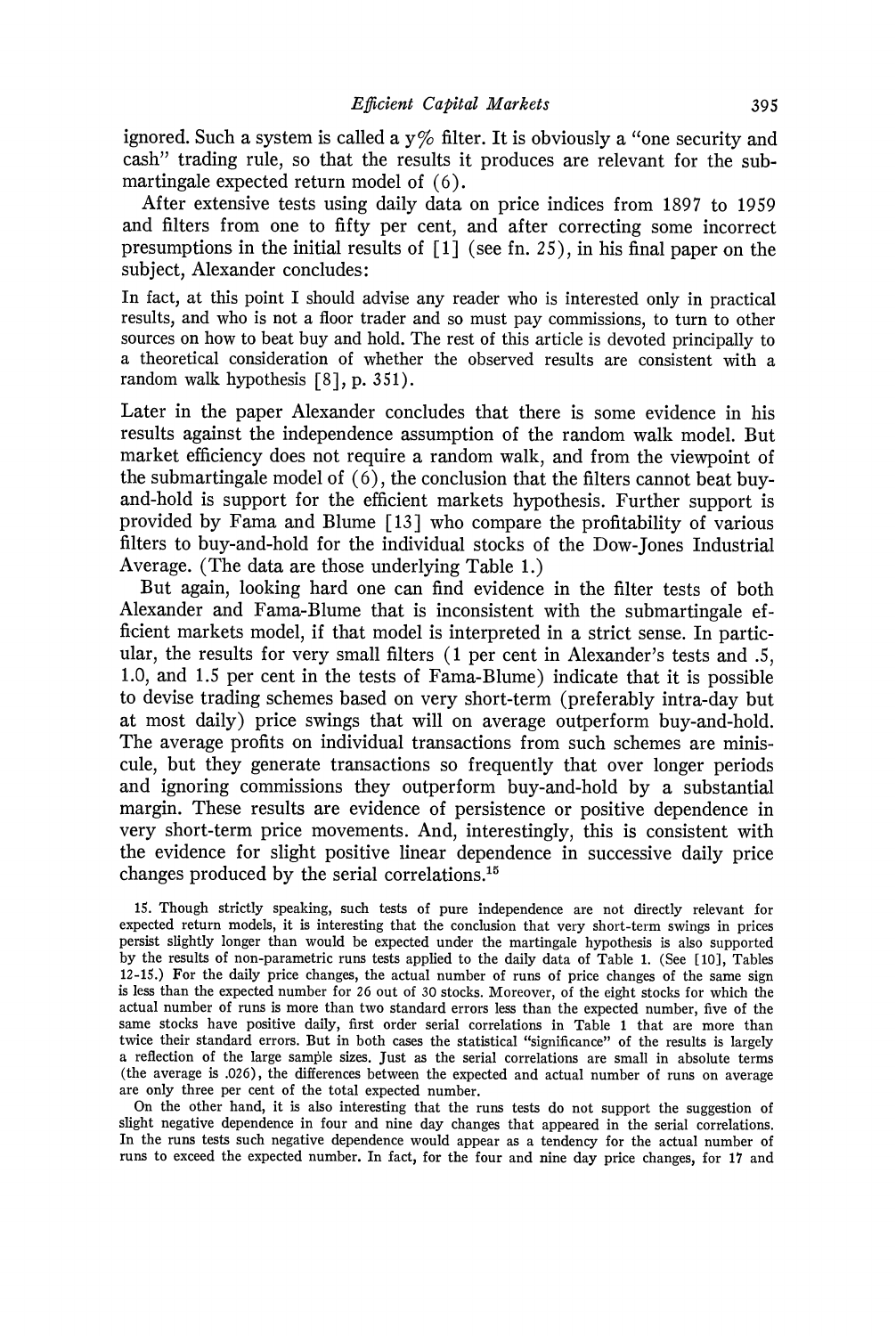ignored. Such a system is called a  $y\%$  filter. It is obviously a "one security and cash" trading rule, so that the results it produces are relevant for the submartingale expected return model of (6).

After extensive tests using daily data on price indices from 1897 to 1959 and filters from one to fifty per cent, and after correcting some incorrect presumptions in the initial results of  $[1]$  (see fn. 25), in his final paper on the subject. Alexander concludes:

In fact, at this point I should advise any reader who is interested only in practical results, and who is not a floor trader and so must pay commissions, to turn to other sources on how to beat buy and hold. The rest of this article is devoted principally to a theoretical consideration of whether the observed results are consistent with a random walk hypothesis [8], p. 351).

Later in the paper Alexander concludes that there is some evidence in his results against the independence assumption of the random walk model. But market efficiency does not require a random walk, and from the viewpoint of the submartingale model of (6), the conclusion that the filters cannot beat buyand-hold is support for the efficient markets hypothesis. Further support is provided by Fama and Blume [13] who compare the profitability of various filters to buy-and-hold for the individual stocks of the Dow-Jones Industrial Average. (The data are those underlying Table 1.)

But again, looking hard one can find evidence in the filter tests of both Alexander and Fama-Blume that is inconsistent with the submartingale efficient markets model, if that model is interpreted in a strict sense. In particular, the results for very small filters (1 per cent in Alexander's tests and .5. 1.0, and 1.5 per cent in the tests of Fama-Blume) indicate that it is possible to devise trading schemes based on very short-term (preferably intra-day but at most daily) price swings that will on average outperform buy-and-hold. The average profits on individual transactions from such schemes are miniscule, but they generate transactions so frequently that over longer periods and ignoring commissions they outperform buy-and-hold by a substantial margin. These results are evidence of persistence or positive dependence in very short-term price movements. And, interestingly, this is consistent with the evidence for slight positive linear dependence in successive daily price changes produced by the serial correlations.<sup>15</sup>

15. Though strictly speaking, such tests of pure independence are not directly relevant for expected return models, it is interesting that the conclusion that very short-term swings in prices persist slightly longer than would be expected under the martingale hypothesis is also supported by the results of non-parametric runs tests applied to the daily data of Table 1. (See [10], Tables 12-15.) For the daily price changes, the actual number of runs of price changes of the same sign is less than the expected number for 26 out of 30 stocks. Moreover, of the eight stocks for which the actual number of runs is more than two standard errors less than the expected number, five of the same stocks have positive daily, first order serial correlations in Table 1 that are more than twice their standard errors. But in both cases the statistical "significance" of the results is largely a reflection of the large sample sizes. Just as the serial correlations are small in absolute terms (the average is .026), the differences between the expected and actual number of runs on average are only three per cent of the total expected number.

On the other hand, it is also interesting that the runs tests do not support the suggestion of slight negative dependence in four and nine day changes that appeared in the serial correlations. In the runs tests such negative dependence would appear as a tendency for the actual number of runs to exceed the expected number. In fact, for the four and nine day price changes, for 17 and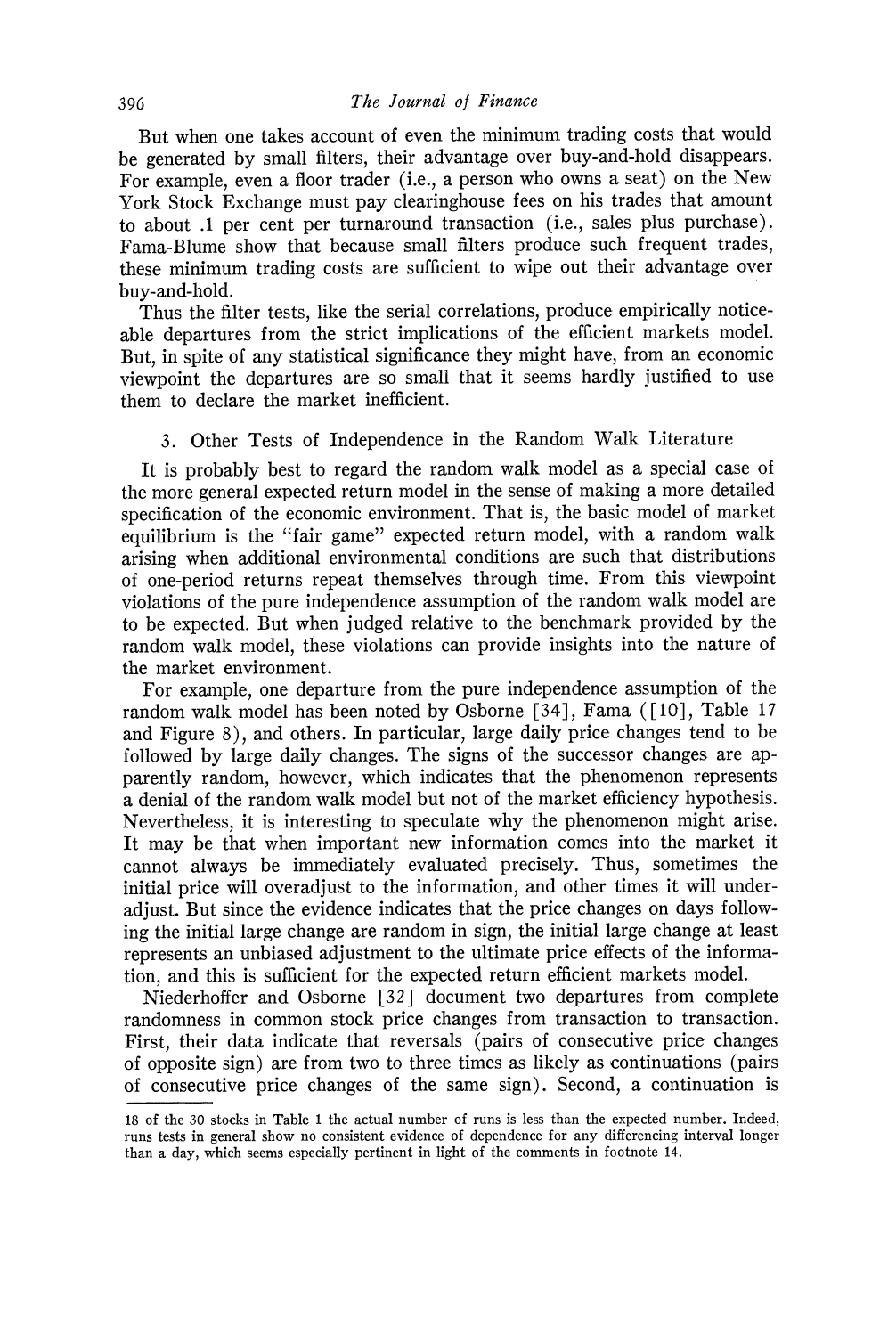But when one takes account of even the minimum trading costs that would be generated by small filters, their advantage over buy-and-hold disappears. For example, even a floor trader (i.e., a person who owns a seat) on the New York Stock Exchange must pay clearinghouse fees on his trades that amount to about .1 per cent per turnaround transaction (i.e., sales plus purchase). Fama-Blume show that because small filters produce such frequent trades. these minimum trading costs are sufficient to wipe out their advantage over buv-and-hold.

Thus the filter tests, like the serial correlations, produce empirically noticeable departures from the strict implications of the efficient markets model. But, in spite of any statistical significance they might have, from an economic viewpoint the departures are so small that it seems hardly justified to use them to declare the market inefficient.

# 3. Other Tests of Independence in the Random Walk Literature

It is probably best to regard the random walk model as a special case of the more general expected return model in the sense of making a more detailed specification of the economic environment. That is, the basic model of market equilibrium is the "fair game" expected return model, with a random walk arising when additional environmental conditions are such that distributions of one-period returns repeat themselves through time. From this viewpoint violations of the pure independence assumption of the random walk model are to be expected. But when judged relative to the benchmark provided by the random walk model, these violations can provide insights into the nature of the market environment.

For example, one departure from the pure independence assumption of the random walk model has been noted by Osborne [34], Fama ([10], Table 17 and Figure 8), and others. In particular, large daily price changes tend to be followed by large daily changes. The signs of the successor changes are apparently random, however, which indicates that the phenomenon represents a denial of the random walk model but not of the market efficiency hypothesis. Nevertheless, it is interesting to speculate why the phenomenon might arise. It may be that when important new information comes into the market it cannot always be immediately evaluated precisely. Thus, sometimes the initial price will overadjust to the information, and other times it will underadjust. But since the evidence indicates that the price changes on days following the initial large change are random in sign, the initial large change at least represents an unbiased adjustment to the ultimate price effects of the information, and this is sufficient for the expected return efficient markets model.

Niederhoffer and Osborne [32] document two departures from complete randomness in common stock price changes from transaction to transaction. First, their data indicate that reversals (pairs of consecutive price changes of opposite sign) are from two to three times as likely as continuations (pairs of consecutive price changes of the same sign). Second, a continuation is

<sup>18</sup> of the 30 stocks in Table 1 the actual number of runs is less than the expected number. Indeed, runs tests in general show no consistent evidence of dependence for any differencing interval longer than a day, which seems especially pertinent in light of the comments in footnote 14.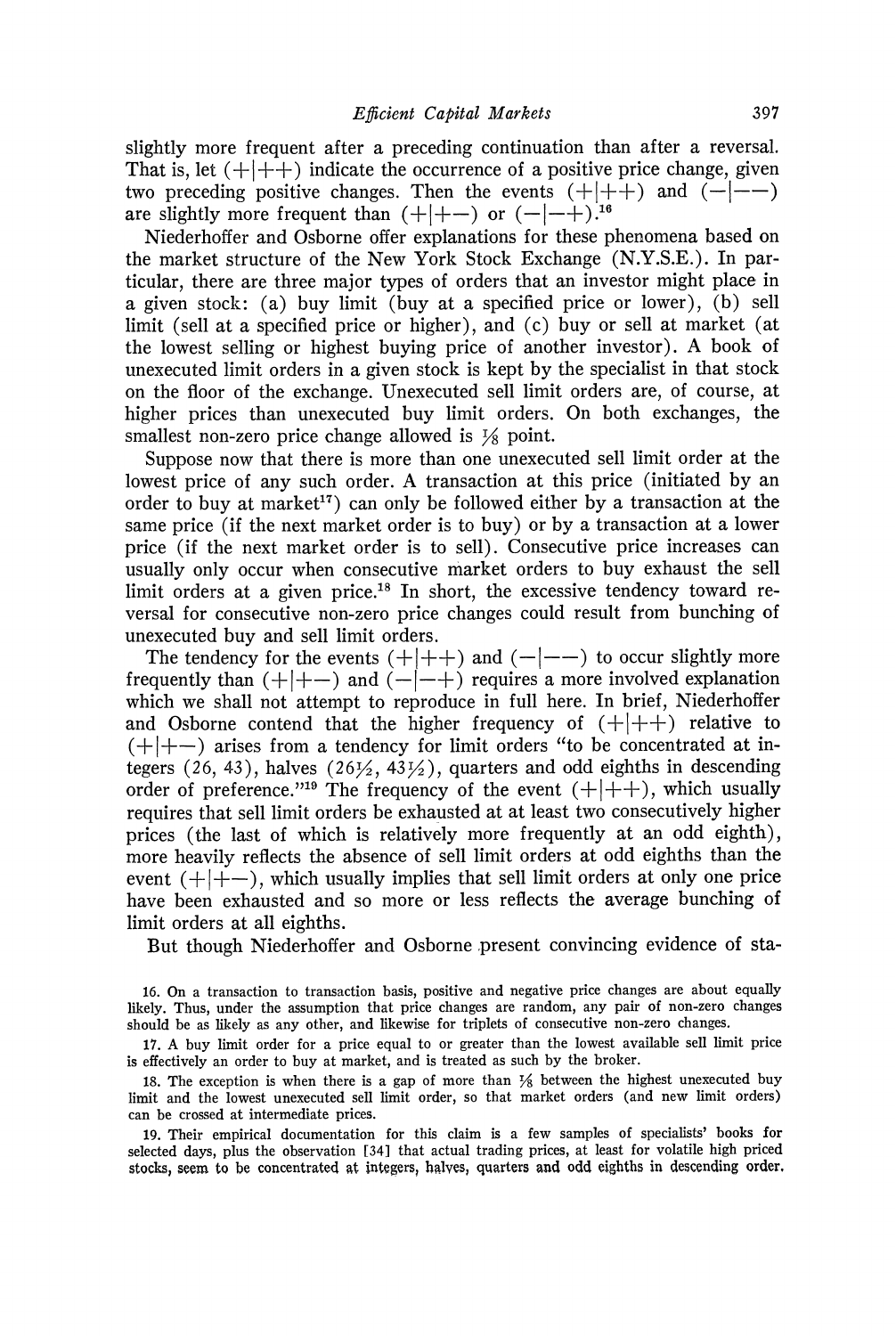slightly more frequent after a preceding continuation than after a reversal. That is, let  $(+|++)$  indicate the occurrence of a positive price change, given two preceding positive changes. Then the events  $(+|++)$  and  $(-|-+)$ are slightly more frequent than  $(+|+-)$  or  $(-|-+)^{16}$ 

Niederhoffer and Osborne offer explanations for these phenomena based on the market structure of the New York Stock Exchange (N.Y.S.E.). In particular, there are three major types of orders that an investor might place in a given stock: (a) buy limit (buy at a specified price or lower), (b) sell limit (sell at a specified price or higher), and (c) buy or sell at market (at the lowest selling or highest buying price of another investor). A book of unexecuted limit orders in a given stock is kept by the specialist in that stock on the floor of the exchange. Unexecuted sell limit orders are, of course, at higher prices than unexecuted buy limit orders. On both exchanges, the smallest non-zero price change allowed is  $\frac{1}{8}$  point.

Suppose now that there is more than one unexecuted sell limit order at the lowest price of any such order. A transaction at this price (initiated by an order to buy at market<sup>17</sup>) can only be followed either by a transaction at the same price (if the next market order is to buy) or by a transaction at a lower price (if the next market order is to sell). Consecutive price increases can usually only occur when consecutive market orders to buy exhaust the sell limit orders at a given price.<sup>18</sup> In short, the excessive tendency toward reversal for consecutive non-zero price changes could result from bunching of unexecuted buy and sell limit orders.

The tendency for the events  $(+|++)$  and  $(-|-+)$  to occur slightly more frequently than  $(+|+-)$  and  $(-|-+)$  requires a more involved explanation which we shall not attempt to reproduce in full here. In brief, Niederhoffer and Osborne contend that the higher frequency of  $(+|++)$  relative to  $(+)$  arises from a tendency for limit orders "to be concentrated at integers (26, 43), halves (26 $\frac{1}{2}$ , 43 $\frac{1}{2}$ ), quarters and odd eighths in descending order of preference."<sup>19</sup> The frequency of the event  $(+|++)$ , which usually requires that sell limit orders be exhausted at at least two consecutively higher prices (the last of which is relatively more frequently at an odd eighth), more heavily reflects the absence of sell limit orders at odd eighths than the event  $(+|+-)$ , which usually implies that sell limit orders at only one price have been exhausted and so more or less reflects the average bunching of limit orders at all eighths.

But though Niederhoffer and Osborne present convincing evidence of sta-

16. On a transaction to transaction basis, positive and negative price changes are about equally likely. Thus, under the assumption that price changes are random, any pair of non-zero changes should be as likely as any other, and likewise for triplets of consecutive non-zero changes.

17. A buy limit order for a price equal to or greater than the lowest available sell limit price is effectively an order to buy at market, and is treated as such by the broker.

18. The exception is when there is a gap of more than 1/8 between the highest unexecuted buy limit and the lowest unexecuted sell limit order, so that market orders (and new limit orders) can be crossed at intermediate prices.

19. Their empirical documentation for this claim is a few samples of specialists' books for selected days, plus the observation [34] that actual trading prices, at least for volatile high priced stocks, seem to be concentrated at integers, halves, quarters and odd eighths in descending order.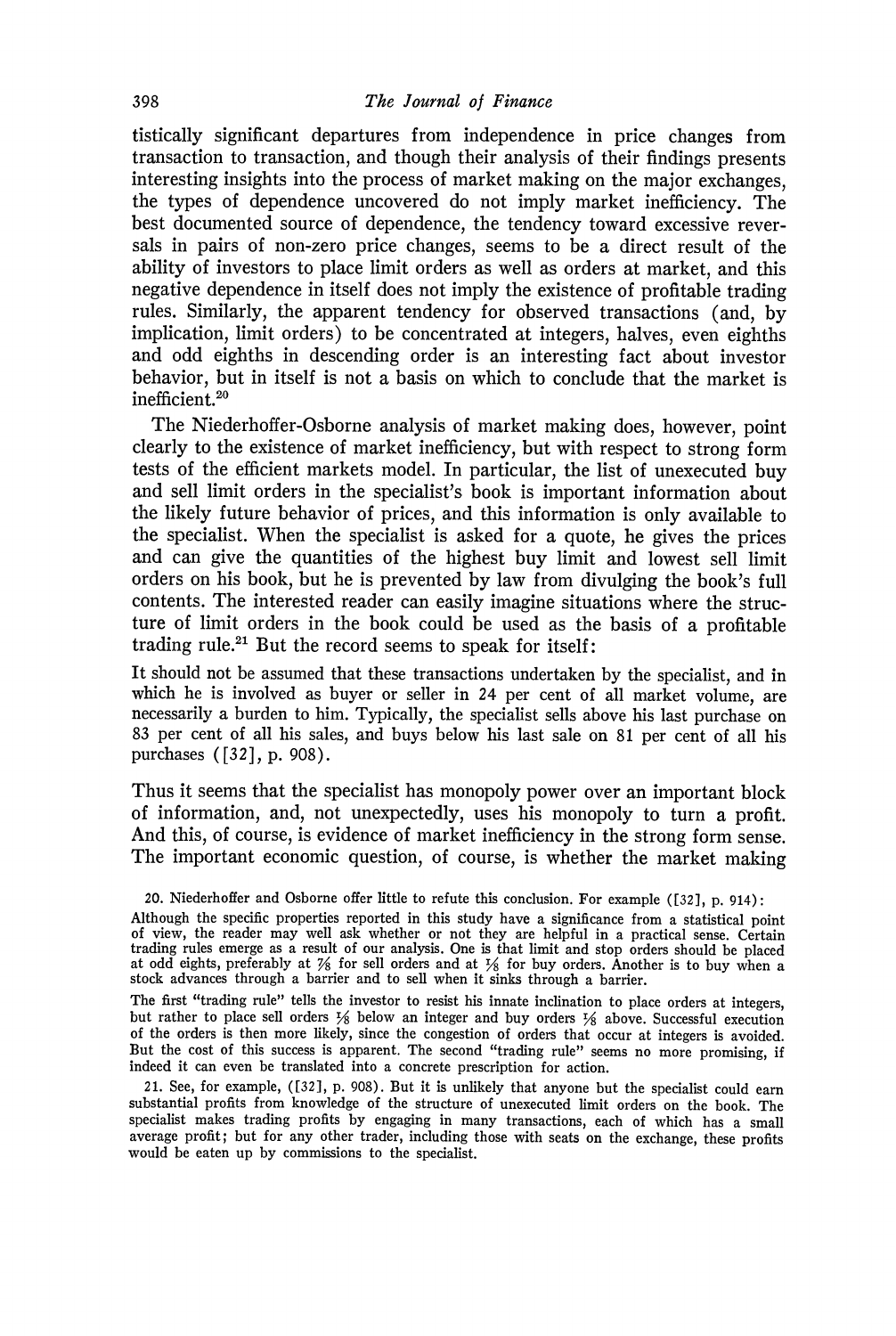tistically significant departures from independence in price changes from transaction to transaction, and though their analysis of their findings presents interesting insights into the process of market making on the major exchanges. the types of dependence uncovered do not imply market inefficiency. The best documented source of dependence, the tendency toward excessive reversals in pairs of non-zero price changes, seems to be a direct result of the ability of investors to place limit orders as well as orders at market, and this negative dependence in itself does not imply the existence of profitable trading rules. Similarly, the apparent tendency for observed transactions (and by implication, limit orders) to be concentrated at integers, halves, even eighths and odd eighths in descending order is an interesting fact about investor behavior, but in itself is not a basis on which to conclude that the market is inefficient.<sup>20</sup>

The Niederhoffer-Osborne analysis of market making does, however, point clearly to the existence of market inefficiency, but with respect to strong form tests of the efficient markets model. In particular, the list of unexecuted buy and sell limit orders in the specialist's book is important information about the likely future behavior of prices, and this information is only available to the specialist. When the specialist is asked for a quote, he gives the prices and can give the quantities of the highest buy limit and lowest sell limit orders on his book, but he is prevented by law from divulging the book's full contents. The interested reader can easily imagine situations where the structure of limit orders in the book could be used as the basis of a profitable trading rule. $21$  But the record seems to speak for itself:

It should not be assumed that these transactions undertaken by the specialist, and in which he is involved as buyer or seller in 24 per cent of all market volume, are necessarily a burden to him. Typically, the specialist sells above his last purchase on 83 per cent of all his sales, and buys below his last sale on 81 per cent of all his purchases ([32], p. 908).

Thus it seems that the specialist has monopoly power over an important block of information, and, not unexpectedly, uses his monopoly to turn a profit. And this, of course, is evidence of market inefficiency in the strong form sense. The important economic question, of course, is whether the market making

at odd eights, preferably at  $\frac{y}{6}$  for sell orders and at  $\frac{y}{6}$  for buy orders. Another is to buy when a stock advances through a barrier and to sell when it sinks through a barrier. The first "trading rule" tells the investor to resist his innate inclination to place orders at integers, but rather to place sell orders 1/8 below an integer and buy orders 1/8 above. Successful execution of the orders is then more likely, since the congestion of orders that occur at integers is avoided.

But the cost of this success is apparent. The second "trading rule" seems no more promising, if indeed it can even be translated into a concrete prescription for action.

21. See, for example, ([32], p. 908). But it is unlikely that anyone but the specialist could earn substantial profits from knowledge of the structure of unexecuted limit orders on the book. The specialist makes trading profits by engaging in many transactions, each of which has a small average profit; but for any other trader, including those with seats on the exchange, these profits would be eaten up by commissions to the specialist.

<sup>20.</sup> Niederhoffer and Osborne offer little to refute this conclusion. For example ([32], p. 914): Although the specific properties reported in this study have a significance from a statistical point of view, the reader may well ask whether or not they are helpful in a practical sense. Certain trading rules emerge as a result of our analysis. One is that limit and stop orders should be placed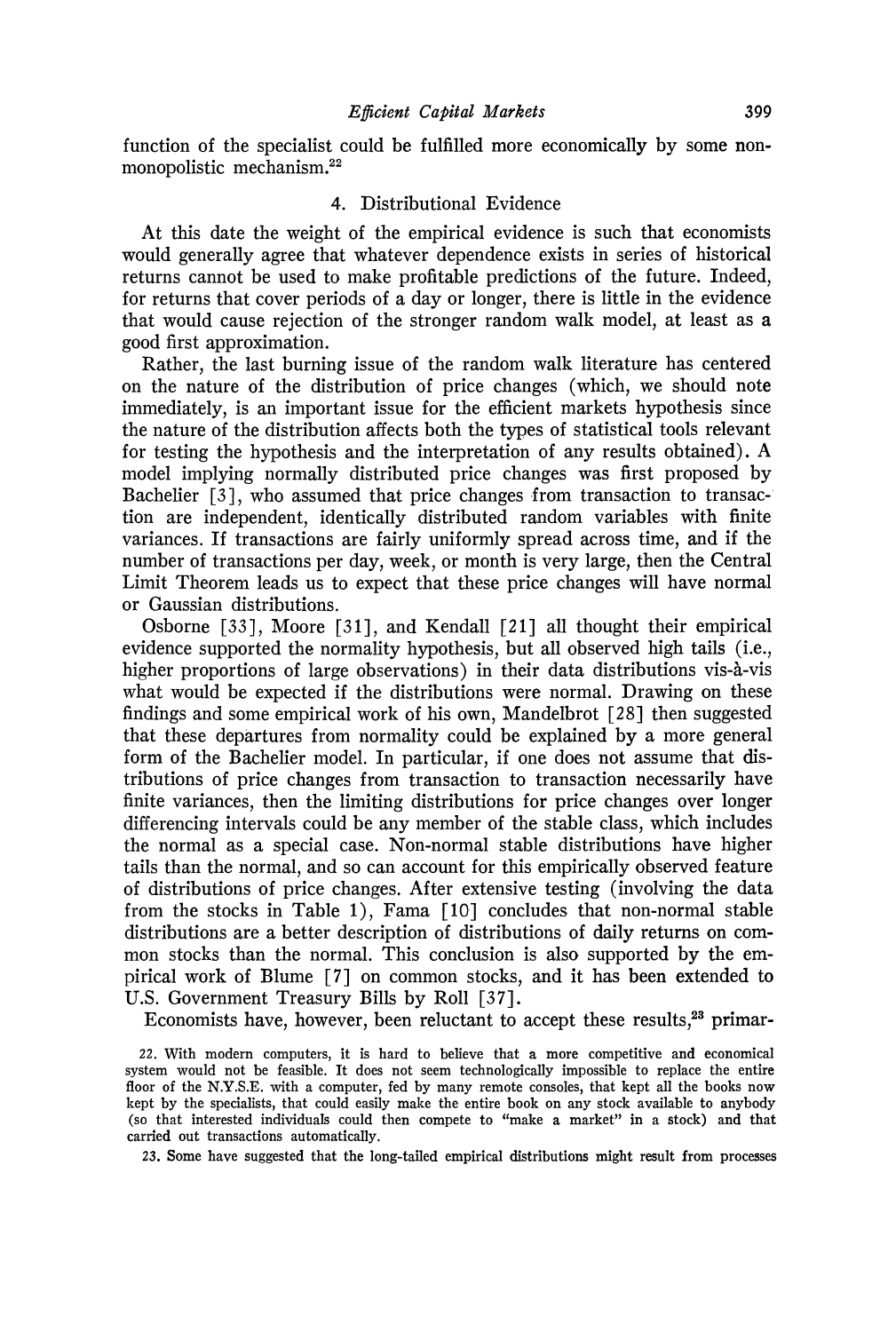function of the specialist could be fulfilled more economically by some nonmonopolistic mechanism.<sup>22</sup>

#### 4. Distributional Evidence

At this date the weight of the empirical evidence is such that economists would generally agree that whatever dependence exists in series of historical returns cannot be used to make profitable predictions of the future. Indeed, for returns that cover periods of a day or longer, there is little in the evidence that would cause rejection of the stronger random walk model, at least as a good first approximation.

Rather, the last burning issue of the random walk literature has centered on the nature of the distribution of price changes (which, we should note immediately, is an important issue for the efficient markets hypothesis since the nature of the distribution affects both the types of statistical tools relevant for testing the hypothesis and the interpretation of any results obtained). A model implying normally distributed price changes was first proposed by Bachelier [3], who assumed that price changes from transaction to transaction are independent, identically distributed random variables with finite variances. If transactions are fairly uniformly spread across time, and if the number of transactions per day, week, or month is very large, then the Central Limit Theorem leads us to expect that these price changes will have normal or Gaussian distributions.

Osborne [33], Moore [31], and Kendall [21] all thought their empirical evidence supported the normality hypothesis, but all observed high tails (i.e., higher proportions of large observations) in their data distributions vis-à-vis what would be expected if the distributions were normal. Drawing on these findings and some empirical work of his own, Mandelbrot [28] then suggested that these departures from normality could be explained by a more general form of the Bachelier model. In particular, if one does not assume that distributions of price changes from transaction to transaction necessarily have finite variances, then the limiting distributions for price changes over longer differencing intervals could be any member of the stable class, which includes the normal as a special case. Non-normal stable distributions have higher tails than the normal, and so can account for this empirically observed feature of distributions of price changes. After extensive testing (involving the data from the stocks in Table 1), Fama [10] concludes that non-normal stable distributions are a better description of distributions of daily returns on common stocks than the normal. This conclusion is also supported by the empirical work of Blume [7] on common stocks, and it has been extended to U.S. Government Treasury Bills by Roll [37].

Economists have, however, been reluctant to accept these results,<sup>23</sup> primar-

23. Some have suggested that the long-tailed empirical distributions might result from processes

<sup>22.</sup> With modern computers, it is hard to believe that a more competitive and economical system would not be feasible. It does not seem technologically impossible to replace the entire floor of the N.Y.S.E. with a computer, fed by many remote consoles, that kept all the books now kept by the specialists, that could easily make the entire book on any stock available to any body (so that interested individuals could then compete to "make a market" in a stock) and that carried out transactions automatically.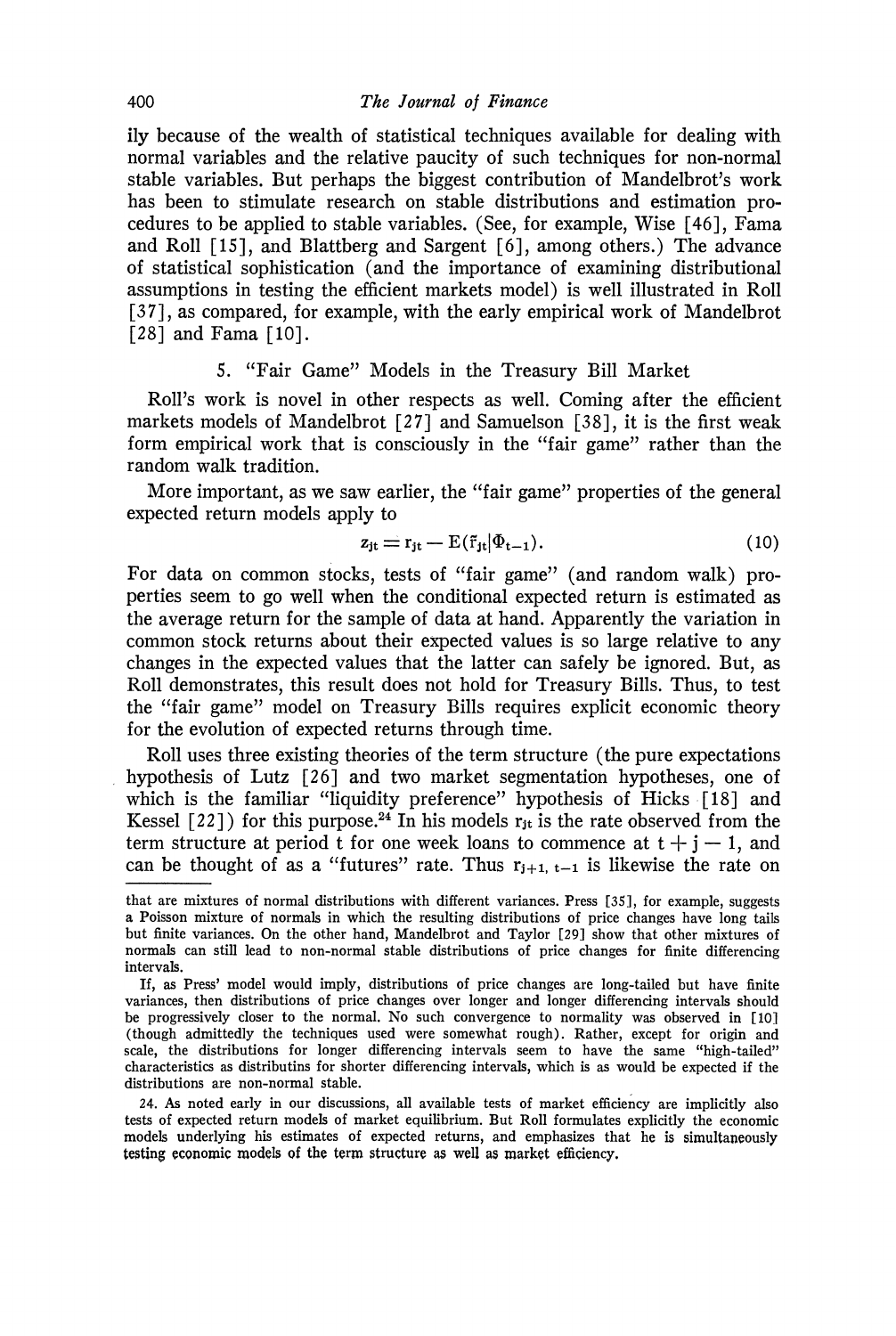ily because of the wealth of statistical techniques available for dealing with normal variables and the relative paucity of such techniques for non-normal stable variables. But perhaps the biggest contribution of Mandelbrot's work has been to stimulate research on stable distributions and estimation procedures to be applied to stable variables. (See, for example, Wise [46], Fama and Roll [15], and Blattberg and Sargent [6], among others.) The advance of statistical sophistication (and the importance of examining distributional assumptions in testing the efficient markets model) is well illustrated in Roll [37], as compared, for example, with the early empirical work of Mandelbrot  $[28]$  and Fama  $[10]$ .

### 5. "Fair Game" Models in the Treasury Bill Market

Roll's work is novel in other respects as well. Coming after the efficient markets models of Mandelbrot [27] and Samuelson [38], it is the first weak form empirical work that is consciously in the "fair game" rather than the random walk tradition.

More important, as we saw earlier, the "fair game" properties of the general expected return models apply to

$$
z_{jt} = r_{jt} - E(\tilde{r}_{jt}|\Phi_{t-1}). \qquad (10)
$$

For data on common stocks, tests of "fair game" (and random walk) properties seem to go well when the conditional expected return is estimated as the average return for the sample of data at hand. Apparently the variation in common stock returns about their expected values is so large relative to any changes in the expected values that the latter can safely be ignored. But, as Roll demonstrates, this result does not hold for Treasury Bills. Thus, to test the "fair game" model on Treasury Bills requires explicit economic theory for the evolution of expected returns through time.

Roll uses three existing theories of the term structure (the pure expectations hypothesis of Lutz [26] and two market segmentation hypotheses, one of which is the familiar "liquidity preference" hypothesis of Hicks [18] and Kessel [22]) for this purpose.<sup>24</sup> In his models  $\mathbf{r}_{it}$  is the rate observed from the term structure at period t for one week loans to commence at  $t + j - 1$ , and can be thought of as a "futures" rate. Thus  $r_{i+1, t-1}$  is likewise the rate on

that are mixtures of normal distributions with different variances. Press [35], for example, suggests a Poisson mixture of normals in which the resulting distributions of price changes have long tails but finite variances. On the other hand, Mandelbrot and Taylor [29] show that other mixtures of normals can still lead to non-normal stable distributions of price changes for finite differencing intervals.

If, as Press' model would imply, distributions of price changes are long-tailed but have finite variances, then distributions of price changes over longer and longer differencing intervals should be progressively closer to the normal. No such convergence to normality was observed in [10] (though admittedly the techniques used were somewhat rough). Rather, except for origin and scale, the distributions for longer differencing intervals seem to have the same "high-tailed" characteristics as distributins for shorter differencing intervals, which is as would be expected if the distributions are non-normal stable.

<sup>24.</sup> As noted early in our discussions, all available tests of market efficiency are implicitly also tests of expected return models of market equilibrium. But Roll formulates explicitly the economic models underlying his estimates of expected returns, and emphasizes that he is simultaneously testing economic models of the term structure as well as market efficiency.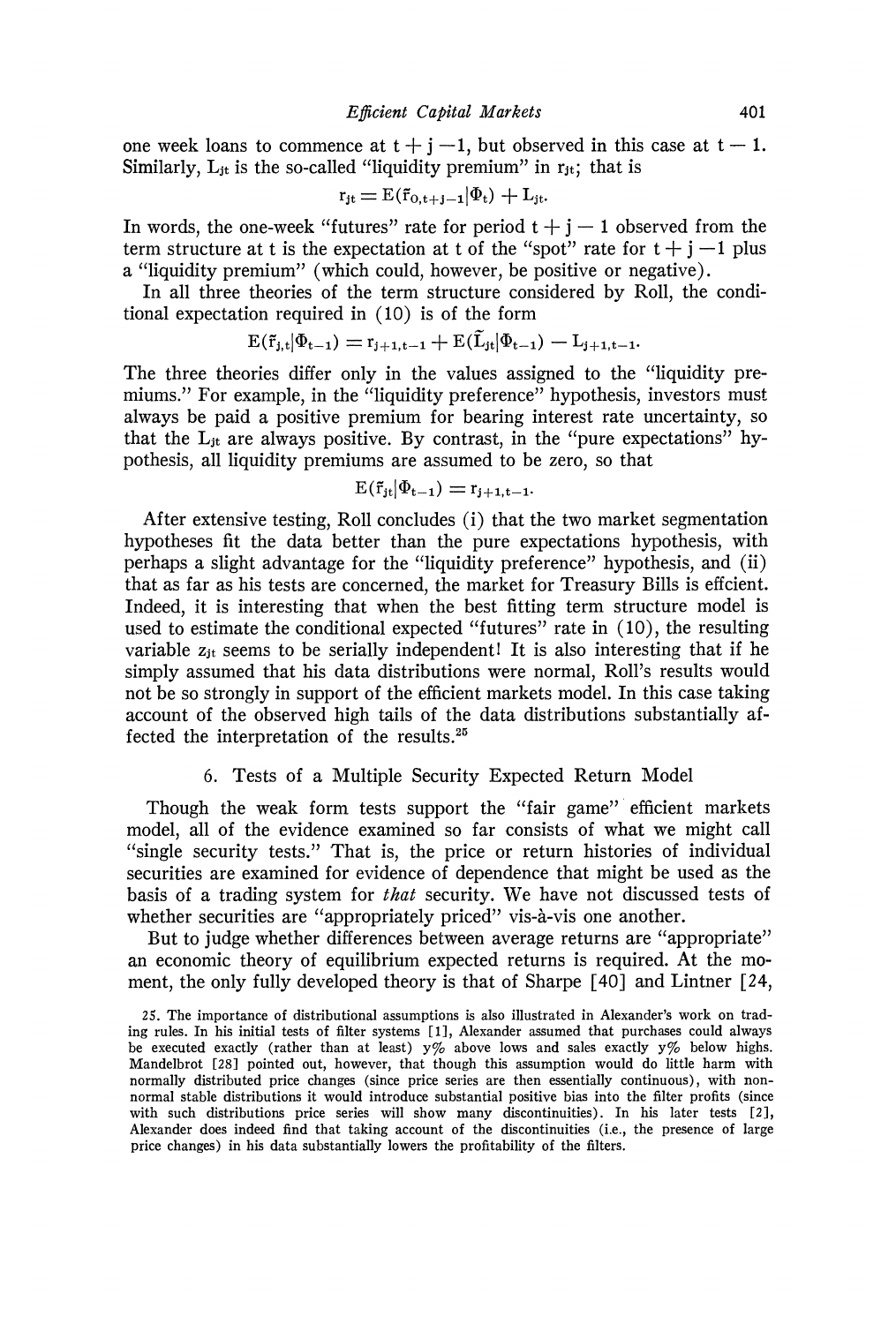one week loans to commence at  $t + j - 1$ , but observed in this case at  $t - 1$ . Similarly,  $L_{it}$  is the so-called "liquidity premium" in  $r_{it}$ ; that is

$$
r_{jt} = E(\tilde{r}_{0,t+j-1}|\Phi_t) + L_{jt}.
$$

In words, the one-week "futures" rate for period  $t + j - 1$  observed from the term structure at t is the expectation at t of the "spot" rate for  $t + j - 1$  plus a "liquidity premium" (which could, however, be positive or negative).

In all three theories of the term structure considered by Roll, the conditional expectation required in (10) is of the form

$$
E(\tilde{r}_{j,t}|\Phi_{t-1}) = r_{j+1,t-1} + E(L_{jt}|\Phi_{t-1}) - L_{j+1,t-1}.
$$

The three theories differ only in the values assigned to the "liquidity premiums." For example, in the "liquidity preference" hypothesis, investors must always be paid a positive premium for bearing interest rate uncertainty, so that the  $L_{it}$  are always positive. By contrast, in the "pure expectations" hypothesis, all liquidity premiums are assumed to be zero, so that

$$
E(\overline{r}_{jt}|\Phi_{t-1})=r_{j+1,t-1}.
$$

After extensive testing, Roll concludes (i) that the two market segmentation hypotheses fit the data better than the pure expectations hypothesis, with perhaps a slight advantage for the "liquidity preference" hypothesis, and (ii) that as far as his tests are concerned, the market for Treasury Bills is effcient. Indeed, it is interesting that when the best fitting term structure model is used to estimate the conditional expected "futures" rate in (10), the resulting variable  $z_{it}$  seems to be serially independent! It is also interesting that if he simply assumed that his data distributions were normal, Roll's results would not be so strongly in support of the efficient markets model. In this case taking account of the observed high tails of the data distributions substantially affected the interpretation of the results.<sup>25</sup>

#### 6. Tests of a Multiple Security Expected Return Model

Though the weak form tests support the "fair game" efficient markets model, all of the evidence examined so far consists of what we might call "single security tests." That is, the price or return histories of individual securities are examined for evidence of dependence that might be used as the basis of a trading system for *that* security. We have not discussed tests of whether securities are "appropriately priced" vis-à-vis one another.

But to judge whether differences between average returns are "appropriate" an economic theory of equilibrium expected returns is required. At the moment, the only fully developed theory is that of Sharpe [40] and Lintner [24,

<sup>25.</sup> The importance of distributional assumptions is also illustrated in Alexander's work on trading rules. In his initial tests of filter systems [1], Alexander assumed that purchases could always be executed exactly (rather than at least)  $y\%$  above lows and sales exactly  $y\%$  below highs. Mandelbrot [28] pointed out, however, that though this assumption would do little harm with normally distributed price changes (since price series are then essentially continuous), with nonnormal stable distributions it would introduce substantial positive bias into the filter profits (since with such distributions price series will show many discontinuities). In his later tests [2], Alexander does indeed find that taking account of the discontinuities (i.e., the presence of large price changes) in his data substantially lowers the profitability of the filters.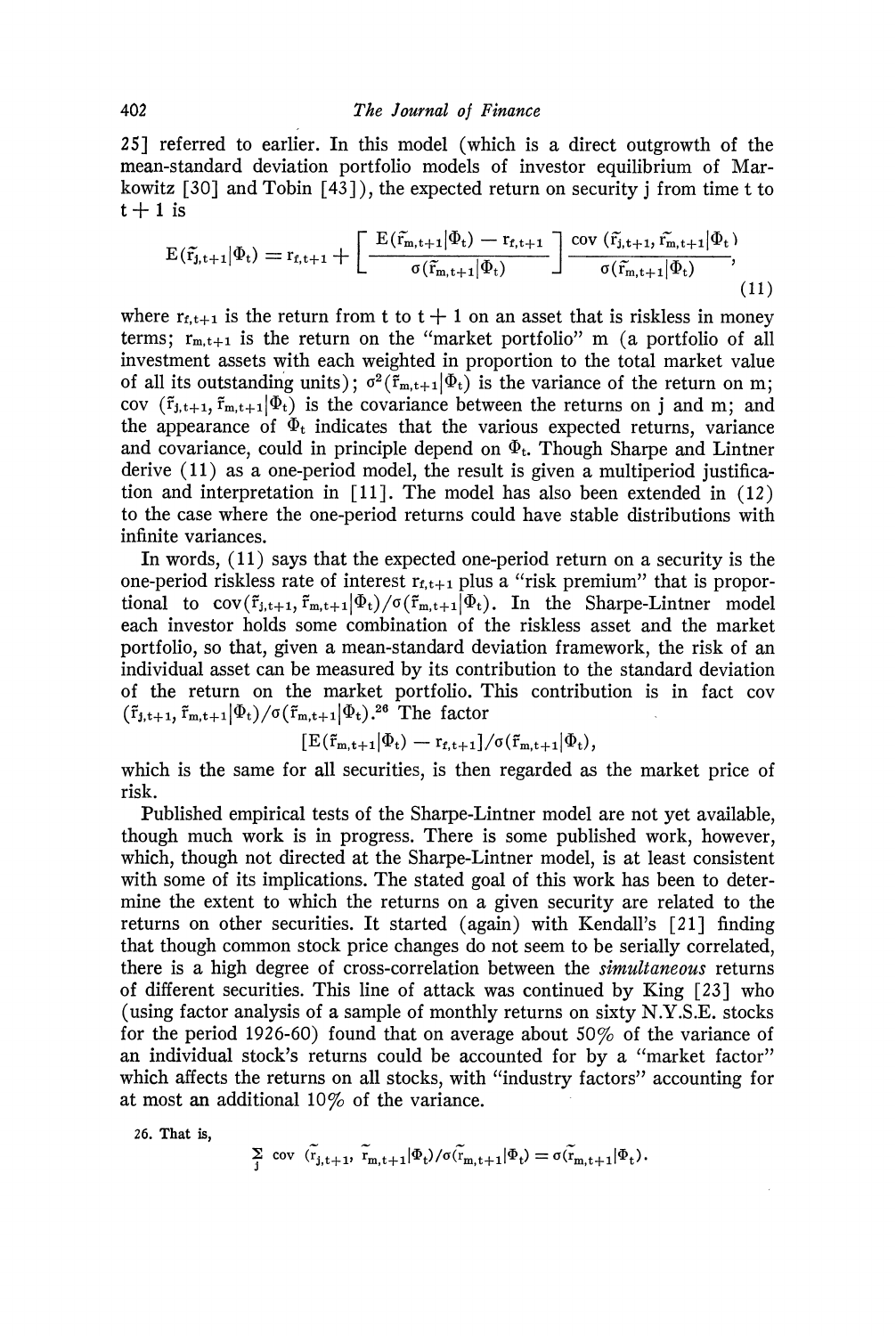25] referred to earlier. In this model (which is a direct outgrowth of the mean-standard deviation portfolio models of investor equilibrium of Markowitz  $\lceil 30 \rceil$  and Tobin  $\lceil 43 \rceil$ ), the expected return on security j from time t to  $t + 1$  is

$$
\mathrm{E}(\tilde{\mathbf{r}}_{\mathbf{j},t+1}|\Phi_t) = \mathbf{r}_{\mathbf{f},t+1} + \left[\frac{\mathrm{E}(\tilde{\mathbf{r}}_{\mathbf{m},t+1}|\Phi_t) - \mathbf{r}_{\mathbf{f},t+1}}{\sigma(\tilde{\mathbf{r}}_{\mathbf{m},t+1}|\Phi_t)}\right] \frac{\mathrm{cov}(\tilde{\mathbf{r}}_{\mathbf{j},t+1}, \tilde{\mathbf{r}}_{\mathbf{m},t+1}|\Phi_t)}{\sigma(\tilde{\mathbf{r}}_{\mathbf{m},t+1}|\Phi_t)},\tag{11}
$$

where  $r_{f,t+1}$  is the return from t to  $t + 1$  on an asset that is riskless in money terms;  $r_{m,t+1}$  is the return on the "market portfolio" m (a portfolio of all investment assets with each weighted in proportion to the total market value of all its outstanding units);  $\sigma^2(\tilde{r}_{m,t+1}|\Phi_t)$  is the variance of the return on m; cov  $(\tilde{r}_{j,t+1}, \tilde{r}_{m,t+1}|\Phi_t)$  is the covariance between the returns on j and m; and the appearance of  $\Phi_t$  indicates that the various expected returns, variance and covariance, could in principle depend on  $\Phi_t$ . Though Sharpe and Lintner derive  $(11)$  as a one-period model, the result is given a multiperiod justification and interpretation in  $\lceil 11 \rceil$ . The model has also been extended in (12) to the case where the one-period returns could have stable distributions with infinite variances.

In words,  $(11)$  says that the expected one-period return on a security is the one-period riskless rate of interest  $r_{f,t+1}$  plus a "risk premium" that is proportional to  $cov(\tilde{r}_{j,t+1}, \tilde{r}_{m,t+1}|\Phi_t)/\sigma(\tilde{r}_{m,t+1}|\Phi_t)$ . In the Sharpe-Lintner model each investor holds some combination of the riskless asset and the market portfolio, so that, given a mean-standard deviation framework, the risk of an individual asset can be measured by its contribution to the standard deviation of the return on the market portfolio. This contribution is in fact cov  $(\tilde{r}_{j,t+1}, \tilde{r}_{m,t+1}|\Phi_t)/\sigma(\tilde{r}_{m,t+1}|\Phi_t).^{26}$  The factor

$$
[E(\tilde{r}_{m,t+1}|\Phi_t)-r_{f,t+1}]/\sigma(\tilde{r}_{m,t+1}|\Phi_t),
$$

which is the same for all securities, is then regarded as the market price of risk.

Published empirical tests of the Sharpe-Lintner model are not yet available, though much work is in progress. There is some published work, however, which, though not directed at the Sharpe-Lintner model, is at least consistent with some of its implications. The stated goal of this work has been to determine the extent to which the returns on a given security are related to the returns on other securities. It started (again) with Kendall's [21] finding that though common stock price changes do not seem to be serially correlated, there is a high degree of cross-correlation between the *simultaneous* returns of different securities. This line of attack was continued by King [23] who (using factor analysis of a sample of monthly returns on sixty N.Y.S.E. stocks) for the period 1926-60) found that on average about 50% of the variance of an individual stock's returns could be accounted for by a "market factor" which affects the returns on all stocks, with "industry factors" accounting for at most an additional 10% of the variance.

26. That is,

$$
\textstyle\sum\limits_{j} \text{ cov } (\tilde{r}_{j,t+1},\ \tilde{r}_{m,t+1}|\Phi_t)/\sigma(\tilde{r}_{m,t+1}|\Phi_t)=\sigma(\tilde{r}_{m,t+1}|\Phi_t).
$$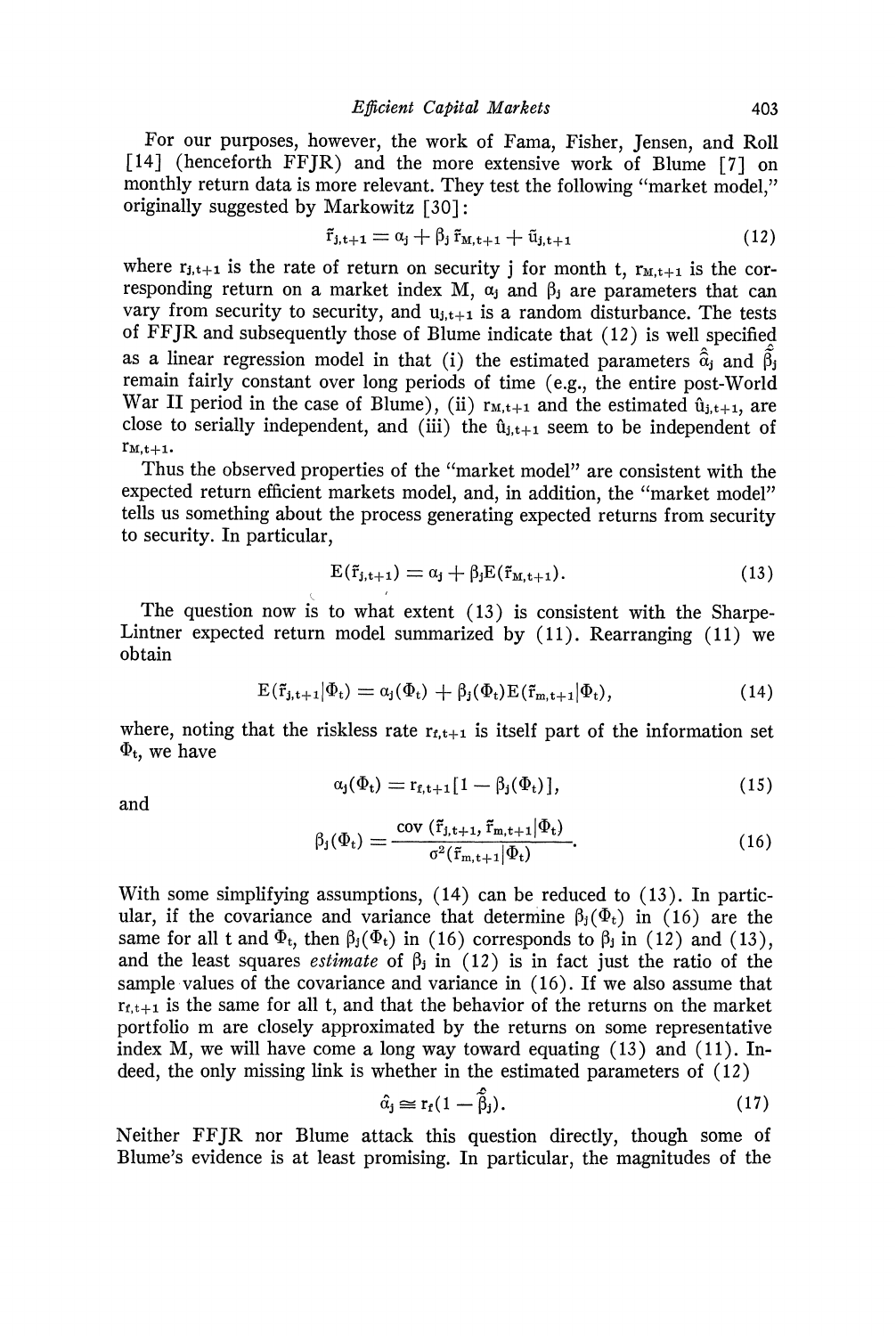For our purposes, however, the work of Fama, Fisher, Jensen, and Roll [14] (henceforth FFJR) and the more extensive work of Blume [7] on monthly return data is more relevant. They test the following "market model," originally suggested by Markowitz [30]:

$$
\tilde{\mathbf{r}}_{\mathbf{j},\mathbf{t}+\mathbf{1}} = \alpha_{\mathbf{j}} + \beta_{\mathbf{j}} \tilde{\mathbf{r}}_{\mathbf{M},\mathbf{t}+\mathbf{1}} + \tilde{\mathbf{u}}_{\mathbf{j},\mathbf{t}+\mathbf{1}} \tag{12}
$$

where  $r_{j,t+1}$  is the rate of return on security j for month t,  $r_{M,t+1}$  is the corresponding return on a market index M,  $\alpha_j$  and  $\beta_j$  are parameters that can vary from security to security, and  $u_{i,t+1}$  is a random disturbance. The tests of FFJR and subsequently those of Blume indicate that (12) is well specified as a linear regression model in that (i) the estimated parameters  $\hat{a}_j$  and  $\hat{\beta}_j$  remain fairly constant over long periods of time (e.g., the entire post-World War II period in the case of Blume), (ii)  $r_{M,t+1}$  and the estimated  $\hat{u}_{i,t+1}$ , are close to serially independent, and (iii) the  $\hat{u}_{j,t+1}$  seem to be independent of  $r_{M.t+1}$ 

Thus the observed properties of the "market model" are consistent with the expected return efficient markets model, and, in addition, the "market model" tells us something about the process generating expected returns from security to security. In particular.

$$
E(\tilde{r}_{j,t+1}) = \alpha_j + \beta_j E(\tilde{r}_{M,t+1}). \qquad (13)
$$

The question now is to what extent (13) is consistent with the Sharpe-Lintner expected return model summarized by (11). Rearranging (11) we obtain

$$
E(\tilde{r}_{j,t+1}|\Phi_t) = \alpha_j(\Phi_t) + \beta_j(\Phi_t)E(\tilde{r}_{m,t+1}|\Phi_t), \qquad (14)
$$

where, noting that the riskless rate  $r_{t,t+1}$  is itself part of the information set  $\Phi_t$ , we have

$$
\alpha_j(\Phi_t) = r_{f,t+1}[1 - \beta_j(\Phi_t)],\tag{15}
$$

and

$$
\beta_j(\Phi_t) = \frac{\text{cov}(\tilde{r}_{j,t+1}, \tilde{r}_{m,t+1}|\Phi_t)}{\sigma^2(\tilde{r}_{m,t+1}|\Phi_t)}.
$$
\n(16)

With some simplifying assumptions,  $(14)$  can be reduced to  $(13)$ . In particular, if the covariance and variance that determine  $\beta_i(\Phi_t)$  in (16) are the same for all t and  $\Phi_t$ , then  $\beta_i(\Phi_t)$  in (16) corresponds to  $\beta_i$  in (12) and (13), and the least squares *estimate* of  $\beta_j$  in (12) is in fact just the ratio of the sample values of the covariance and variance in  $(16)$ . If we also assume that  $r_{t,t+1}$  is the same for all t, and that the behavior of the returns on the market portfolio m are closely approximated by the returns on some representative index M, we will have come a long way toward equating  $(13)$  and  $(11)$ . Indeed, the only missing link is whether in the estimated parameters of (12)

$$
\hat{\alpha}_j \cong r_f (1 - \hat{\beta}_j). \tag{17}
$$

Neither FFJR nor Blume attack this question directly, though some of Blume's evidence is at least promising. In particular, the magnitudes of the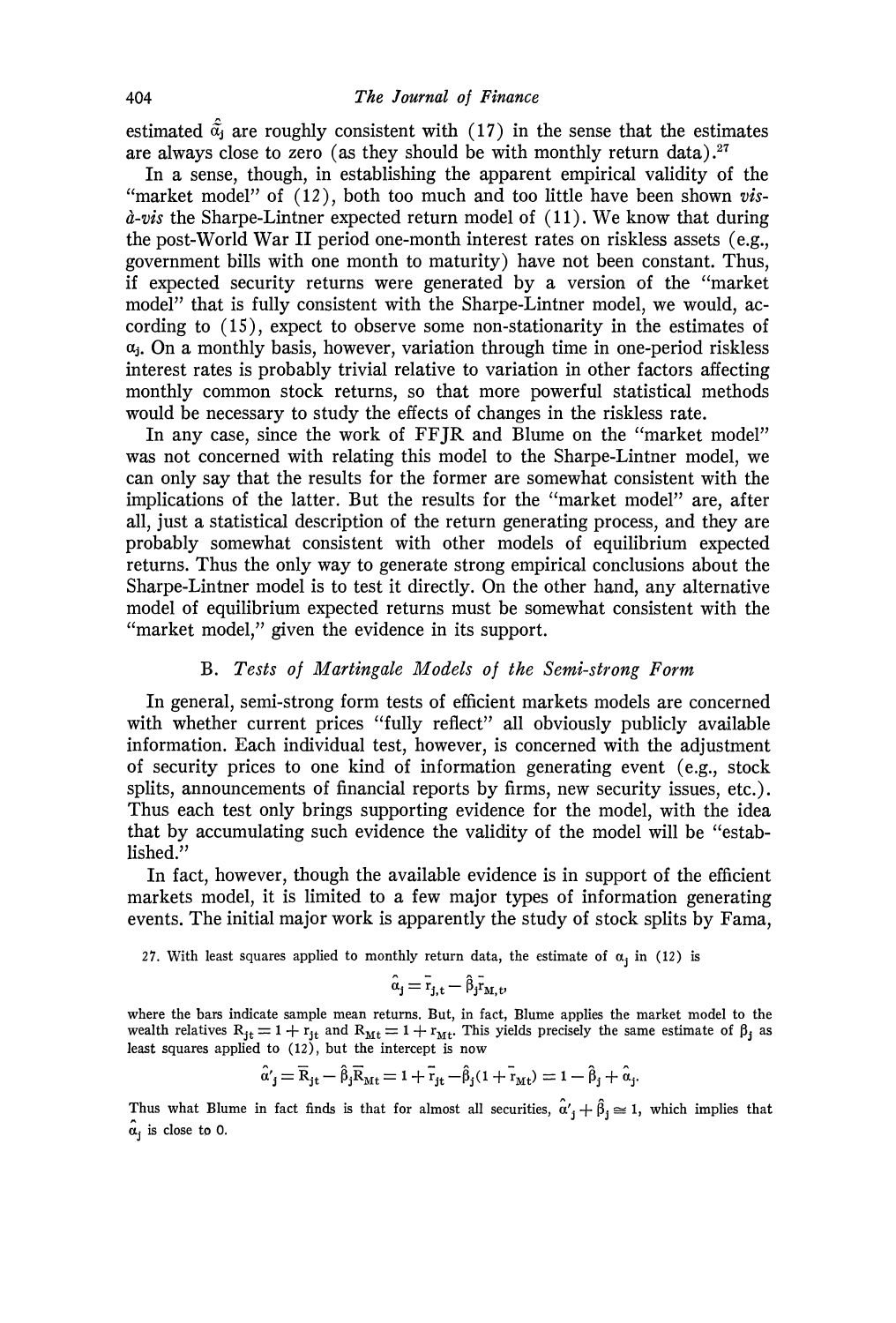estimated  $\hat{\alpha}_i$  are roughly consistent with (17) in the sense that the estimates are always close to zero (as they should be with monthly return data).<sup>27</sup>

In a sense, though, in establishing the apparent empirical validity of the "market model" of (12), both too much and too little have been shown vis- $\hat{a}$ -vis the Sharpe-Lintner expected return model of (11). We know that during the post-World War II period one-month interest rates on riskless assets (e.g., government bills with one month to maturity) have not been constant. Thus, if expected security returns were generated by a version of the "market model" that is fully consistent with the Sharpe-Lintner model, we would, according to  $(15)$ , expect to observe some non-stationarity in the estimates of  $\alpha_j$ . On a monthly basis, however, variation through time in one-period riskless interest rates is probably trivial relative to variation in other factors affecting monthly common stock returns, so that more powerful statistical methods would be necessary to study the effects of changes in the riskless rate.

In any case, since the work of FFJR and Blume on the "market model" was not concerned with relating this model to the Sharpe-Lintner model, we can only say that the results for the former are somewhat consistent with the implications of the latter. But the results for the "market model" are, after all, just a statistical description of the return generating process, and they are probably somewhat consistent with other models of equilibrium expected returns. Thus the only way to generate strong empirical conclusions about the Sharpe-Lintner model is to test it directly. On the other hand, any alternative model of equilibrium expected returns must be somewhat consistent with the "market model," given the evidence in its support.

# B. Tests of Martingale Models of the Semi-strong Form

In general, semi-strong form tests of efficient markets models are concerned with whether current prices "fully reflect" all obviously publicly available information. Each individual test, however, is concerned with the adjustment of security prices to one kind of information generating event (e.g., stock splits, announcements of financial reports by firms, new security issues, etc.). Thus each test only brings supporting evidence for the model, with the idea that by accumulating such evidence the validity of the model will be "established."

In fact, however, though the available evidence is in support of the efficient markets model, it is limited to a few major types of information generating events. The initial major work is apparently the study of stock splits by Fama,

27. With least squares applied to monthly return data, the estimate of  $\alpha_j$  in (12) is

$$
\hat{\alpha}_{j} = \bar{r}_{j,t} - \hat{\beta}_{j} \bar{r}_{M,t},
$$

where the bars indicate sample mean returns. But, in fact, Blume applies the market model to the wealth relatives  $R_{jt} = 1 + r_{jt}$  and  $R_{Mt} = 1 + r_{Mt}$ . This yields precisely the same estimate of  $\beta_j$  as least squares applied to  $(12)$ , but the intercept is now

$$
\hat{\alpha}_{j}^{\prime} = \overline{R}_{jt} - \hat{\beta}_{j}\overline{R}_{Mt} = 1 + \overline{r}_{jt} - \hat{\beta}_{j}(1 + \overline{r}_{Mt}) = 1 - \hat{\beta}_{j} + \hat{\alpha}_{j}.
$$

Thus what Blume in fact finds is that for almost all securities,  $\hat{\alpha}'_j + \hat{\beta}_j \approx 1$ , which implies that  $\hat{\alpha}_i$  is close to 0.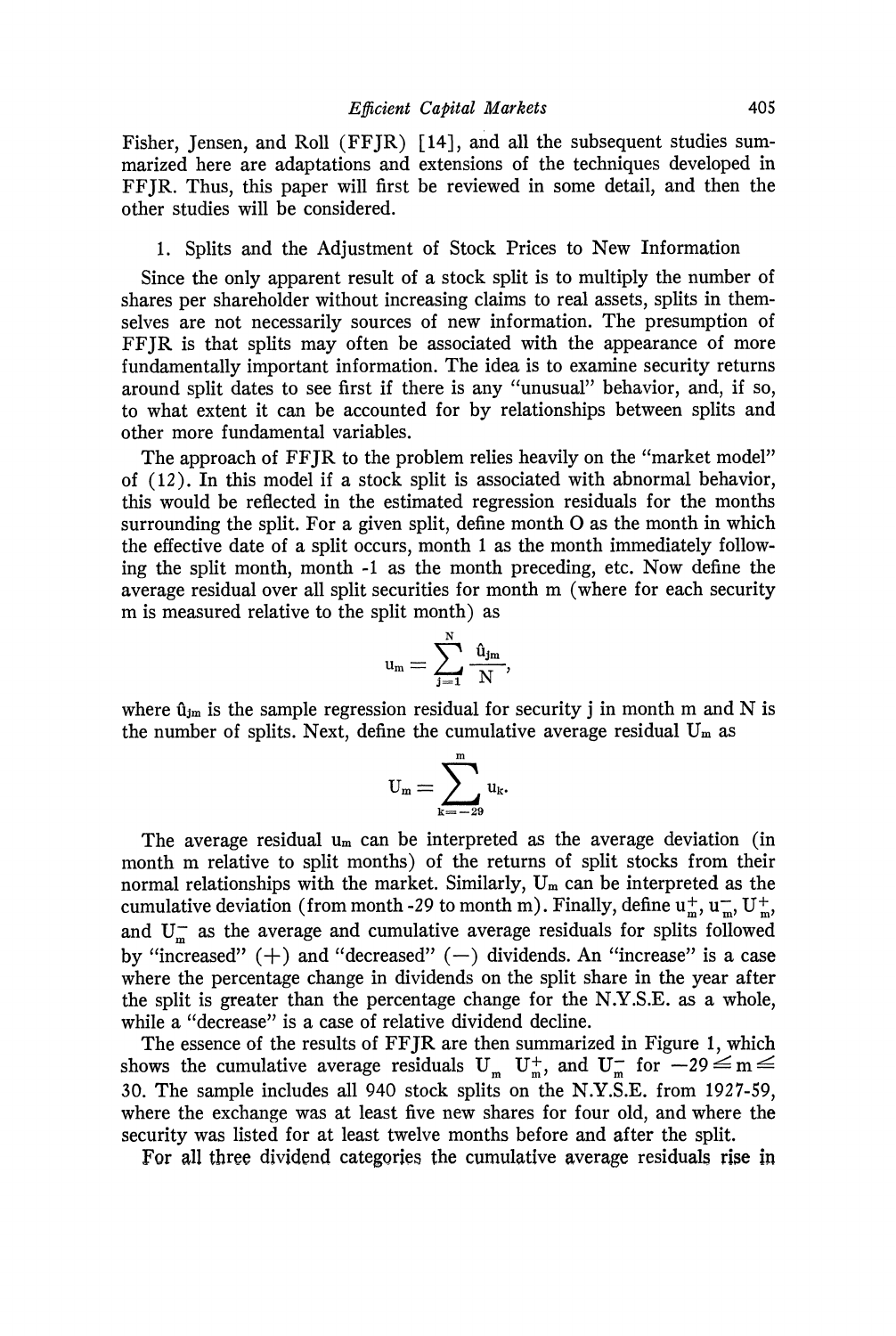Fisher, Jensen, and Roll (FFJR) [14], and all the subsequent studies summarized here are adaptations and extensions of the techniques developed in FFIR. Thus, this paper will first be reviewed in some detail, and then the other studies will be considered.

## 1. Splits and the Adjustment of Stock Prices to New Information

Since the only apparent result of a stock split is to multiply the number of shares per shareholder without increasing claims to real assets, splits in themselves are not necessarily sources of new information. The presumption of FFJR is that splits may often be associated with the appearance of more fundamentally important information. The idea is to examine security returns around split dates to see first if there is any "unusual" behavior, and, if so, to what extent it can be accounted for by relationships between splits and other more fundamental variables.

The approach of FFIR to the problem relies heavily on the "market model" of (12). In this model if a stock split is associated with abnormal behavior, this would be reflected in the estimated regression residuals for the months surrounding the split. For a given split, define month O as the month in which the effective date of a split occurs, month 1 as the month immediately following the split month, month -1 as the month preceding, etc. Now define the average residual over all split securities for month m (where for each security m is measured relative to the split month) as

$$
u_m=\sum_{j=1}^N \frac{\hat{u}_{jm}}{N},
$$

where  $\hat{u}_{\text{im}}$  is the sample regression residual for security i in month m and N is the number of splits. Next, define the cumulative average residual  $U_m$  as

$$
U_m = \sum_{k=-29}^m u_k.
$$

The average residual  $u_m$  can be interpreted as the average deviation (in month m relative to split months) of the returns of split stocks from their normal relationships with the market. Similarly,  $U_m$  can be interpreted as the cumulative deviation (from month -29 to month m). Finally, define  $u_m^+$ ,  $u_m^-$ ,  $U_m^+$ , and  $U_m^-$  as the average and cumulative average residuals for splits followed by "increased" (+) and "decreased" (-) dividends. An "increase" is a case where the percentage change in dividends on the split share in the year after the split is greater than the percentage change for the N.Y.S.E. as a whole, while a "decrease" is a case of relative dividend decline.

The essence of the results of FFJR are then summarized in Figure 1, which shows the cumulative average residuals  $U_m$   $U_m^+$ , and  $U_m^-$  for  $-29 \le m \le$ 30. The sample includes all 940 stock splits on the N.Y.S.E. from 1927-59, where the exchange was at least five new shares for four old, and where the security was listed for at least twelve months before and after the split.

For all three dividend categories the cumulative average residuals rise in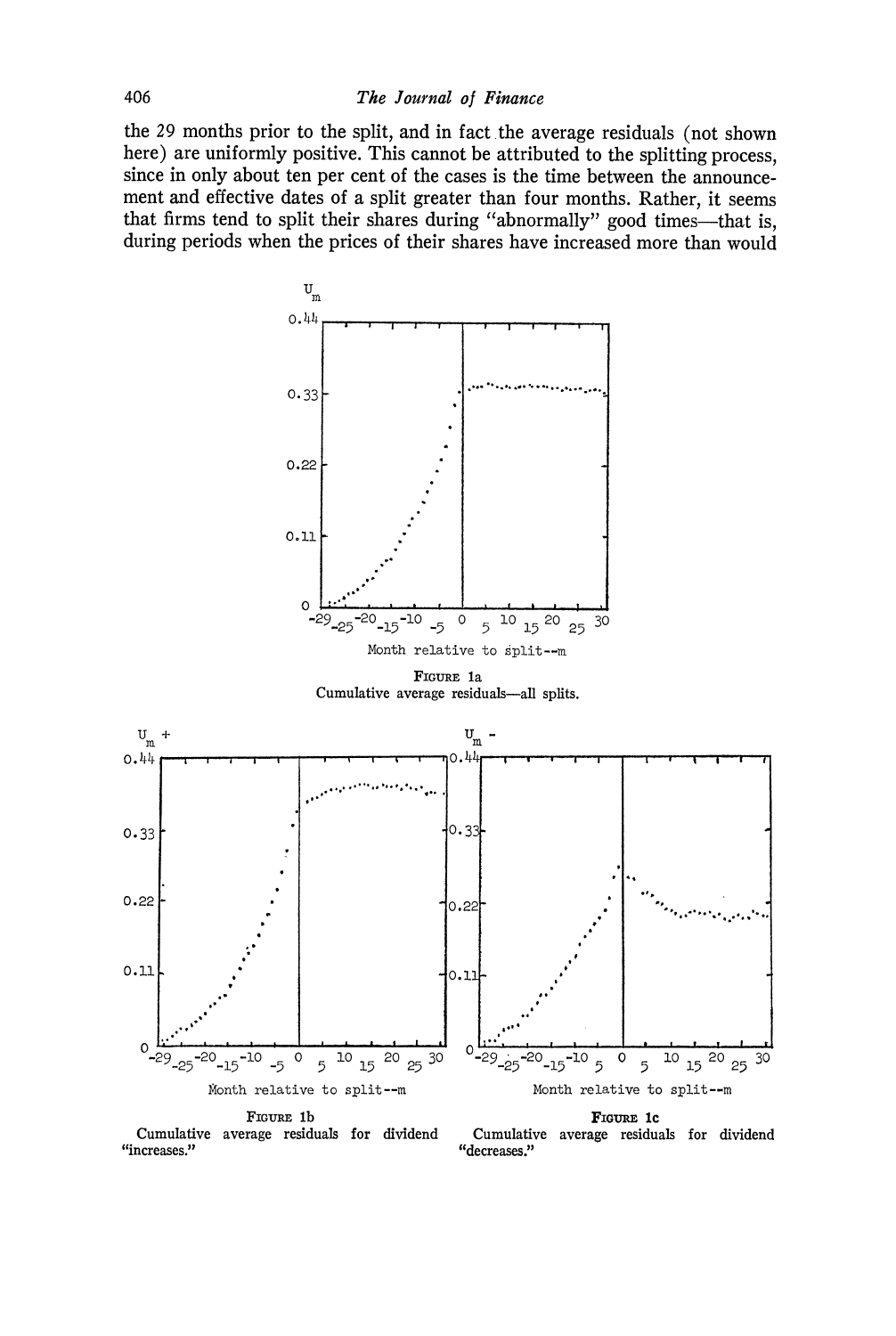#### The Journal of Finance

the 29 months prior to the split, and in fact the average residuals (not shown here) are uniformly positive. This cannot be attributed to the splitting process. since in only about ten per cent of the cases is the time between the announcement and effective dates of a split greater than four months. Rather, it seems that firms tend to split their shares during "abnormally" good times-that is, during periods when the prices of their shares have increased more than would



FIGURE 1a Cumulative average residuals-all splits.



"increases."

Cumulative average residuals for dividend "decreases."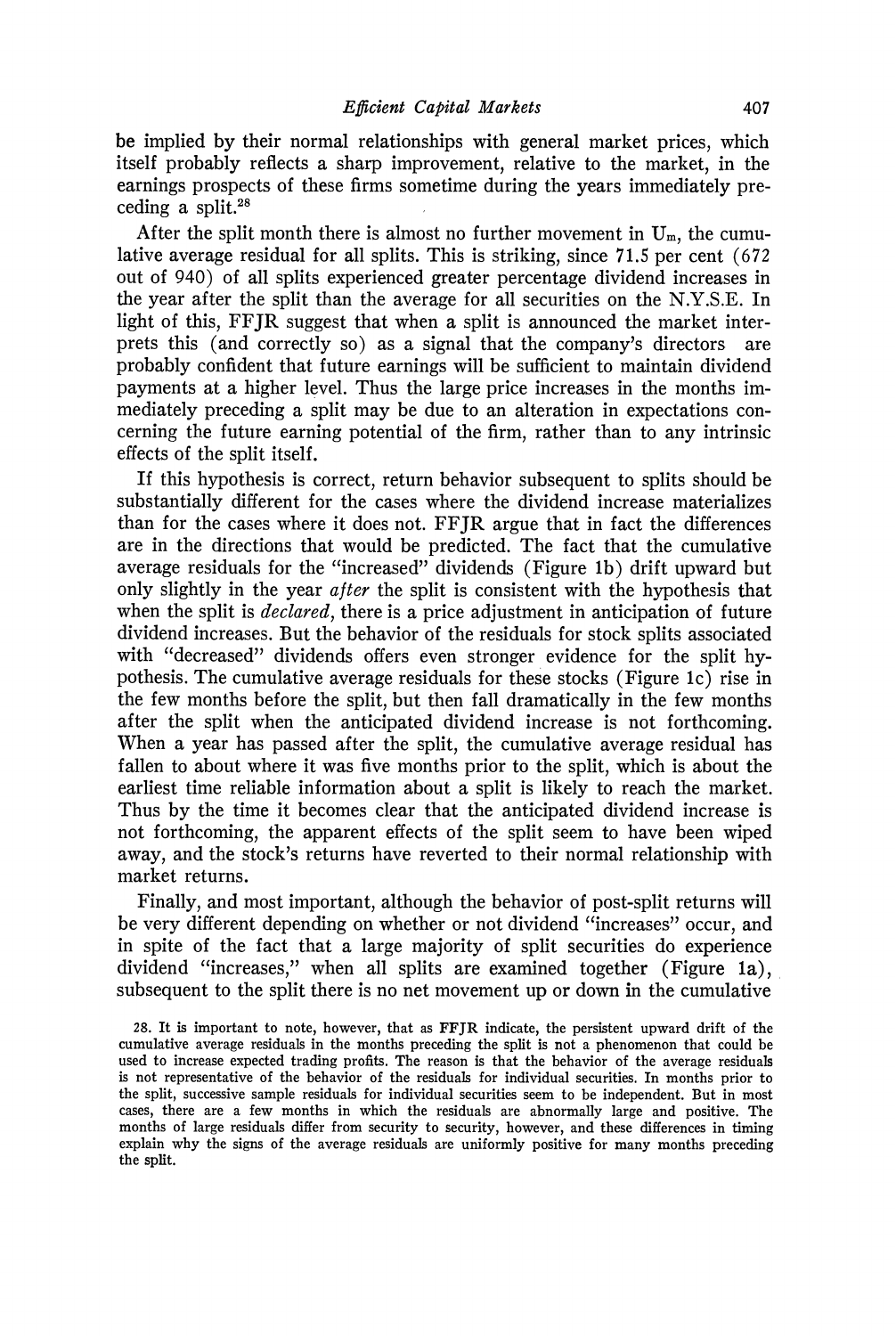be implied by their normal relationships with general market prices, which itself probably reflects a sharp improvement, relative to the market, in the earnings prospects of these firms sometime during the years immediately preceding a split.<sup>28</sup>

After the split month there is almost no further movement in  $U_m$ , the cumulative average residual for all splits. This is striking, since 71.5 per cent (672) out of 940) of all splits experienced greater percentage dividend increases in the vear after the solit than the average for all securities on the N.Y.S.E. In light of this, FFJR suggest that when a split is announced the market interprets this (and correctly so) as a signal that the company's directors are probably confident that future earnings will be sufficient to maintain dividend payments at a higher level. Thus the large price increases in the months immediately preceding a split may be due to an alteration in expectations concerning the future earning potential of the firm, rather than to any intrinsic effects of the split itself.

If this hypothesis is correct, return behavior subsequent to splits should be substantially different for the cases where the dividend increase materializes than for the cases where it does not. FFIR argue that in fact the differences are in the directions that would be predicted. The fact that the cumulative average residuals for the "increased" dividends (Figure 1b) drift upward but only slightly in the year *after* the split is consistent with the hypothesis that when the split is *declared*, there is a price adjustment in anticipation of future dividend increases. But the behavior of the residuals for stock splits associated with "decreased" dividends offers even stronger evidence for the split hypothesis. The cumulative average residuals for these stocks (Figure 1c) rise in the few months before the split, but then fall dramatically in the few months after the split when the anticipated dividend increase is not forthcoming. When a year has passed after the split, the cumulative average residual has fallen to about where it was five months prior to the split, which is about the earliest time reliable information about a split is likely to reach the market. Thus by the time it becomes clear that the anticipated dividend increase is not forthcoming, the apparent effects of the split seem to have been wiped away, and the stock's returns have reverted to their normal relationship with market returns.

Finally, and most important, although the behavior of post-split returns will be very different depending on whether or not dividend "increases" occur, and in spite of the fact that a large majority of split securities do experience dividend "increases," when all splits are examined together (Figure 1a), subsequent to the split there is no net movement up or down in the cumulative

<sup>28.</sup> It is important to note, however, that as FFJR indicate, the persistent upward drift of the cumulative average residuals in the months preceding the split is not a phenomenon that could be used to increase expected trading profits. The reason is that the behavior of the average residuals is not representative of the behavior of the residuals for individual securities. In months prior to the split, successive sample residuals for individual securities seem to be independent. But in most cases, there are a few months in which the residuals are abnormally large and positive. The months of large residuals differ from security to security, however, and these differences in timing explain why the signs of the average residuals are uniformly positive for many months preceding the split.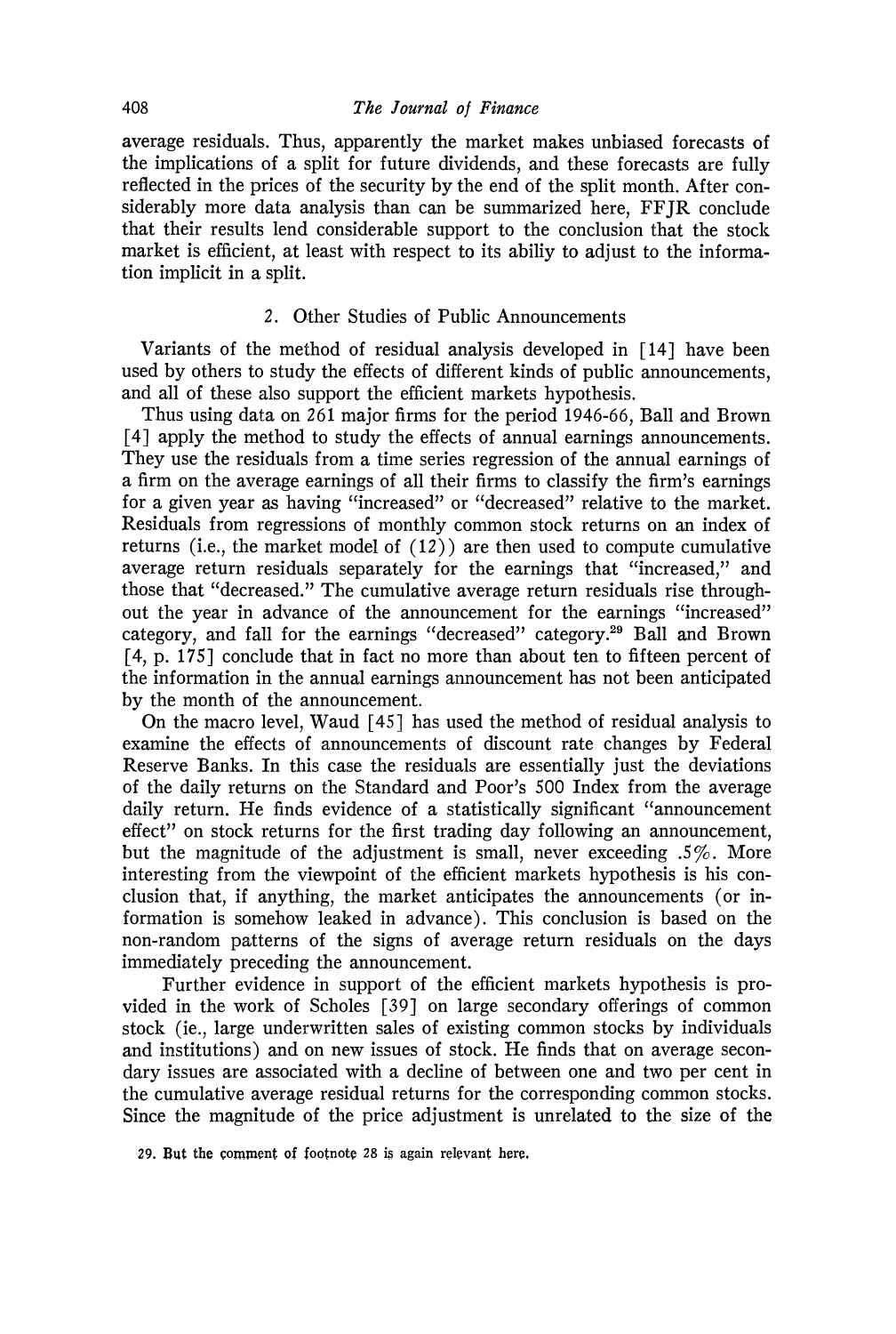average residuals. Thus, apparently the market makes unbiased forecasts of the implications of a split for future dividends, and these forecasts are fully reflected in the prices of the security by the end of the split month. After considerably more data analysis than can be summarized here, FFJR conclude that their results lend considerable support to the conclusion that the stock market is efficient, at least with respect to its abiliy to adjust to the information implicit in a split.

#### 2. Other Studies of Public Announcements

Variants of the method of residual analysis developed in [14] have been used by others to study the effects of different kinds of public announcements. and all of these also support the efficient markets hypothesis.

Thus using data on 261 major firms for the period 1946-66, Ball and Brown [4] apply the method to study the effects of annual earnings announcements. They use the residuals from a time series regression of the annual earnings of a firm on the average earnings of all their firms to classify the firm's earnings for a given year as having "increased" or "decreased" relative to the market. Residuals from regressions of monthly common stock returns on an index of returns (i.e., the market model of  $(12)$ ) are then used to compute cumulative average return residuals separately for the earnings that "increased." and those that "decreased." The cumulative average return residuals rise throughout the year in advance of the announcement for the earnings "increased" category, and fall for the earnings "decreased" category.<sup>29</sup> Ball and Brown [4, p. 175] conclude that in fact no more than about ten to fifteen percent of the information in the annual earnings announcement has not been anticipated by the month of the announcement.

On the macro level, Waud [45] has used the method of residual analysis to examine the effects of announcements of discount rate changes by Federal Reserve Banks. In this case the residuals are essentially just the deviations of the daily returns on the Standard and Poor's 500 Index from the average daily return. He finds evidence of a statistically significant "announcement" effect" on stock returns for the first trading day following an announcement, but the magnitude of the adjustment is small, never exceeding  $.5\%$ . More interesting from the viewpoint of the efficient markets hypothesis is his conclusion that, if anything, the market anticipates the announcements (or information is somehow leaked in advance). This conclusion is based on the non-random patterns of the signs of average return residuals on the days immediately preceding the announcement.

Further evidence in support of the efficient markets hypothesis is provided in the work of Scholes [39] on large secondary offerings of common stock (ie., large underwritten sales of existing common stocks by individuals and institutions) and on new issues of stock. He finds that on average secondary issues are associated with a decline of between one and two per cent in the cumulative average residual returns for the corresponding common stocks. Since the magnitude of the price adjustment is unrelated to the size of the

<sup>29.</sup> But the comment of footnote 28 is again relevant here.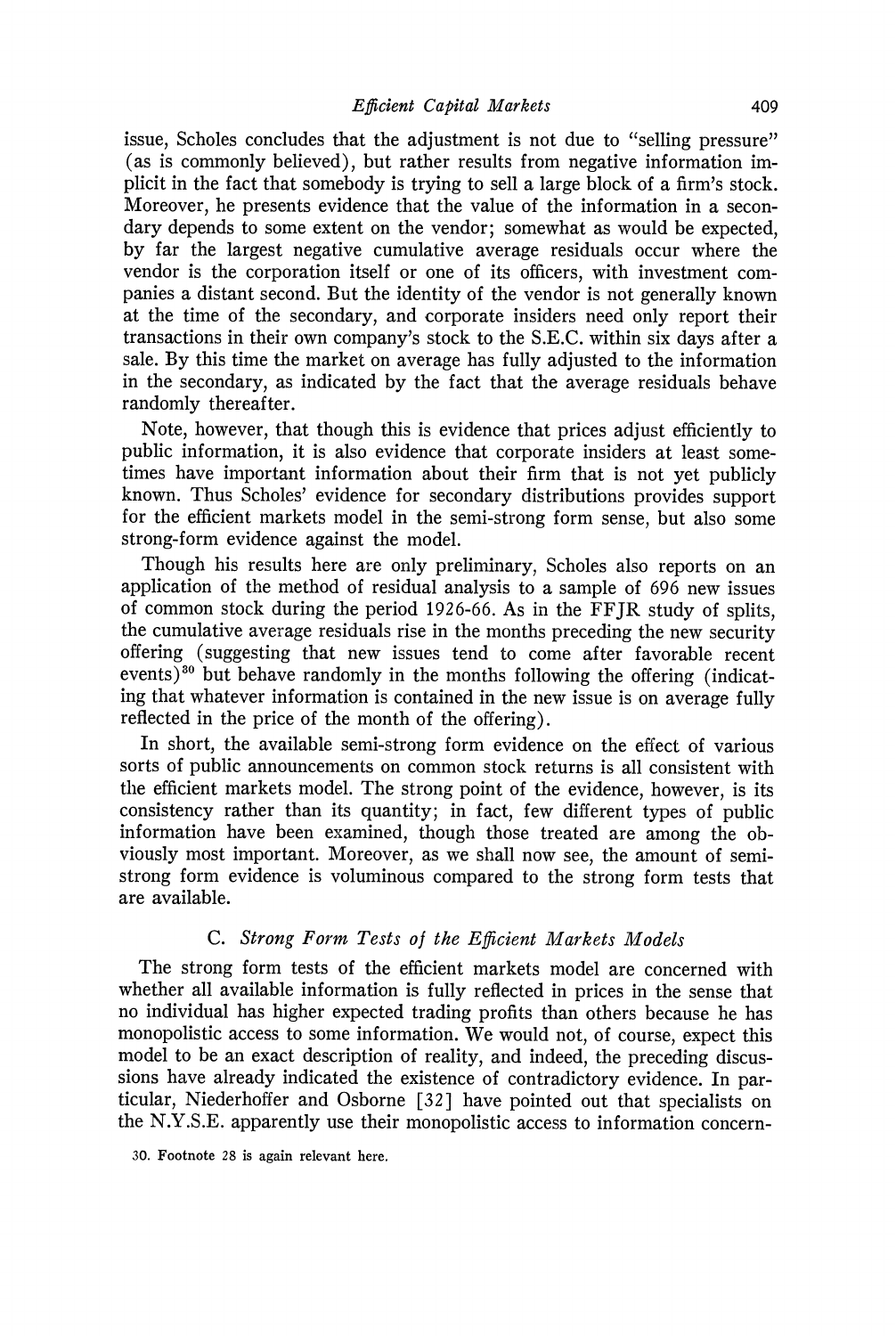issue, Scholes concludes that the adjustment is not due to "selling pressure" (as is commonly believed), but rather results from negative information implicit in the fact that somebody is trying to sell a large block of a firm's stock. Moreover, he presents evidence that the value of the information in a secondary depends to some extent on the vendor; somewhat as would be expected. by far the largest negative cumulative average residuals occur where the vendor is the corporation itself or one of its officers, with investment companies a distant second. But the identity of the vendor is not generally known at the time of the secondary, and corporate insiders need only report their transactions in their own company's stock to the S.E.C. within six days after a sale. By this time the market on average has fully adjusted to the information in the secondary, as indicated by the fact that the average residuals behave randomly thereafter.

Note, however, that though this is evidence that prices adjust efficiently to public information, it is also evidence that corporate insiders at least sometimes have important information about their firm that is not yet publicly known. Thus Scholes' evidence for secondary distributions provides support for the efficient markets model in the semi-strong form sense, but also some strong-form evidence against the model.

Though his results here are only preliminary, Scholes also reports on an application of the method of residual analysis to a sample of 696 new issues of common stock during the period 1926-66. As in the FFIR study of splits. the cumulative average residuals rise in the months preceding the new security offering (suggesting that new issues tend to come after favorable recent events)<sup>30</sup> but behave randomly in the months following the offering (indicating that whatever information is contained in the new issue is on average fully reflected in the price of the month of the offering).

In short, the available semi-strong form evidence on the effect of various sorts of public announcements on common stock returns is all consistent with the efficient markets model. The strong point of the evidence, however, is its consistency rather than its quantity; in fact, few different types of public information have been examined, though those treated are among the obviously most important. Moreover, as we shall now see, the amount of semistrong form evidence is voluminous compared to the strong form tests that are available.

#### C. Strong Form Tests of the Efficient Markets Models

The strong form tests of the efficient markets model are concerned with whether all available information is fully reflected in prices in the sense that no individual has higher expected trading profits than others because he has monopolistic access to some information. We would not, of course, expect this model to be an exact description of reality, and indeed, the preceding discussions have already indicated the existence of contradictory evidence. In particular, Niederhoffer and Osborne [32] have pointed out that specialists on the N.Y.S.E. apparently use their monopolistic access to information concern-

<sup>30.</sup> Footnote 28 is again relevant here.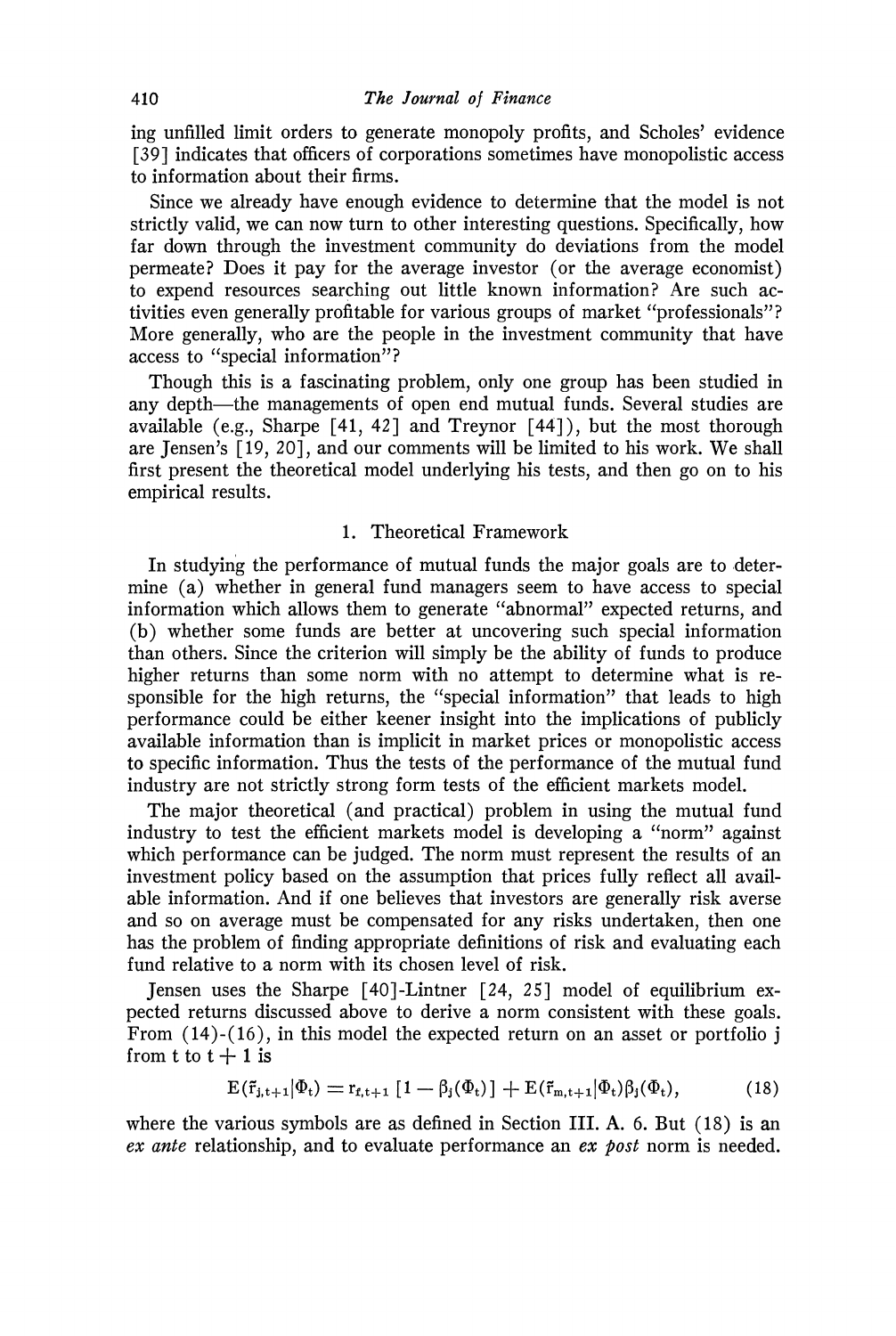ing unfilled limit orders to generate monopoly profits, and Scholes' evidence [39] indicates that officers of corporations sometimes have monopolistic access to information about their firms.

Since we already have enough evidence to determine that the model is not strictly valid, we can now turn to other interesting questions. Specifically, how far down through the investment community do deviations from the model permeate? Does it pay for the average investor (or the average economist) to expend resources searching out little known information? Are such activities even generally profitable for various groups of market "professionals"? More generally, who are the people in the investment community that have access to "special information"?

Though this is a fascinating problem, only one group has been studied in any depth—the managements of open end mutual funds. Several studies are available (e.g., Sharpe  $[41, 42]$  and Treynor  $[44]$ ), but the most thorough are Jensen's [19, 20], and our comments will be limited to his work. We shall first present the theoretical model underlying his tests, and then go on to his empirical results.

#### 1. Theoretical Framework

In studying the performance of mutual funds the major goals are to determine (a) whether in general fund managers seem to have access to special information which allows them to generate "abnormal" expected returns, and (b) whether some funds are better at uncovering such special information than others. Since the criterion will simply be the ability of funds to produce higher returns than some norm with no attempt to determine what is responsible for the high returns, the "special information" that leads to high performance could be either keener insight into the implications of publicly available information than is implicit in market prices or monopolistic access to specific information. Thus the tests of the performance of the mutual fund industry are not strictly strong form tests of the efficient markets model.

The major theoretical (and practical) problem in using the mutual fund industry to test the efficient markets model is developing a "norm" against which performance can be judged. The norm must represent the results of an investment policy based on the assumption that prices fully reflect all available information. And if one believes that investors are generally risk averse and so on average must be compensated for any risks undertaken, then one has the problem of finding appropriate definitions of risk and evaluating each fund relative to a norm with its chosen level of risk.

Jensen uses the Sharpe [40]-Lintner [24, 25] model of equilibrium expected returns discussed above to derive a norm consistent with these goals. From  $(14)-(16)$ , in this model the expected return on an asset or portfolio j from t to  $t + 1$  is

$$
E(\tilde{r}_{j,t+1}|\Phi_t) = r_{f,t+1} [1 - \beta_j(\Phi_t)] + E(\tilde{r}_{m,t+1}|\Phi_t)\beta_j(\Phi_t), \qquad (18)
$$

where the various symbols are as defined in Section III. A. 6. But (18) is an ex ante relationship, and to evaluate performance an ex post norm is needed.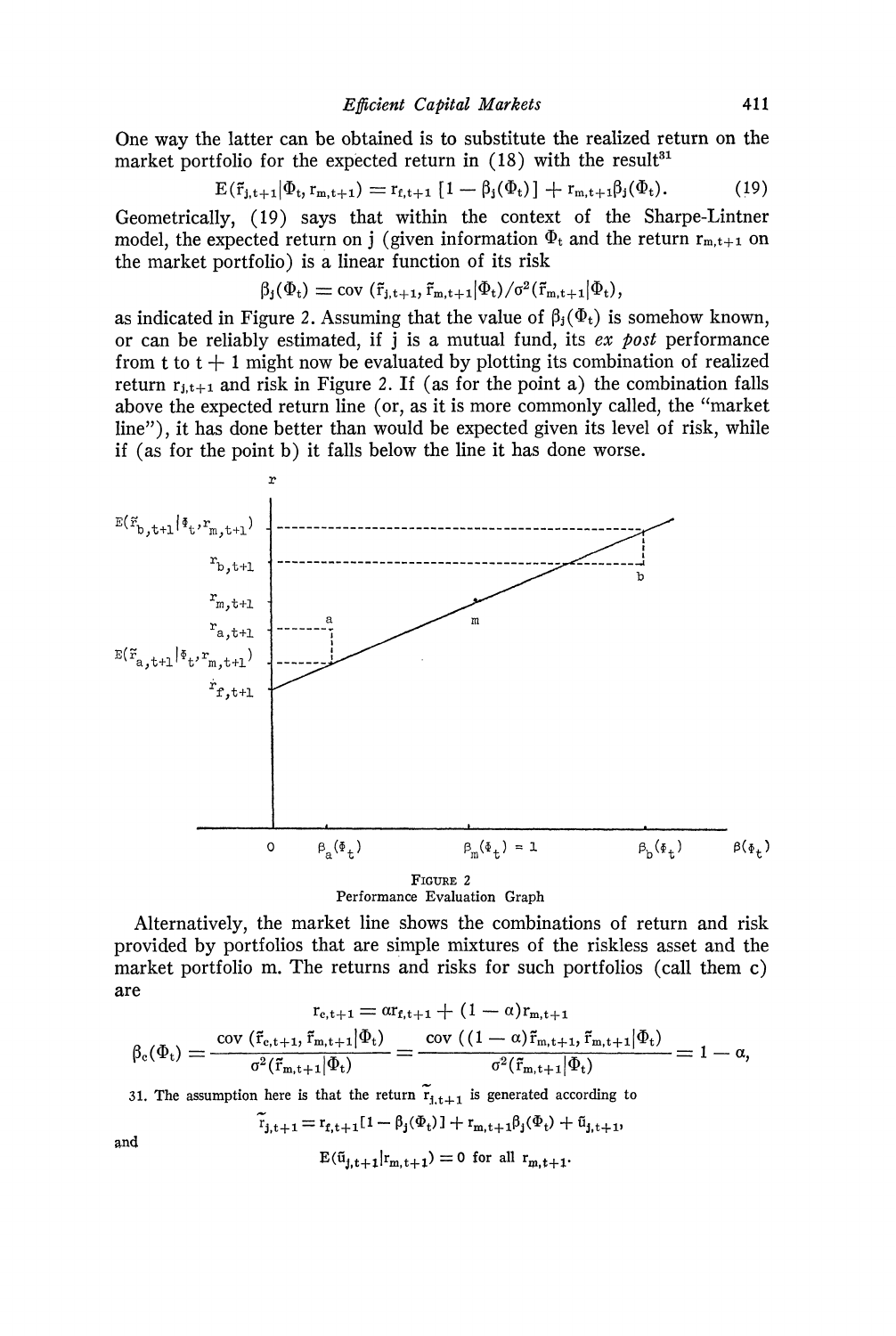One way the latter can be obtained is to substitute the realized return on the market portfolio for the expected return in (18) with the result<sup>31</sup>

$$
E(\tilde{r}_{j,t+1}|\Phi_t, r_{m,t+1}) = r_{f,t+1} [1 - \beta_j(\Phi_t)] + r_{m,t+1}\beta_j(\Phi_t). \tag{19}
$$

Geometrically. (19) says that within the context of the Sharpe-Lintner model, the expected return on i (given information  $\Phi_t$  and the return  $r_{m,t+1}$  on the market portfolio) is a linear function of its risk

$$
\beta_{\text{j}}(\Phi_{\text{t}}) = \text{cov}(\tilde{r}_{\text{j,t+1}}, \tilde{r}_{\text{m,t+1}}|\Phi_{\text{t}})/\sigma^2(\tilde{r}_{\text{m,t+1}}|\Phi_{\text{t}}),
$$

as indicated in Figure 2. Assuming that the value of  $\beta_i(\Phi_t)$  is somehow known, or can be reliably estimated, if  $\mathbf{j}$  is a mutual fund, its ex post performance from t to  $t + 1$  might now be evaluated by plotting its combination of realized return  $r_{i,t+1}$  and risk in Figure 2. If (as for the point a) the combination falls above the expected return line (or, as it is more commonly called, the "market line"), it has done better than would be expected given its level of risk, while if (as for the point b) it falls below the line it has done worse.



Performance Evaluation Graph

Alternatively, the market line shows the combinations of return and risk provided by portfolios that are simple mixtures of the riskless asset and the market portfolio m. The returns and risks for such portfolios (call them  $c$ ) are

$$
r_{c,t+1} = \alpha r_{f,t+1} + (1 - \alpha) r_{m,t+1}
$$
  

$$
\beta_c(\Phi_t) = \frac{\text{cov}(\tilde{r}_{c,t+1}, \tilde{r}_{m,t+1} | \Phi_t)}{\sigma^2(\tilde{r}_{m,t+1} | \Phi_t)} = \frac{\text{cov}((1 - \alpha)\tilde{r}_{m,t+1}, \tilde{r}_{m,t+1} | \Phi_t)}{\sigma^2(\tilde{r}_{m,t+1} | \Phi_t)} = 1 - \alpha,
$$

31. The assumption here is that the return  $\tilde{r}_{i,t+1}$  is generated according to

$$
\begin{array}{l} \widetilde{r}_{j,t+1} = r_{f,t+1} \mathbf{I} \, \mathbf{1} - \beta_j (\Phi_t) \, \mathbf{I} + r_{m,t+1} \beta_j (\Phi_t) \, + \, \widetilde{u}_{j,t+1}, \\ \\ \mathbf{E} (\widetilde{u}_{j,t+1} | r_{m,t+1}) = 0 \: \: \text{for all} \: \: r_{m,t+1}. \end{array}
$$

and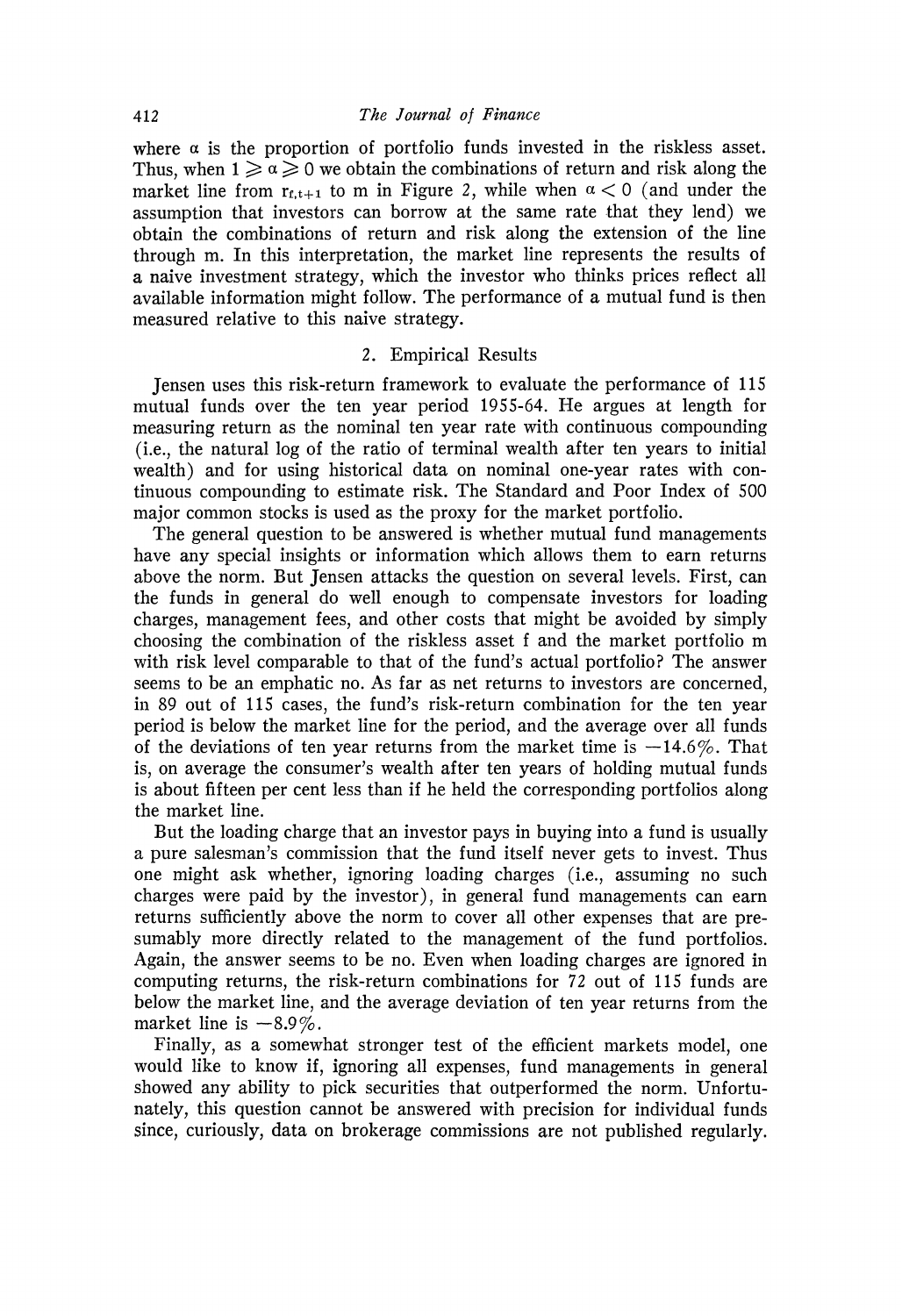where  $\alpha$  is the proportion of portfolio funds invested in the riskless asset. Thus, when  $1 \ge \alpha \ge 0$  we obtain the combinations of return and risk along the market line from  $r_{f,t+1}$  to m in Figure 2, while when  $\alpha < 0$  (and under the assumption that investors can borrow at the same rate that they lend) we obtain the combinations of return and risk along the extension of the line through m. In this interpretation, the market line represents the results of a naive investment strategy, which the investor who thinks prices reflect all available information might follow. The performance of a mutual fund is then measured relative to this naive strategy.

#### 2. Empirical Results

Jensen uses this risk-return framework to evaluate the performance of 115 mutual funds over the ten year period 1955-64. He argues at length for measuring return as the nominal ten year rate with continuous compounding (i.e., the natural log of the ratio of terminal wealth after ten vears to initial wealth) and for using historical data on nominal one-year rates with continuous compounding to estimate risk. The Standard and Poor Index of 500 major common stocks is used as the proxy for the market portfolio.

The general question to be answered is whether mutual fund managements have any special insights or information which allows them to earn returns above the norm. But Jensen attacks the question on several levels. First, can the funds in general do well enough to compensate investors for loading charges, management fees, and other costs that might be avoided by simply choosing the combination of the riskless asset f and the market portfolio m with risk level comparable to that of the fund's actual portfolio? The answer seems to be an emphatic no. As far as net returns to investors are concerned, in 89 out of 115 cases, the fund's risk-return combination for the ten year period is below the market line for the period, and the average over all funds of the deviations of ten year returns from the market time is  $-14.6\%$ . That is, on average the consumer's wealth after ten years of holding mutual funds is about fifteen per cent less than if he held the corresponding portfolios along the market line.

But the loading charge that an investor pays in buying into a fund is usually a pure salesman's commission that the fund itself never gets to invest. Thus one might ask whether, ignoring loading charges (i.e., assuming no such charges were paid by the investor), in general fund managements can earn returns sufficiently above the norm to cover all other expenses that are presumably more directly related to the management of the fund portfolios. Again, the answer seems to be no. Even when loading charges are ignored in computing returns, the risk-return combinations for 72 out of 115 funds are below the market line, and the average deviation of ten year returns from the market line is  $-8.9\%$ .

Finally, as a somewhat stronger test of the efficient markets model, one would like to know if, ignoring all expenses, fund managements in general showed any ability to pick securities that outperformed the norm. Unfortunately, this question cannot be answered with precision for individual funds since, curiously, data on brokerage commissions are not published regularly.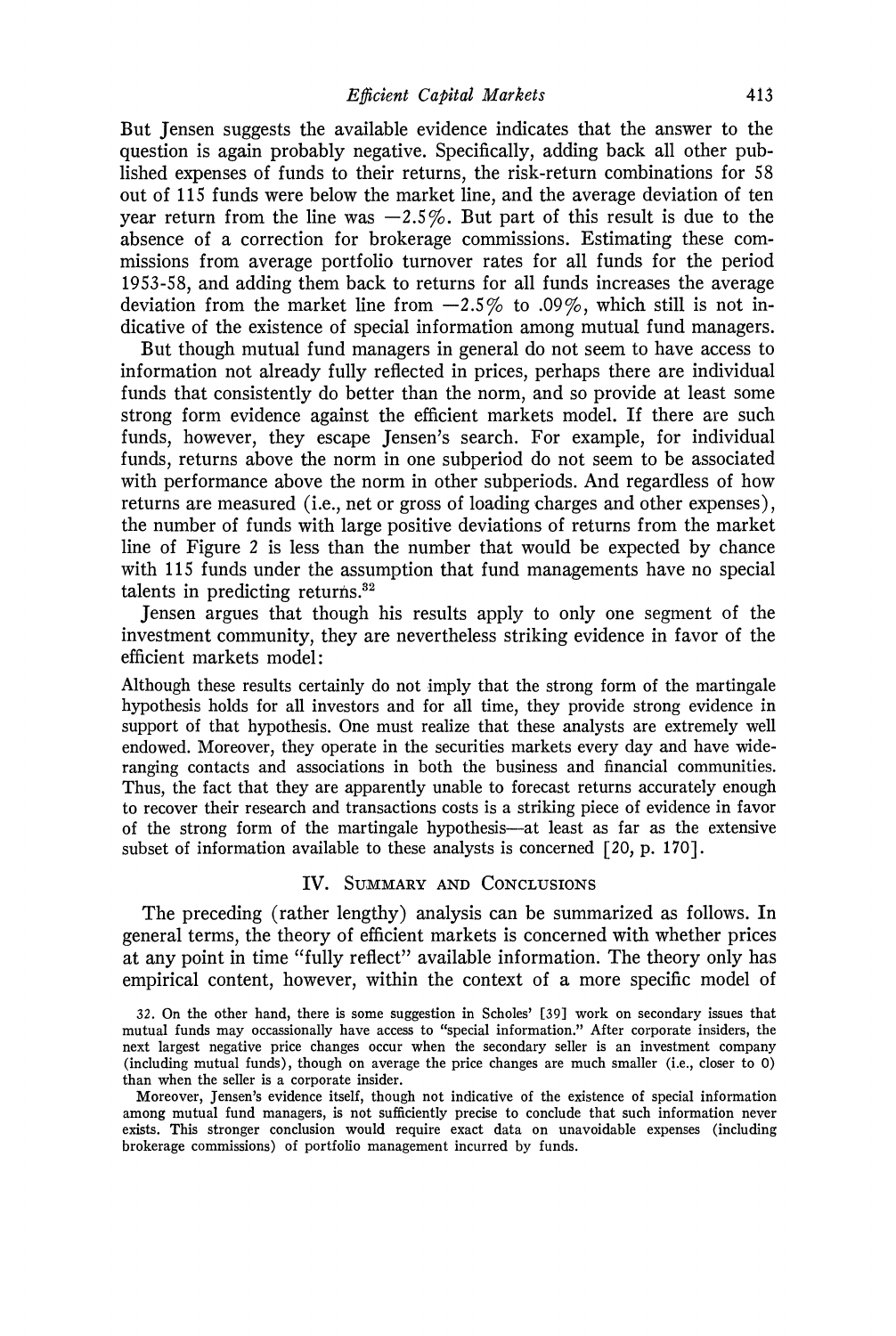But Jensen suggests the available evidence indicates that the answer to the question is again probably negative. Specifically, adding back all other published expenses of funds to their returns, the risk-return combinations for 58 out of 115 funds were below the market line, and the average deviation of ten vear return from the line was  $-2.5\%$ . But part of this result is due to the absence of a correction for brokerage commissions. Estimating these commissions from average portfolio turnover rates for all funds for the period 1953-58, and adding them back to returns for all funds increases the average deviation from the market line from  $-2.5\%$  to .09%, which still is not indicative of the existence of special information among mutual fund managers.

But though mutual fund managers in general do not seem to have access to information not already fully reflected in prices, perhaps there are individual funds that consistently do better than the norm, and so provide at least some strong form evidence against the efficient markets model. If there are such funds, however, they escape Jensen's search. For example, for individual funds, returns above the norm in one subperiod do not seem to be associated with performance above the norm in other subperiods. And regardless of how returns are measured (i.e., net or gross of loading charges and other expenses), the number of funds with large positive deviations of returns from the market line of Figure 2 is less than the number that would be expected by chance with 115 funds under the assumption that fund managements have no special talents in predicting returns.<sup>32</sup>

Jensen argues that though his results apply to only one segment of the investment community, they are nevertheless striking evidence in favor of the efficient markets model:

Although these results certainly do not imply that the strong form of the martingale hypothesis holds for all investors and for all time, they provide strong evidence in support of that hypothesis. One must realize that these analysts are extremely well endowed. Moreover, they operate in the securities markets every day and have wideranging contacts and associations in both the business and financial communities. Thus, the fact that they are apparently unable to forecast returns accurately enough to recover their research and transactions costs is a striking piece of evidence in favor of the strong form of the martingale hypothesis—at least as far as the extensive subset of information available to these analysts is concerned [20, p. 170].

#### IV. SUMMARY AND CONCLUSIONS

The preceding (rather lengthy) analysis can be summarized as follows. In general terms, the theory of efficient markets is concerned with whether prices at any point in time "fully reflect" available information. The theory only has empirical content, however, within the context of a more specific model of

<sup>32.</sup> On the other hand, there is some suggestion in Scholes' [39] work on secondary issues that mutual funds may occassionally have access to "special information." After corporate insiders, the next largest negative price changes occur when the secondary seller is an investment company (including mutual funds), though on average the price changes are much smaller (i.e., closer to 0) than when the seller is a corporate insider.

Moreover, Jensen's evidence itself, though not indicative of the existence of special information among mutual fund managers, is not sufficiently precise to conclude that such information never exists. This stronger conclusion would require exact data on unavoidable expenses (including brokerage commissions) of portfolio management incurred by funds.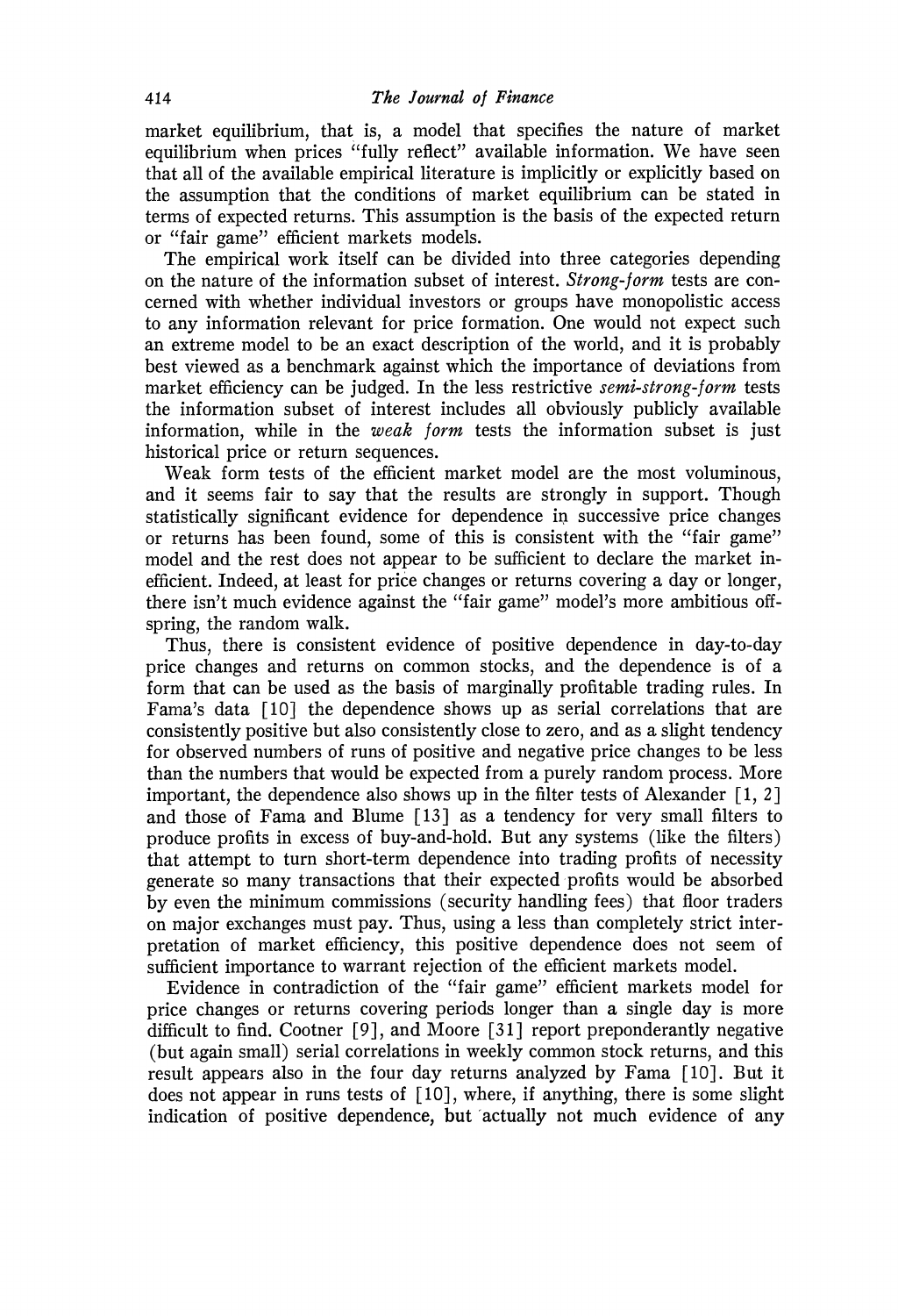market equilibrium, that is, a model that specifies the nature of market equilibrium when prices "fully reflect" available information. We have seen that all of the available empirical literature is implicitly or explicitly based on the assumption that the conditions of market equilibrium can be stated in terms of expected returns. This assumption is the basis of the expected return or "fair game" efficient markets models.

The empirical work itself can be divided into three categories depending on the nature of the information subset of interest, Strong-form tests are concerned with whether individual investors or groups have monopolistic access to any information relevant for price formation. One would not expect such an extreme model to be an exact description of the world, and it is probably best viewed as a benchmark against which the importance of deviations from market efficiency can be judged. In the less restrictive semi-strong-form tests the information subset of interest includes all obviously publicly available information, while in the weak form tests the information subset is just historical price or return sequences.

Weak form tests of the efficient market model are the most voluminous, and it seems fair to say that the results are strongly in support. Though statistically significant evidence for dependence in successive price changes or returns has been found, some of this is consistent with the "fair game" model and the rest does not appear to be sufficient to declare the market inefficient. Indeed, at least for price changes or returns covering a day or longer, there isn't much evidence against the "fair game" model's more ambitious offspring, the random walk.

Thus, there is consistent evidence of positive dependence in day-to-day price changes and returns on common stocks, and the dependence is of a form that can be used as the basis of marginally profitable trading rules. In Fama's data [10] the dependence shows up as serial correlations that are consistently positive but also consistently close to zero, and as a slight tendency for observed numbers of runs of positive and negative price changes to be less than the numbers that would be expected from a purely random process. More important, the dependence also shows up in the filter tests of Alexander  $[1, 2]$ and those of Fama and Blume [13] as a tendency for very small filters to produce profits in excess of buy-and-hold. But any systems (like the filters) that attempt to turn short-term dependence into trading profits of necessity generate so many transactions that their expected profits would be absorbed by even the minimum commissions (security handling fees) that floor traders on major exchanges must pay. Thus, using a less than completely strict interpretation of market efficiency, this positive dependence does not seem of sufficient importance to warrant rejection of the efficient markets model.

Evidence in contradiction of the "fair game" efficient markets model for price changes or returns covering periods longer than a single day is more difficult to find. Cootner [9], and Moore [31] report preponderantly negative (but again small) serial correlations in weekly common stock returns, and this result appears also in the four day returns analyzed by Fama [10]. But it does not appear in runs tests of  $\lceil 10 \rceil$ , where, if anything, there is some slight indication of positive dependence, but actually not much evidence of any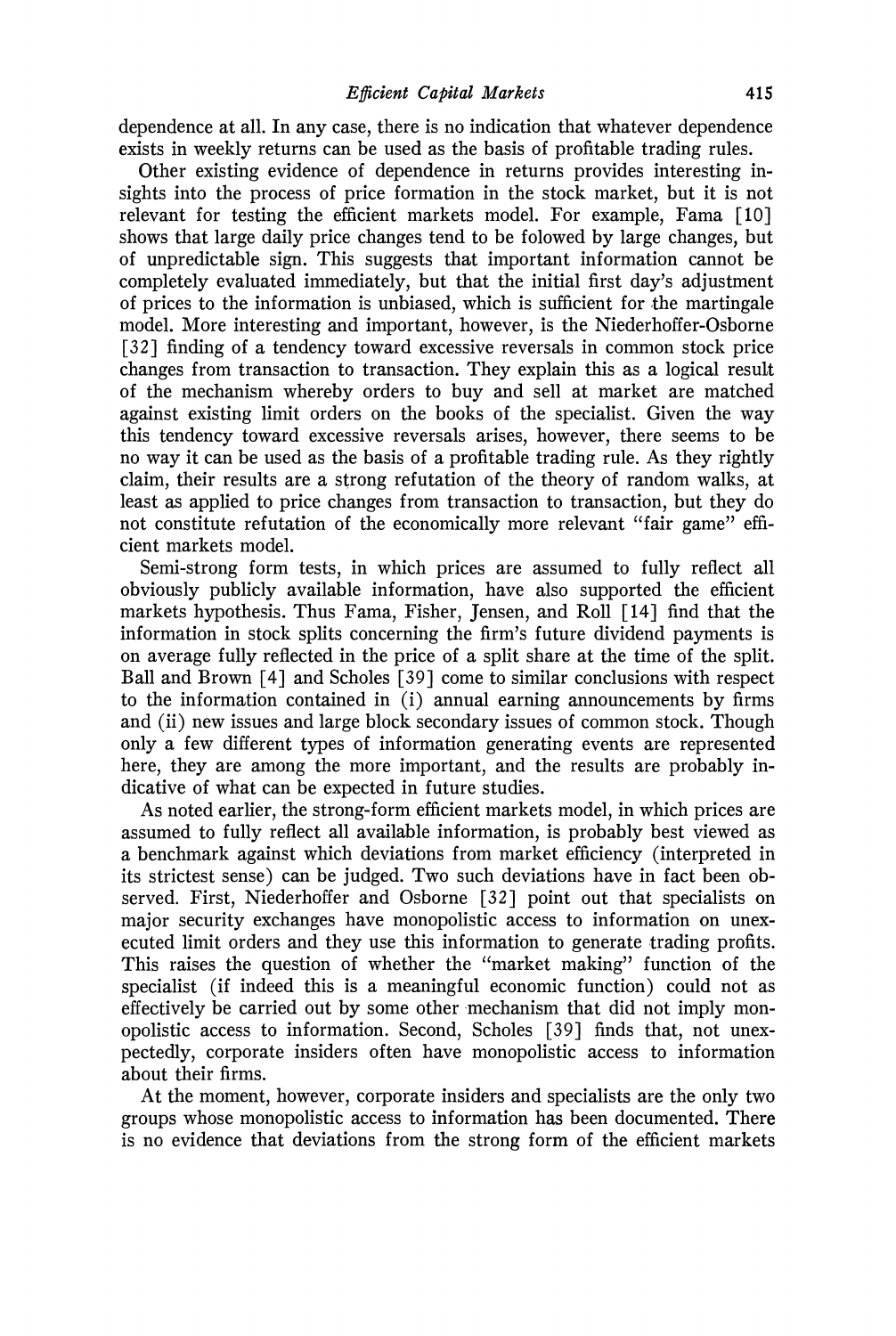dependence at all. In any case, there is no indication that whatever dependence exists in weekly returns can be used as the basis of profitable trading rules.

Other existing evidence of dependence in returns provides interesting insights into the process of price formation in the stock market, but it is not relevant for testing the efficient markets model. For example, Fama [10] shows that large daily price changes tend to be folowed by large changes, but of unpredictable sign. This suggests that important information cannot be completely evaluated immediately, but that the initial first day's adjustment of prices to the information is unbiased, which is sufficient for the martingale model. More interesting and important, however, is the Niederhoffer-Osborne [32] finding of a tendency toward excessive reversals in common stock price changes from transaction to transaction. They explain this as a logical result of the mechanism whereby orders to buy and sell at market are matched against existing limit orders on the books of the specialist. Given the way this tendency toward excessive reversals arises, however, there seems to be no way it can be used as the basis of a profitable trading rule. As they rightly claim, their results are a strong refutation of the theory of random walks, at least as applied to price changes from transaction to transaction, but they do not constitute refutation of the economically more relevant "fair game" efficient markets model.

Semi-strong form tests, in which prices are assumed to fully reflect all obviously publicly available information, have also supported the efficient markets hypothesis. Thus Fama, Fisher, Jensen, and Roll [14] find that the information in stock splits concerning the firm's future dividend payments is on average fully reflected in the price of a split share at the time of the split. Ball and Brown [4] and Scholes [39] come to similar conclusions with respect to the information contained in (i) annual earning announcements by firms and (ii) new issues and large block secondary issues of common stock. Though only a few different types of information generating events are represented here, they are among the more important, and the results are probably indicative of what can be expected in future studies.

As noted earlier, the strong-form efficient markets model, in which prices are assumed to fully reflect all available information, is probably best viewed as a benchmark against which deviations from market efficiency (interpreted in its strictest sense) can be judged. Two such deviations have in fact been observed. First, Niederhoffer and Osborne [32] point out that specialists on major security exchanges have monopolistic access to information on unexecuted limit orders and they use this information to generate trading profits. This raises the question of whether the "market making" function of the specialist (if indeed this is a meaningful economic function) could not as effectively be carried out by some other mechanism that did not imply monopolistic access to information. Second, Scholes [39] finds that, not unexpectedly, corporate insiders often have monopolistic access to information about their firms.

At the moment, however, corporate insiders and specialists are the only two groups whose monopolistic access to information has been documented. There is no evidence that deviations from the strong form of the efficient markets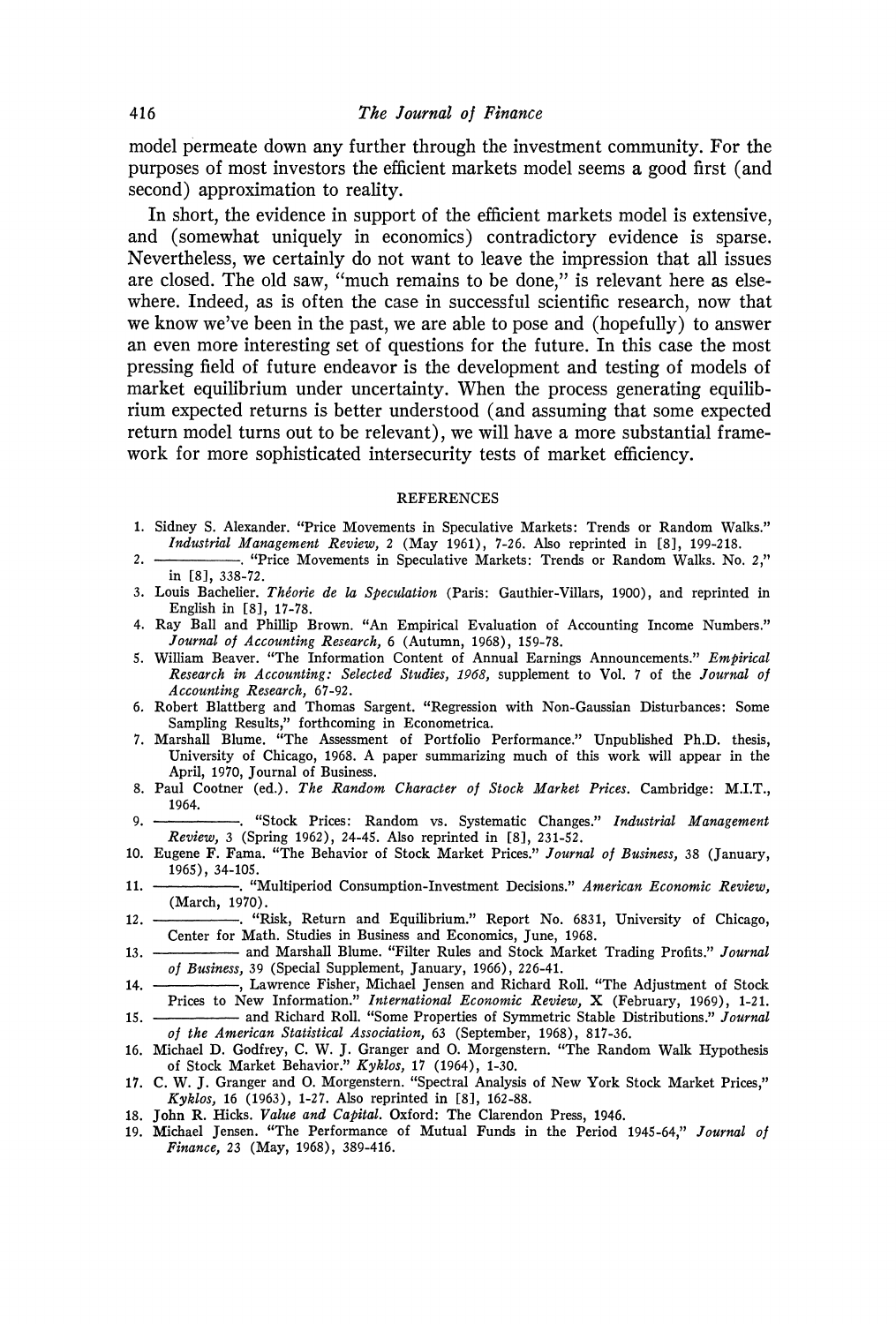model permeate down any further through the investment community. For the purposes of most investors the efficient markets model seems a good first (and second) approximation to reality.

In short, the evidence in support of the efficient markets model is extensive, and (somewhat uniquely in economics) contradictory evidence is sparse. Nevertheless, we certainly do not want to leave the impression that all issues are closed. The old saw, "much remains to be done," is relevant here as elsewhere. Indeed, as is often the case in successful scientific research, now that we know we've been in the past, we are able to pose and (hopefully) to answer an even more interesting set of questions for the future. In this case the most pressing field of future endeavor is the development and testing of models of market equilibrium under uncertainty. When the process generating equilibrium expected returns is better understood (and assuming that some expected return model turns out to be relevant), we will have a more substantial framework for more sophisticated intersecurity tests of market efficiency.

#### **REFERENCES**

- 1. Sidney S. Alexander. "Price Movements in Speculative Markets: Trends or Random Walks." Industrial Management Review, 2 (May 1961), 7-26. Also reprinted in [8], 199-218.
- -. "Price Movements in Speculative Markets: Trends or Random Walks. No. 2,"  $\overline{2}$ . in [8], 338-72.
- 3. Louis Bachelier. Théorie de la Speculation (Paris: Gauthier-Villars, 1900), and reprinted in English in [8], 17-78.
- 4. Ray Ball and Phillip Brown. "An Empirical Evaluation of Accounting Income Numbers." Journal of Accounting Research, 6 (Autumn, 1968), 159-78.
- 5. William Beaver. "The Information Content of Annual Earnings Announcements." Empirical Research in Accounting: Selected Studies, 1968, supplement to Vol. 7 of the Journal of Accounting Research, 67-92.
- 6. Robert Blattberg and Thomas Sargent. "Regression with Non-Gaussian Disturbances: Some Sampling Results," forthcoming in Econometrica.
- 7. Marshall Blume. "The Assessment of Portfolio Performance." Unpublished Ph.D. thesis, University of Chicago, 1968. A paper summarizing much of this work will appear in the April, 1970, Journal of Business.
- 8. Paul Cootner (ed.). The Random Character of Stock Market Prices. Cambridge: M.I.T., 1964.
- "Stock Prices: Random vs. Systematic Changes." Industrial Management **q** Review, 3 (Spring 1962), 24-45. Also reprinted in [8], 231-52.
- 10. Eugene F. Fama. "The Behavior of Stock Market Prices." Journal of Business, 38 (January, 1965), 34-105.
- -. "Multiperiod Consumption-Investment Decisions." American Economic Review,  $11.$ (March, 1970).
- -. "Risk, Return and Equilibrium." Report No. 6831, University of Chicago,  $12.$ Center for Math. Studies in Business and Economics, June, 1968.
- and Marshall Blume. "Filter Rules and Stock Market Trading Profits." Journal 13. of Business, 39 (Special Supplement, January, 1966), 226-41.
- -, Lawrence Fisher, Michael Jensen and Richard Roll. "The Adjustment of Stock 14. Prices to New Information." International Economic Review, X (February, 1969), 1-21.
- and Richard Roll. "Some Properties of Symmetric Stable Distributions." Journal  $15.$ of the American Statistical Association, 63 (September, 1968), 817-36.
- 16. Michael D. Godfrey, C. W. J. Granger and O. Morgenstern. "The Random Walk Hypothesis of Stock Market Behavior." Kyklos, 17 (1964), 1-30.
- 17. C. W. J. Granger and O. Morgenstern. "Spectral Analysis of New York Stock Market Prices." Kyklos, 16 (1963), 1-27. Also reprinted in [8], 162-88.
- 18. John R. Hicks. Value and Capital. Oxford: The Clarendon Press, 1946.
- 19. Michael Jensen. "The Performance of Mutual Funds in the Period 1945-64," Journal of Finance, 23 (May, 1968), 389-416.